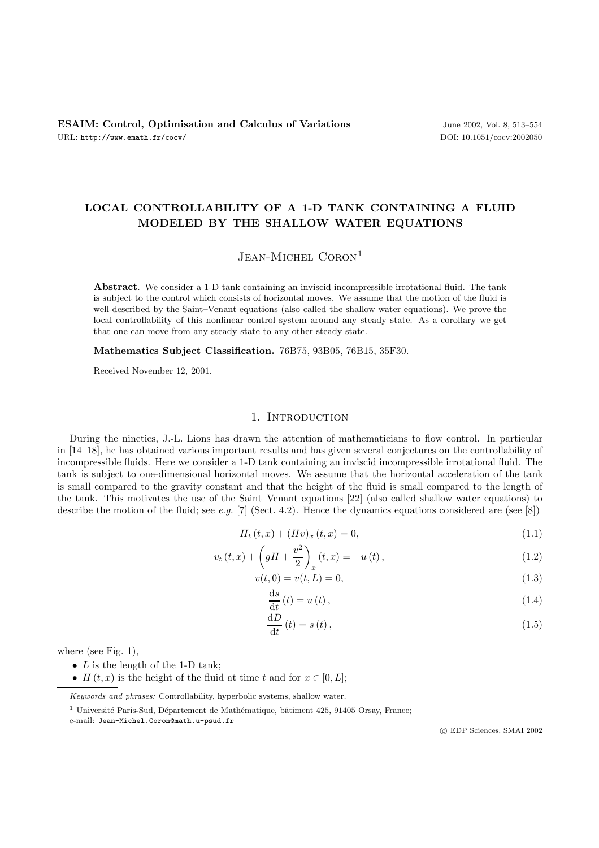# **LOCAL CONTROLLABILITY OF A 1-D TANK CONTAINING A FLUID MODELED BY THE SHALLOW WATER EQUATIONS**

## $J$ ean-Michel Coron<sup>1</sup>

**Abstract**. We consider a 1-D tank containing an inviscid incompressible irrotational fluid. The tank is subject to the control which consists of horizontal moves. We assume that the motion of the fluid is well-described by the Saint–Venant equations (also called the shallow water equations). We prove the local controllability of this nonlinear control system around any steady state. As a corollary we get that one can move from any steady state to any other steady state.

**Mathematics Subject Classification.** 76B75, 93B05, 76B15, 35F30.

Received November 12, 2001.

## 1. INTRODUCTION

During the nineties, J.-L. Lions has drawn the attention of mathematicians to flow control. In particular in [14–18], he has obtained various important results and has given several conjectures on the controllability of incompressible fluids. Here we consider a 1-D tank containing an inviscid incompressible irrotational fluid. The tank is subject to one-dimensional horizontal moves. We assume that the horizontal acceleration of the tank is small compared to the gravity constant and that the height of the fluid is small compared to the length of the tank. This motivates the use of the Saint–Venant equations [22] (also called shallow water equations) to describe the motion of the fluid; see *e.g.* [7] (Sect. 4.2). Hence the dynamics equations considered are (see [8])

$$
H_t(t, x) + (Hv)_x(t, x) = 0,
$$
\n(1.1)

$$
v_{t}(t,x) + \left(gH + \frac{v^{2}}{2}\right)_{x}(t,x) = -u(t),
$$
\n(1.2)

$$
v(t,0) = v(t,L) = 0,
$$
\n(1.3)

$$
\frac{\mathrm{d}s}{\mathrm{d}t}(t) = u(t),\tag{1.4}
$$

$$
\frac{\mathrm{d}D}{\mathrm{d}t}(t) = s(t),\tag{1.5}
$$

where (see Fig.  $1$ ),

- $L$  is the length of the 1-D tank;
- H  $(t, x)$  is the height of the fluid at time t and for  $x \in [0, L]$ ;

Keywords and phrases: Controllability, hyperbolic systems, shallow water.

c EDP Sciences, SMAI 2002

 $1$  Université Paris-Sud, Département de Mathématique, bâtiment 425, 91405 Orsay, France;

e-mail: Jean-Michel.Coron@math.u-psud.fr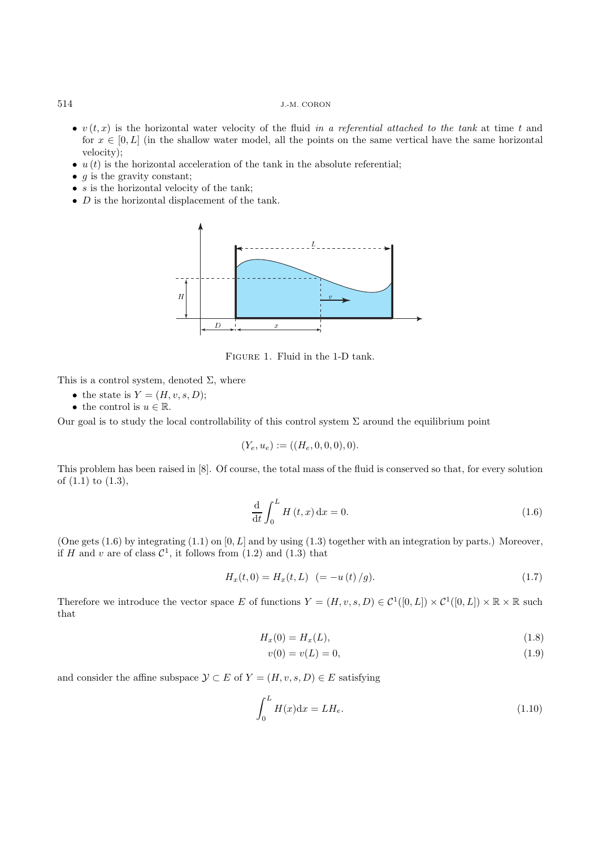- $v(t, x)$  is the horizontal water velocity of the fluid *in a referential attached to the tank* at time t and for  $x \in [0, L]$  (in the shallow water model, all the points on the same vertical have the same horizontal velocity);
- $u(t)$  is the horizontal acceleration of the tank in the absolute referential;
- $q$  is the gravity constant;
- $s$  is the horizontal velocity of the tank;
- $D$  is the horizontal displacement of the tank.



Figure 1. Fluid in the 1-D tank.

This is a control system, denoted  $\Sigma$ , where

- the state is  $Y = (H, v, s, D);$
- the control is  $u \in \mathbb{R}$ .

Our goal is to study the local controllability of this control system  $\Sigma$  around the equilibrium point

$$
(Y_e, u_e) := ((H_e, 0, 0, 0), 0).
$$

This problem has been raised in [8]. Of course, the total mass of the fluid is conserved so that, for every solution of (1.1) to (1.3),

$$
\frac{\mathrm{d}}{\mathrm{d}t} \int_0^L H(t, x) \, \mathrm{d}x = 0. \tag{1.6}
$$

(One gets  $(1.6)$  by integrating  $(1.1)$  on  $[0, L]$  and by using  $(1.3)$  together with an integration by parts.) Moreover, if H and v are of class  $C^1$ , it follows from  $(1.2)$  and  $(1.3)$  that

$$
H_x(t,0) = H_x(t,L) \ \ (= -u(t)/g). \tag{1.7}
$$

Therefore we introduce the vector space E of functions  $Y = (H, v, s, D) \in C^1([0, L]) \times C^1([0, L]) \times \mathbb{R} \times \mathbb{R}$  such that

$$
H_x(0) = H_x(L),
$$
\n(1.8)

$$
v(0) = v(L) = 0,\t\t(1.9)
$$

and consider the affine subspace  $\mathcal{Y} \subset E$  of  $Y = (H, v, s, D) \in E$  satisfying

$$
\int_0^L H(x)dx = LH_e.
$$
\n(1.10)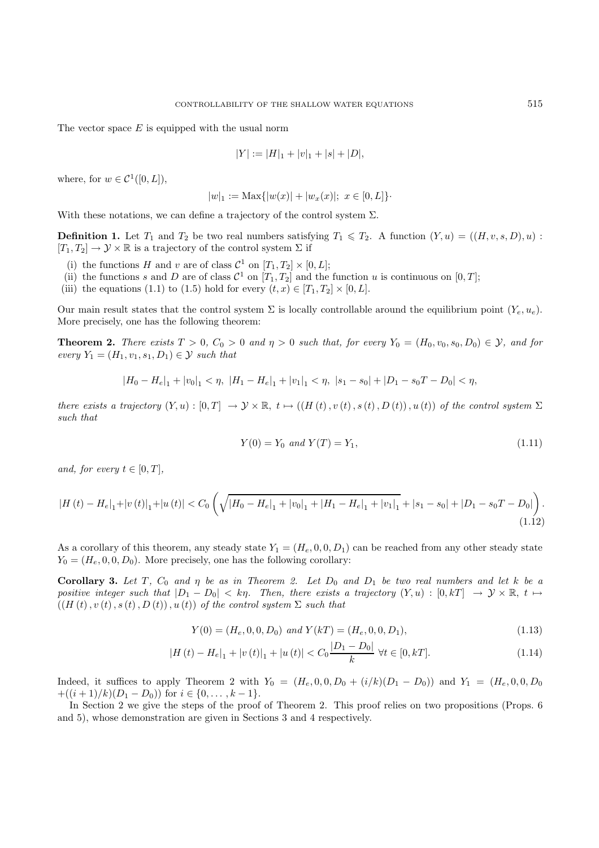The vector space  $E$  is equipped with the usual norm

$$
|Y| := |H|_1 + |v|_1 + |s| + |D|,
$$

where, for  $w \in C^1([0,L]),$ 

$$
|w|_1 := \text{Max}\{|w(x)| + |w_x(x)|; \ x \in [0, L]\}.
$$

With these notations, we can define a trajectory of the control system  $\Sigma$ .

**Definition 1.** Let  $T_1$  and  $T_2$  be two real numbers satisfying  $T_1 \leq T_2$ . A function  $(Y, u) = ((H, v, s, D), u)$ :  $[T_1, T_2] \to \mathcal{Y} \times \mathbb{R}$  is a trajectory of the control system  $\Sigma$  if

- (i) the functions H and v are of class  $C^1$  on  $[T_1, T_2] \times [0, L]$ ;
- (ii) the functions s and D are of class  $\mathcal{C}^1$  on  $[T_1, T_2]$  and the function u is continuous on  $[0, T]$ ;
- (iii) the equations (1.1) to (1.5) hold for every  $(t, x) \in [T_1, T_2] \times [0, L]$ .

Our main result states that the control system  $\Sigma$  is locally controllable around the equilibrium point  $(Y_e, u_e)$ . More precisely, one has the following theorem:

**Theorem 2.** *There exists*  $T > 0$ ,  $C_0 > 0$  *and*  $\eta > 0$  *such that, for every*  $Y_0 = (H_0, v_0, s_0, D_0) \in \mathcal{Y}$ *, and for every*  $Y_1 = (H_1, v_1, s_1, D_1) \in \mathcal{Y}$  *such that* 

$$
|H_0 - H_e|_1 + |v_0|_1 < \eta, \ |H_1 - H_e|_1 + |v_1|_1 < \eta, \ |s_1 - s_0| + |D_1 - s_0| - D_0| < \eta,
$$

*there exists a trajectory*  $(Y, u) : [0, T] \rightarrow \mathcal{Y} \times \mathbb{R}, t \mapsto ((H(t), v(t), s(t), D(t)), u(t))$  *of the control system*  $\Sigma$ *such that*

$$
Y(0) = Y_0 \text{ and } Y(T) = Y_1,\tag{1.11}
$$

*and, for every*  $t \in [0, T]$ *,* 

$$
|H(t) - H_e|_1 + |v(t)|_1 + |u(t)| < C_0 \left( \sqrt{|H_0 - H_e|_1 + |v_0|_1 + |H_1 - H_e|_1 + |v_1|_1} + |s_1 - s_0| + |D_1 - s_0| - D_0| \right). \tag{1.12}
$$

As a corollary of this theorem, any steady state  $Y_1 = (H_e, 0, 0, D_1)$  can be reached from any other steady state  $Y_0 = (H_e, 0, 0, D_0)$ . More precisely, one has the following corollary:

**Corollary 3.** Let T,  $C_0$  and  $\eta$  be as in Theorem 2. Let  $D_0$  and  $D_1$  be two real numbers and let k be a *positive integer such that*  $|D_1 - D_0| < k\eta$ . Then, there exists a trajectory  $(Y, u) : [0, kT] \rightarrow Y \times \mathbb{R}, t \mapsto$  $((H(t), v(t), s(t), D(t)), u(t))$  *of the control system*  $\Sigma$  *such that* 

$$
Y(0) = (H_e, 0, 0, D_0) \text{ and } Y(kT) = (H_e, 0, 0, D_1),
$$
\n(1.13)

$$
|H(t) - H_e|_1 + |v(t)|_1 + |u(t)| < C_0 \frac{|D_1 - D_0|}{k} \quad \forall t \in [0, k].
$$
\n(1.14)

Indeed, it suffices to apply Theorem 2 with  $Y_0 = (H_e, 0, 0, D_0 + (i/k)(D_1 - D_0))$  and  $Y_1 = (H_e, 0, 0, D_0)$ + $((i+1)/k)(D_1 - D_0)$  for  $i \in \{0, ..., k-1\}$ .

In Section 2 we give the steps of the proof of Theorem 2. This proof relies on two propositions (Props. 6 and 5), whose demonstration are given in Sections 3 and 4 respectively.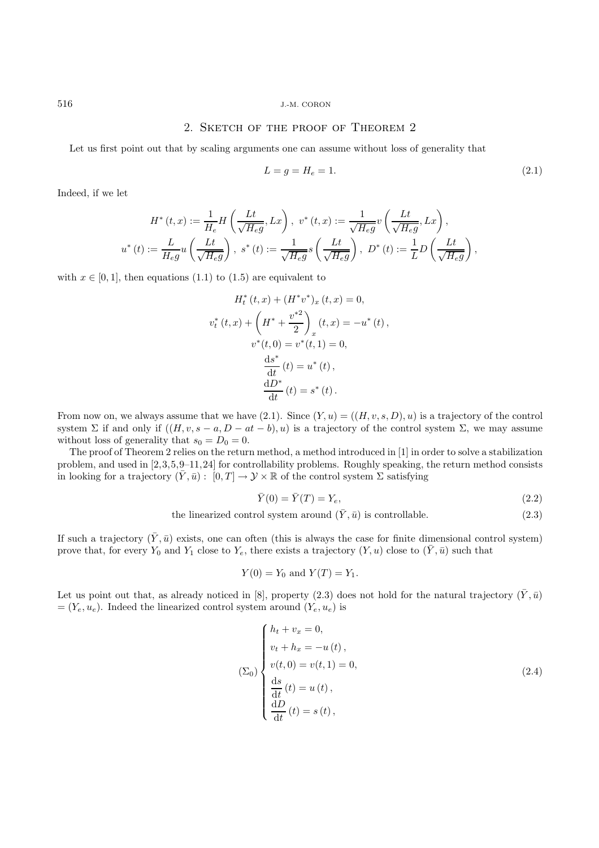### 2. Sketch of the proof of Theorem 2

Let us first point out that by scaling arguments one can assume without loss of generality that

$$
L = g = H_e = 1.
$$
\n(2.1)

Indeed, if we let

$$
H^*(t, x) := \frac{1}{H_e} H\left(\frac{Lt}{\sqrt{H_e g}}, Lx\right), \ v^*(t, x) := \frac{1}{\sqrt{H_e g}} v\left(\frac{Lt}{\sqrt{H_e g}}, Lx\right),
$$
  

$$
u^*(t) := \frac{L}{H_e g} u\left(\frac{Lt}{\sqrt{H_e g}}\right), \ s^*(t) := \frac{1}{\sqrt{H_e g}} s\left(\frac{Lt}{\sqrt{H_e g}}\right), \ D^*(t) := \frac{1}{L} D\left(\frac{Lt}{\sqrt{H_e g}}\right),
$$

with  $x \in [0, 1]$ , then equations (1.1) to (1.5) are equivalent to

$$
H_t^*(t, x) + (H^*v^*)_x (t, x) = 0,
$$
  

$$
v_t^*(t, x) + \left(H^* + \frac{v^{*2}}{2}\right)_x (t, x) = -u^*(t),
$$
  

$$
v^*(t, 0) = v^*(t, 1) = 0,
$$
  

$$
\frac{ds^*}{dt}(t) = u^*(t),
$$
  

$$
\frac{dD^*}{dt}(t) = s^*(t).
$$

From now on, we always assume that we have (2.1). Since  $(Y, u) = ((H, v, s, D), u)$  is a trajectory of the control system  $\Sigma$  if and only if  $((H, v, s - a, D - at - b), u)$  is a trajectory of the control system  $\Sigma$ , we may assume without loss of generality that  $s_0 = D_0 = 0$ .

The proof of Theorem 2 relies on the return method, a method introduced in [1] in order to solve a stabilization problem, and used in [2,3,5,9–11,24] for controllability problems. Roughly speaking, the return method consists in looking for a trajectory  $(\bar{Y}, \bar{u}) : [0, T] \to Y \times \mathbb{R}$  of the control system  $\Sigma$  satisfying

$$
\bar{Y}(0) = \bar{Y}(T) = Y_e,\tag{2.2}
$$

the linearized control system around  $(\bar{Y}, \bar{u})$  is controllable. (2.3)

If such a trajectory  $(\bar{Y}, \bar{u})$  exists, one can often (this is always the case for finite dimensional control system) prove that, for every  $Y_0$  and  $Y_1$  close to  $Y_e$ , there exists a trajectory  $(Y, u)$  close to  $(\bar{Y}, \bar{u})$  such that

$$
Y(0) = Y_0
$$
 and  $Y(T) = Y_1$ .

Let us point out that, as already noticed in [8], property (2.3) does not hold for the natural trajectory  $(\bar{Y}, \bar{u})$  $=(Y_e, u_e)$ . Indeed the linearized control system around  $(Y_e, u_e)$  is

$$
\sum\limits_{(b) \text{ s}} \begin{cases} h_t + v_x = 0, \\ v_t + h_x = -u(t), \\ v(t, 0) = v(t, 1) = 0, \\ \frac{ds}{dt}(t) = u(t), \\ \frac{dD}{dt}(t) = s(t), \end{cases} \tag{2.4}
$$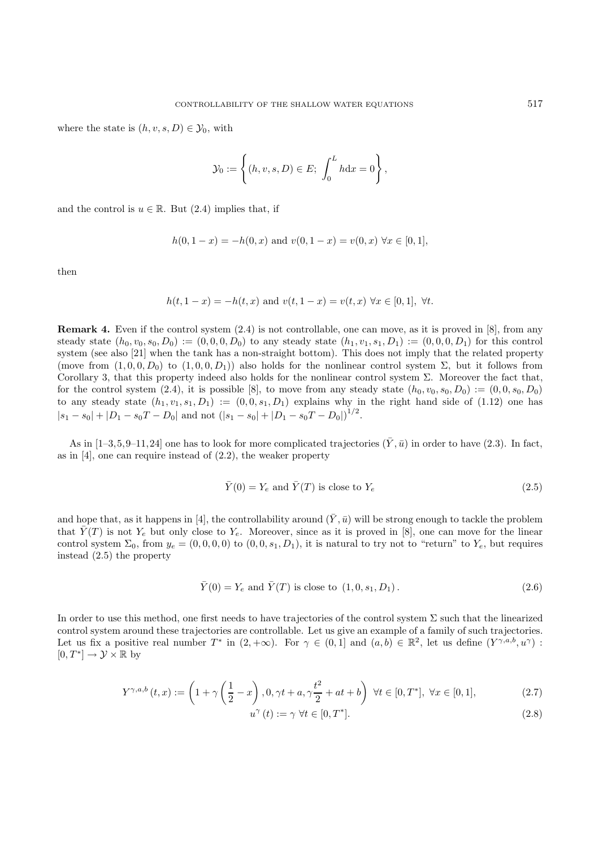where the state is  $(h, v, s, D) \in \mathcal{Y}_0$ , with

$$
\mathcal{Y}_0 := \left\{ (h, v, s, D) \in E; \int_0^L h \mathrm{d}x = 0 \right\},\
$$

and the control is  $u \in \mathbb{R}$ . But (2.4) implies that, if

$$
h(0, 1-x) = -h(0, x)
$$
 and  $v(0, 1-x) = v(0, x) \forall x \in [0, 1]$ ,

then

$$
h(t, 1-x) = -h(t, x)
$$
 and  $v(t, 1-x) = v(t, x) \forall x \in [0, 1], \forall t.$ 

**Remark 4.** Even if the control system  $(2.4)$  is not controllable, one can move, as it is proved in [8], from any steady state  $(h_0, v_0, s_0, D_0) := (0, 0, 0, D_0)$  to any steady state  $(h_1, v_1, s_1, D_1) := (0, 0, 0, D_1)$  for this control system (see also [21] when the tank has a non-straight bottom). This does not imply that the related property (move from  $(1, 0, 0, D_0)$  to  $(1, 0, 0, D_1)$ ) also holds for the nonlinear control system  $\Sigma$ , but it follows from Corollary 3, that this property indeed also holds for the nonlinear control system  $\Sigma$ . Moreover the fact that, for the control system (2.4), it is possible [8], to move from any steady state  $(h_0, v_0, s_0, D_0) := (0, 0, s_0, D_0)$ to any steady state  $(h_1, v_1, s_1, D_1) := (0, 0, s_1, D_1)$  explains why in the right hand side of  $(1.12)$  one has  $|s_1 - s_0| + |D_1 - s_0T - D_0|$  and not  $(|s_1 - s_0| + |D_1 - s_0T - D_0|)^{1/2}$ .

As in  $[1–3,5,9–11,24]$  one has to look for more complicated trajectories  $(\bar{Y}, \bar{u})$  in order to have (2.3). In fact, as in [4], one can require instead of (2.2), the weaker property

$$
\bar{Y}(0) = Y_e \text{ and } \bar{Y}(T) \text{ is close to } Y_e \tag{2.5}
$$

and hope that, as it happens in [4], the controllability around  $(\bar{Y}, \bar{u})$  will be strong enough to tackle the problem that  $\overline{Y}(T)$  is not  $Y_e$  but only close to  $Y_e$ . Moreover, since as it is proved in [8], one can move for the linear control system  $\Sigma_0$ , from  $y_e = (0, 0, 0, 0)$  to  $(0, 0, s_1, D_1)$ , it is natural to try not to "return" to  $Y_e$ , but requires instead (2.5) the property

$$
\bar{Y}(0) = Y_e
$$
 and  $\bar{Y}(T)$  is close to  $(1, 0, s_1, D_1)$ . (2.6)

In order to use this method, one first needs to have trajectories of the control system  $\Sigma$  such that the linearized control system around these trajectories are controllable. Let us give an example of a family of such trajectories. Let us fix a positive real number  $T^*$  in  $(2, +\infty)$ . For  $\gamma \in (0, 1]$  and  $(a, b) \in \mathbb{R}^2$ , let us define  $(Y^{\gamma, a, b}, u^{\gamma})$ :  $[0, T^*] \to \mathcal{Y} \times \mathbb{R}$  by

$$
Y^{\gamma,a,b}(t,x) := \left(1 + \gamma\left(\frac{1}{2} - x\right), 0, \gamma t + a, \gamma \frac{t^2}{2} + at + b\right) \,\,\forall t \in [0, T^*], \,\,\forall x \in [0, 1],\tag{2.7}
$$

$$
u^{\gamma}(t) := \gamma \,\forall t \in [0, T^*]. \tag{2.8}
$$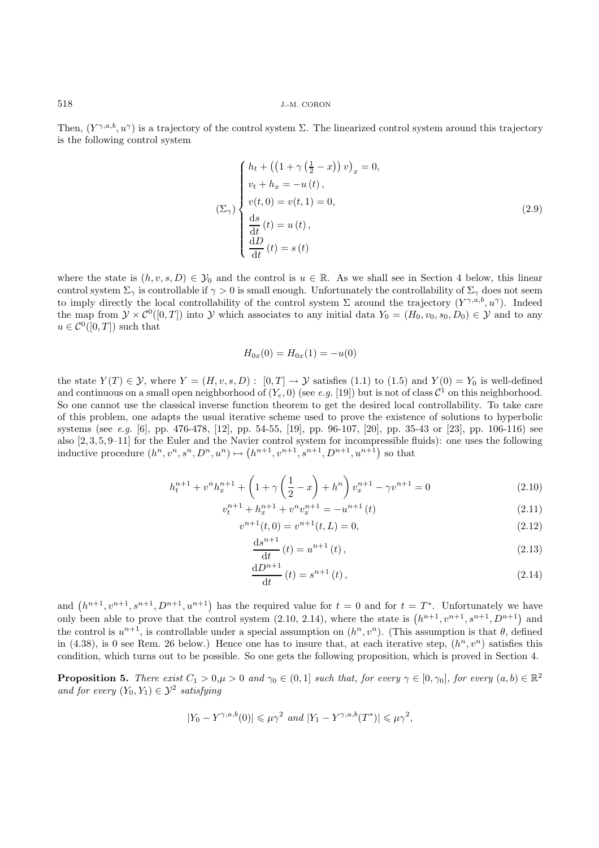Then,  $(Y^{\gamma,a,b}, u^{\gamma})$  is a trajectory of the control system  $\Sigma$ . The linearized control system around this trajectory is the following control system

$$
\sum_{v \in \mathcal{V}} \begin{cases} h_t + \left( \left( 1 + \gamma \left( \frac{1}{2} - x \right) \right) v \right)_x = 0, \\ v_t + h_x = -u(t), \\ v(t, 0) = v(t, 1) = 0, \\ v(t, 0) = v(t, 1) = 0, \\ \frac{ds}{dt}(t) = u(t), \\ \frac{dD}{dt}(t) = s(t) \end{cases}
$$
\n
$$
(2.9)
$$

where the state is  $(h, v, s, D) \in \mathcal{Y}_0$  and the control is  $u \in \mathbb{R}$ . As we shall see in Section 4 below, this linear control system  $\Sigma_{\gamma}$  is controllable if  $\gamma > 0$  is small enough. Unfortunately the controllability of  $\Sigma_{\gamma}$  does not seem to imply directly the local controllability of the control system  $\Sigma$  around the trajectory  $(Y^{\gamma,a,b}, u^{\gamma})$ . Indeed the map from  $\mathcal{Y} \times \mathcal{C}^0([0,T])$  into Y which associates to any initial data  $Y_0 = (H_0, v_0, s_0, D_0) \in \mathcal{Y}$  and to any  $u \in \mathcal{C}^0([0,T])$  such that

$$
H_{0x}(0) = H_{0x}(1) = -u(0)
$$

the state  $Y(T) \in \mathcal{Y}$ , where  $Y = (H, v, s, D) : [0, T] \to \mathcal{Y}$  satisfies (1.1) to (1.5) and  $Y(0) = Y_0$  is well-defined and continuous on a small open neighborhood of  $(Y_e, 0)$  (see *e.g.* [19]) but is not of class  $\mathcal{C}^1$  on this neighborhood. So one cannot use the classical inverse function theorem to get the desired local controllability. To take care of this problem, one adapts the usual iterative scheme used to prove the existence of solutions to hyperbolic systems (see *e.g.* [6], pp. 476-478, [12], pp. 54-55, [19], pp. 96-107, [20], pp. 35-43 or [23], pp. 106-116) see also [2, 3, 5, 9–11] for the Euler and the Navier control system for incompressible fluids): one uses the following inductive procedure  $(h^n, v^n, s^n, D^n, u^n) \mapsto (h^{n+1}, v^{n+1}, s^{n+1}, D^{n+1}, u^{n+1})$  so that

$$
h_t^{n+1} + v^n h_x^{n+1} + \left(1 + \gamma \left(\frac{1}{2} - x\right) + h^n\right) v_x^{n+1} - \gamma v^{n+1} = 0 \tag{2.10}
$$

$$
v_t^{n+1} + h_x^{n+1} + v^n v_x^{n+1} = -u^{n+1}(t)
$$
\n(2.11)

$$
v^{n+1}(t,0) = v^{n+1}(t,L) = 0,
$$
\n(2.12)

$$
\frac{\mathrm{d}s^{n+1}}{\mathrm{d}t}(t) = u^{n+1}(t),\tag{2.13}
$$

$$
\frac{\mathrm{d}D^{n+1}}{\mathrm{d}t}(t) = s^{n+1}(t),\tag{2.14}
$$

and  $(h^{n+1}, v^{n+1}, s^{n+1}, D^{n+1}, u^{n+1})$  has the required value for  $t = 0$  and for  $t = T^*$ . Unfortunately we have only been able to prove that the control system  $(2.10, 2.14)$ , where the state is  $(h^{n+1}, v^{n+1}, s^{n+1}, D^{n+1})$  and the control is  $u^{n+1}$ , is controllable under a special assumption on  $(h^n, v^n)$ . (This assumption is that  $\theta$ , defined in (4.38), is 0 see Rem. 26 below.) Hence one has to insure that, at each iterative step,  $(h^n, v^n)$  satisfies this condition, which turns out to be possible. So one gets the following proposition, which is proved in Section 4.

**Proposition 5.** *There exist*  $C_1 > 0, \mu > 0$  *and*  $\gamma_0 \in (0, 1]$  *such that, for every*  $\gamma \in [0, \gamma_0]$ *, for every*  $(a, b) \in \mathbb{R}^2$ *and for every*  $(Y_0, Y_1) \in \mathcal{Y}^2$  *satisfying* 

$$
|Y_0-Y^{\gamma,a,b}(0)|\leqslant \mu\gamma^2\ \ and\ |Y_1-Y^{\gamma,a,b}(T^*)|\leqslant \mu\gamma^2,
$$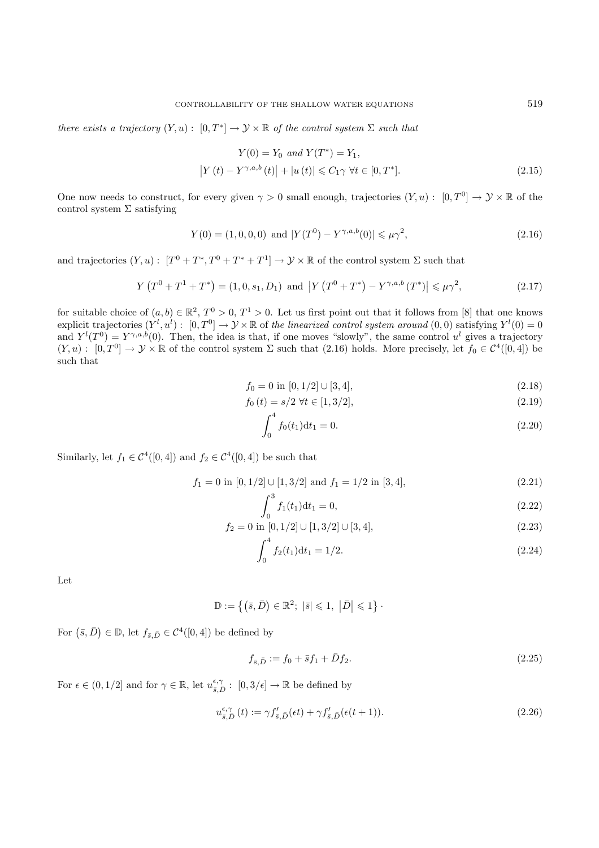*there exists a trajectory*  $(Y, u) : [0, T^*] \to Y \times \mathbb{R}$  *of the control system*  $\Sigma$  *such that* 

$$
Y(0) = Y_0 \text{ and } Y(T^*) = Y_1,
$$
  
\n
$$
|Y(t) - Y^{\gamma, a, b}(t)| + |u(t)| \le C_1 \gamma \ \forall t \in [0, T^*].
$$
\n(2.15)

One now needs to construct, for every given  $\gamma > 0$  small enough, trajectories  $(Y, u) : [0, T^0] \to Y \times \mathbb{R}$  of the control system  $\Sigma$  satisfying

$$
Y(0) = (1, 0, 0, 0) \text{ and } |Y(T^0) - Y^{\gamma, a, b}(0)| \le \mu \gamma^2,
$$
\n(2.16)

and trajectories  $(Y, u): [T^0 + T^*, T^0 + T^* + T^1] \to \mathcal{Y} \times \mathbb{R}$  of the control system  $\Sigma$  such that

$$
Y(T^{0} + T^{1} + T^{*}) = (1, 0, s_{1}, D_{1}) \text{ and } |Y(T^{0} + T^{*}) - Y^{\gamma, a, b}(T^{*})| \leq \mu \gamma^{2}, \qquad (2.17)
$$

for suitable choice of  $(a, b) \in \mathbb{R}^2$ ,  $T^0 > 0$ ,  $T^1 > 0$ . Let us first point out that it follows from [8] that one knows  $\text{explicit trajectories } (Y^l, u^l): [0, T^0] \to Y \times \mathbb{R} \text{ of the linearized control system around } (0, 0) \text{ satisfying } Y^l(0) = 0$ and  $Y^{l}(T^{0}) = Y^{\gamma,a,b}(0)$ . Then, the idea is that, if one moves "slowly", the same control  $u^{l}$  gives a trajectory  $(Y, u) : [0, T^0] \to Y \times \mathbb{R}$  of the control system  $\Sigma$  such that (2.16) holds. More precisely, let  $f_0 \in C^4([0, 4])$  be such that

$$
f_0 = 0 \text{ in } [0, 1/2] \cup [3, 4], \tag{2.18}
$$

$$
f_0(t) = s/2 \,\forall t \in [1, 3/2],\tag{2.19}
$$

$$
\int_0^4 f_0(t_1) \mathrm{d}t_1 = 0. \tag{2.20}
$$

Similarly, let  $f_1 \in C^4([0,4])$  and  $f_2 \in C^4([0,4])$  be such that

$$
f_1 = 0 \text{ in } [0, 1/2] \cup [1, 3/2] \text{ and } f_1 = 1/2 \text{ in } [3, 4], \tag{2.21}
$$

$$
\int_0^3 f_1(t_1) \mathrm{d}t_1 = 0,\tag{2.22}
$$

$$
f_2 = 0 \text{ in } [0, 1/2] \cup [1, 3/2] \cup [3, 4], \tag{2.23}
$$

$$
\int_0^4 f_2(t_1) \mathrm{d}t_1 = 1/2. \tag{2.24}
$$

Let

 $\mathbb{D} := \{ (\bar{s}, \bar{D}) \in \mathbb{R}^2; \ |\bar{s}| \leq 1, \ |\bar{D}| \leq 1 \}$ .

For  $(\bar{s}, \bar{D}) \in \mathbb{D}$ , let  $f_{\bar{s}, \bar{D}} \in \mathcal{C}^4([0, 4])$  be defined by

$$
f_{\bar{s},\bar{D}} := f_0 + \bar{s}f_1 + \bar{D}f_2. \tag{2.25}
$$

For  $\epsilon \in (0, 1/2]$  and for  $\gamma \in \mathbb{R}$ , let  $u_{\overline{s}, \overline{D}}^{\epsilon, \gamma} : [0, 3/\epsilon] \to \mathbb{R}$  be defined by

$$
u_{\bar{s},\bar{D}}^{\epsilon,\gamma}(t) := \gamma f_{\bar{s},\bar{D}}'(\epsilon t) + \gamma f_{\bar{s},\bar{D}}'(\epsilon(t+1)).
$$
\n(2.26)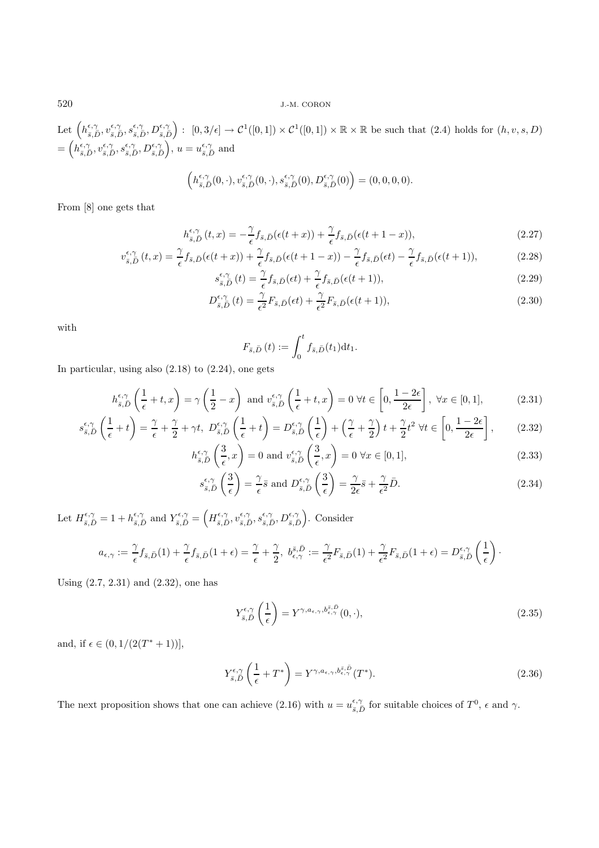Let  $\left(h_{\bar{s},\bar{D}}^{\epsilon,\gamma}, v_{\bar{s},\bar{D}}^{\epsilon,\gamma}, D_{\bar{s},\bar{D}}^{\epsilon,\gamma}\right): [0,3/\epsilon] \to C^1([0,1]) \times C^1([0,1]) \times \mathbb{R} \times \mathbb{R}$  be such that  $(2.4)$  holds for  $(h, v, s, D)$  $=\left(h_{\bar{s},\bar{D}}^{\epsilon,\gamma},v_{\bar{s},\bar{D}}^{\epsilon,\gamma},s_{\bar{s},\bar{D}}^{\epsilon,\gamma},D_{\bar{s},\bar{D}}^{\epsilon,\gamma}\right), u=u_{\bar{s},\bar{D}}^{\epsilon,\gamma}$  and

$$
\left(h_{\overline{s},\overline{D}}^{\epsilon,\gamma}(0,\cdot),v_{\overline{s},\overline{D}}^{\epsilon,\gamma}(0,\cdot),s_{\overline{s},\overline{D}}^{\epsilon,\gamma}(0),D_{\overline{s},\overline{D}}^{\epsilon,\gamma}(0)\right)=(0,0,0,0).
$$

From [8] one gets that

$$
h_{\bar{s},\bar{D}}^{\epsilon,\gamma}(t,x) = -\frac{\gamma}{\epsilon} f_{\bar{s},\bar{D}}(\epsilon(t+x)) + \frac{\gamma}{\epsilon} f_{\bar{s},\bar{D}}(\epsilon(t+1-x)),
$$
\n
$$
\gamma \qquad (2.27)
$$

$$
v_{\bar{s},\bar{D}}^{\epsilon,\gamma}(t,x) = \frac{\gamma}{\epsilon} f_{\bar{s},\bar{D}}(\epsilon(t+x)) + \frac{\gamma}{\epsilon} f_{\bar{s},\bar{D}}(\epsilon(t+1-x)) - \frac{\gamma}{\epsilon} f_{\bar{s},\bar{D}}(\epsilon t) - \frac{\gamma}{\epsilon} f_{\bar{s},\bar{D}}(\epsilon(t+1)),\tag{2.28}
$$

$$
s_{\bar{s},\bar{D}}^{\epsilon,\gamma}(t) = \frac{\gamma}{\epsilon} f_{\bar{s},\bar{D}}(\epsilon t) + \frac{\gamma}{\epsilon} f_{\bar{s},\bar{D}}(\epsilon(t+1)),
$$
\n(2.29)

$$
D_{\bar{s},\bar{D}}^{\epsilon,\gamma}(t) = \frac{\gamma}{\epsilon^2} F_{\bar{s},\bar{D}}(\epsilon t) + \frac{\gamma}{\epsilon^2} F_{\bar{s},\bar{D}}(\epsilon(t+1)),
$$
\n(2.30)

with

$$
F_{\bar{s},\bar{D}}(t) := \int_0^t f_{\bar{s},\bar{D}}(t_1) \mathrm{d}t_1.
$$

In particular, using also  $(2.18)$  to  $(2.24)$ , one gets

$$
h_{\bar{s},\bar{D}}^{\epsilon,\gamma}\left(\frac{1}{\epsilon}+t,x\right) = \gamma\left(\frac{1}{2}-x\right) \text{ and } v_{\bar{s},\bar{D}}^{\epsilon,\gamma}\left(\frac{1}{\epsilon}+t,x\right) = 0 \ \forall t \in \left[0,\frac{1-2\epsilon}{2\epsilon}\right], \ \forall x \in [0,1],\tag{2.31}
$$

$$
s_{\bar{s},\bar{D}}^{\epsilon,\gamma}\left(\frac{1}{\epsilon}+t\right) = \frac{\gamma}{\epsilon} + \frac{\gamma}{2} + \gamma t, \ D_{\bar{s},\bar{D}}^{\epsilon,\gamma}\left(\frac{1}{\epsilon}+t\right) = D_{\bar{s},\bar{D}}^{\epsilon,\gamma}\left(\frac{1}{\epsilon}\right) + \left(\frac{\gamma}{\epsilon} + \frac{\gamma}{2}\right)t + \frac{\gamma}{2}t^2 \ \forall t \in \left[0, \frac{1-2\epsilon}{2\epsilon}\right],\tag{2.32}
$$

$$
h_{\bar{s},\bar{D}}^{\epsilon,\gamma}\left(\frac{3}{\epsilon},x\right) = 0 \text{ and } v_{\bar{s},\bar{D}}^{\epsilon,\gamma}\left(\frac{3}{\epsilon},x\right) = 0 \,\forall x \in [0,1],\tag{2.33}
$$

$$
s_{\bar{s},\bar{D}}^{\epsilon,\gamma}\left(\frac{3}{\epsilon}\right) = \frac{\gamma}{\epsilon}\bar{s} \text{ and } D_{\bar{s},\bar{D}}^{\epsilon,\gamma}\left(\frac{3}{\epsilon}\right) = \frac{\gamma}{2\epsilon}\bar{s} + \frac{\gamma}{\epsilon^2}\bar{D}.\tag{2.34}
$$

Let  $H_{\bar{s},\bar{D}}^{\epsilon,\gamma} = 1 + h_{\bar{s},\bar{D}}^{\epsilon,\gamma}$  and  $Y_{\bar{s},\bar{D}}^{\epsilon,\gamma} = \left( H_{\bar{s},\bar{D}}^{\epsilon,\gamma}, v_{\bar{s},\bar{D}}^{\epsilon,\gamma}, s_{\bar{s},\bar{D}}^{\epsilon,\gamma}, D_{\bar{s},\bar{D}}^{\epsilon,\gamma} \right)$ . Consider

$$
a_{\epsilon,\gamma} := \frac{\gamma}{\epsilon} f_{\bar{s},\bar{D}}(1) + \frac{\gamma}{\epsilon} f_{\bar{s},\bar{D}}(1+\epsilon) = \frac{\gamma}{\epsilon} + \frac{\gamma}{2}, \ b^{\bar{s},\bar{D}}_{\epsilon,\gamma} := \frac{\gamma}{\epsilon^2} F_{\bar{s},\bar{D}}(1) + \frac{\gamma}{\epsilon^2} F_{\bar{s},\bar{D}}(1+\epsilon) = D^{\epsilon,\gamma}_{\bar{s},\bar{D}}\left(\frac{1}{\epsilon}\right).
$$

Using (2.7, 2.31) and (2.32), one has

$$
Y_{\bar{s},\bar{D}}^{\epsilon,\gamma}\left(\frac{1}{\epsilon}\right) = Y^{\gamma,a_{\epsilon,\gamma},b_{\epsilon,\gamma}^{\bar{s},\bar{D}}}(0,\cdot),\tag{2.35}
$$

and, if  $\epsilon \in (0, 1/(2(T^*+1))],$ 

$$
Y_{\bar{s},\bar{D}}^{\epsilon,\gamma}\left(\frac{1}{\epsilon}+T^*\right) = Y^{\gamma,a_{\epsilon,\gamma},b_{\epsilon,\gamma}^{\bar{s},\bar{D}}}(T^*). \tag{2.36}
$$

The next proposition shows that one can achieve (2.16) with  $u = u_{\bar{s},\bar{D}}^{\epsilon,\gamma}$  for suitable choices of  $T^0$ ,  $\epsilon$  and  $\gamma$ .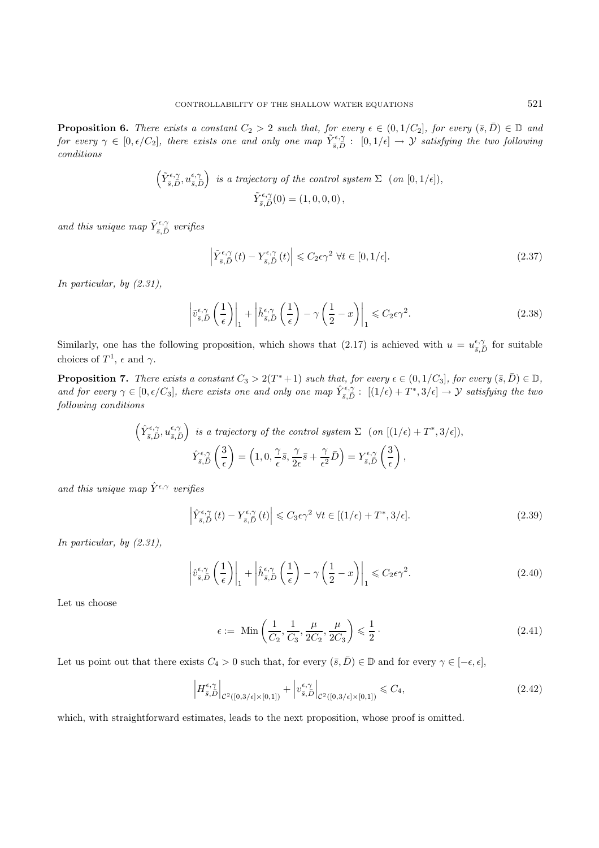**Proposition 6.** *There exists a constant*  $C_2 > 2$  *such that, for every*  $\epsilon \in (0, 1/C_2]$ *, for every*  $(\bar{s}, \bar{D}) \in \mathbb{D}$  *and for every*  $\gamma \in [0, \epsilon/C_2]$ , there exists one and only one map  $\tilde{Y}_{\bar{s},D}^{\epsilon,\gamma} : [0,1/\epsilon] \to \mathcal{Y}$  *satisfying the two following*<br>conditions *conditions*

$$
\left(\tilde{Y}_{\bar{s},\bar{D}}^{\epsilon,\gamma},u_{\bar{s},\bar{D}}^{\epsilon,\gamma}\right) \text{ is a trajectory of the control system } \Sigma \text{ (on } [0,1/\epsilon]),
$$
  

$$
\tilde{Y}_{\bar{s},\bar{D}}^{\epsilon,\gamma}(0) = (1,0,0,0),
$$

and this unique map  $\tilde{Y}_{\bar{s}, \bar{D}}^{\epsilon, \gamma}$  verifies

$$
\left| \tilde{Y}_{\bar{s},\bar{D}}^{\epsilon,\gamma}(t) - Y_{\bar{s},\bar{D}}^{\epsilon,\gamma}(t) \right| \leqslant C_2 \epsilon \gamma^2 \ \forall t \in [0,1/\epsilon]. \tag{2.37}
$$

*In particular, by (2.31),*

$$
\left| \tilde{v}_{\bar{s},\bar{D}}^{\epsilon,\gamma} \left( \frac{1}{\epsilon} \right) \right|_1 + \left| \tilde{h}_{\bar{s},\bar{D}}^{\epsilon,\gamma} \left( \frac{1}{\epsilon} \right) - \gamma \left( \frac{1}{2} - x \right) \right|_1 \leq C_2 \epsilon \gamma^2.
$$
 (2.38)

Similarly, one has the following proposition, which shows that (2.17) is achieved with  $u = u_{\bar{s},\bar{D}}^{\epsilon,\gamma}$  for suitable choices of  $T<sup>1</sup>$ , and so choices of  $T^1$ ,  $\epsilon$  and  $\gamma$ .

**Proposition 7.** *There exists a constant*  $C_3 > 2(T^*+1)$  *such that, for every*  $\epsilon \in (0, 1/C_3]$ *, for every*  $(\bar{s}, \bar{D}) \in \mathbb{D}$ *,* and for every  $\gamma \in [0, \epsilon/C_3]$ , there exists one and only one map  $\hat{Y}_{\bar{s}, \bar{D}}^{\epsilon, \gamma}$ :  $[(1/\epsilon) + T^*, 3/\epsilon] \to Y$  *satisfying the two*<br>following conditions *following conditions*

$$
\left(\hat{Y}_{\bar{s},\bar{D}}^{\epsilon,\gamma},u_{\bar{s},\bar{D}}^{\epsilon,\gamma}\right) \text{ is a trajectory of the control system } \Sigma \text{ (on } [(1/\epsilon)+T^*,3/\epsilon]),
$$
\n
$$
\hat{Y}_{\bar{s},\bar{D}}^{\epsilon,\gamma}\left(\frac{3}{\epsilon}\right) = \left(1,0,\frac{\gamma}{\epsilon}\bar{s},\frac{\gamma}{2\epsilon}\bar{s} + \frac{\gamma}{\epsilon^2}\bar{D}\right) = Y_{\bar{s},\bar{D}}^{\epsilon,\gamma}\left(\frac{3}{\epsilon}\right),
$$

*and this unique map*  $\hat{Y}^{\epsilon,\gamma}$  *verifies* 

$$
\left| \hat{Y}_{\bar{s},\bar{D}}^{\epsilon,\gamma}(t) - Y_{\bar{s},\bar{D}}^{\epsilon,\gamma}(t) \right| \leq C_3 \epsilon \gamma^2 \ \forall t \in [(1/\epsilon) + T^*, 3/\epsilon]. \tag{2.39}
$$

*In particular, by (2.31),*

$$
\left| \hat{v}_{\bar{s},D}^{\epsilon,\gamma} \left( \frac{1}{\epsilon} \right) \right|_1 + \left| \hat{h}_{\bar{s},D}^{\epsilon,\gamma} \left( \frac{1}{\epsilon} \right) - \gamma \left( \frac{1}{2} - x \right) \right|_1 \leqslant C_2 \epsilon \gamma^2. \tag{2.40}
$$

Let us choose

$$
\epsilon := \min\left(\frac{1}{C_2}, \frac{1}{C_3}, \frac{\mu}{2C_2}, \frac{\mu}{2C_3}\right) \leq \frac{1}{2} \,. \tag{2.41}
$$

Let us point out that there exists  $C_4 > 0$  such that, for every  $(\bar{s}, \bar{D}) \in \mathbb{D}$  and for every  $\gamma \in [-\epsilon, \epsilon],$ 

$$
\left| H_{\overline{s},\overline{D}}^{\epsilon,\gamma} \right|_{\mathcal{C}^2([0,3/\epsilon]\times[0,1])} + \left| v_{\overline{s},\overline{D}}^{\epsilon,\gamma} \right|_{\mathcal{C}^2([0,3/\epsilon]\times[0,1])} \leqslant C_4,
$$
\n(2.42)

which, with straightforward estimates, leads to the next proposition, whose proof is omitted.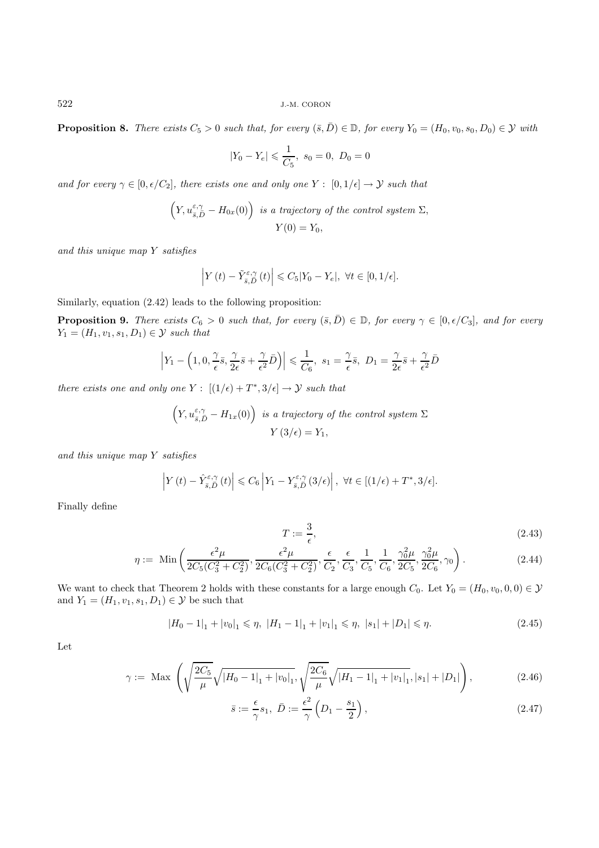**Proposition 8.** *There exists*  $C_5 > 0$  *such that, for every*  $(\bar{s}, \bar{D}) \in \mathbb{D}$ *, for every*  $Y_0 = (H_0, v_0, s_0, D_0) \in \mathcal{Y}$  *with* 

$$
|Y_0 - Y_e| \leq \frac{1}{C_5}, \ s_0 = 0, \ D_0 = 0
$$

*and for every*  $\gamma \in [0, \epsilon/C_2]$ , there exists one and only one Y :  $[0, 1/\epsilon] \rightarrow Y$  *such that* 

$$
\left(Y, u_{\bar{s}, \bar{D}}^{\varepsilon, \gamma} - H_{0x}(0)\right) \text{ is a trajectory of the control system } \Sigma,
$$
  

$$
Y(0) = Y_0,
$$

*and this unique map* Y *satisfies*

$$
\left| Y(t) - \tilde{Y}_{\bar{s},\bar{D}}^{\varepsilon,\gamma}(t) \right| \leqslant C_5 |Y_0 - Y_e|, \ \forall t \in [0,1/\epsilon].
$$

Similarly, equation (2.42) leads to the following proposition:

**Proposition 9.** *There exists*  $C_6 > 0$  *such that, for every*  $(\bar{s}, \bar{D}) \in \mathbb{D}$ *, for every*  $\gamma \in [0, \epsilon/C_3]$ *, and for every*  $Y_1 = (H_1, v_1, s_1, D_1) \in \mathcal{Y}$  *such that* 

$$
\left| Y_1 - \left( 1, 0, \frac{\gamma}{\epsilon} \bar{s}, \frac{\gamma}{2\epsilon} \bar{s} + \frac{\gamma}{\epsilon^2} \bar{D} \right) \right| \leq \frac{1}{C_6}, \ s_1 = \frac{\gamma}{\epsilon} \bar{s}, \ D_1 = \frac{\gamma}{2\epsilon} \bar{s} + \frac{\gamma}{\epsilon^2} \bar{D}
$$

*there exists one and only one*  $Y: [(1/\epsilon) + T^*, 3/\epsilon] \rightarrow \mathcal{Y}$  *such that* 

$$
\left(Y, u_{\bar{s}, \bar{D}}^{\varepsilon, \gamma} - H_{1x}(0)\right) \text{ is a trajectory of the control system } \Sigma
$$

$$
Y(3/\epsilon) = Y_1,
$$

*and this unique map* Y *satisfies*

$$
\left| Y(t) - \hat{Y}_{\bar{s},\bar{D}}^{\varepsilon,\gamma}(t) \right| \leqslant C_6 \left| Y_1 - Y_{\bar{s},\bar{D}}^{\varepsilon,\gamma}(3/\epsilon) \right|, \ \forall t \in [(1/\epsilon) + T^*, 3/\epsilon].
$$

 ${\cal T}$ 

Finally define

$$
:= \frac{3}{\epsilon},\tag{2.43}
$$

$$
\eta := \text{Min}\left(\frac{\epsilon^2 \mu}{2C_5(C_3^2 + C_2^2)}, \frac{\epsilon^2 \mu}{2C_6(C_3^2 + C_2^2)}, \frac{\epsilon}{C_2}, \frac{\epsilon}{C_3}, \frac{1}{C_5}, \frac{1}{C_6}, \frac{\gamma_0^2 \mu}{2C_5}, \frac{\gamma_0^2 \mu}{2C_6}, \gamma_0\right). \tag{2.44}
$$

We want to check that Theorem 2 holds with these constants for a large enough  $C_0$ . Let  $Y_0 = (H_0, v_0, 0, 0) \in \mathcal{Y}$ and  $Y_1 = (H_1, v_1, s_1, D_1) \in \mathcal{Y}$  be such that

$$
|H_0 - 1|_1 + |v_0|_1 \le \eta, |H_1 - 1|_1 + |v_1|_1 \le \eta, |s_1| + |D_1| \le \eta.
$$
\n(2.45)

Let

$$
\gamma := \text{Max}\left(\sqrt{\frac{2C_5}{\mu}}\sqrt{|H_0 - 1|_1 + |v_0|_1}, \sqrt{\frac{2C_6}{\mu}}\sqrt{|H_1 - 1|_1 + |v_1|_1}, |s_1| + |D_1|\right),\tag{2.46}
$$

$$
\bar{s} := \frac{\epsilon}{\gamma} s_1, \ \bar{D} := \frac{\epsilon^2}{\gamma} \left( D_1 - \frac{s_1}{2} \right), \tag{2.47}
$$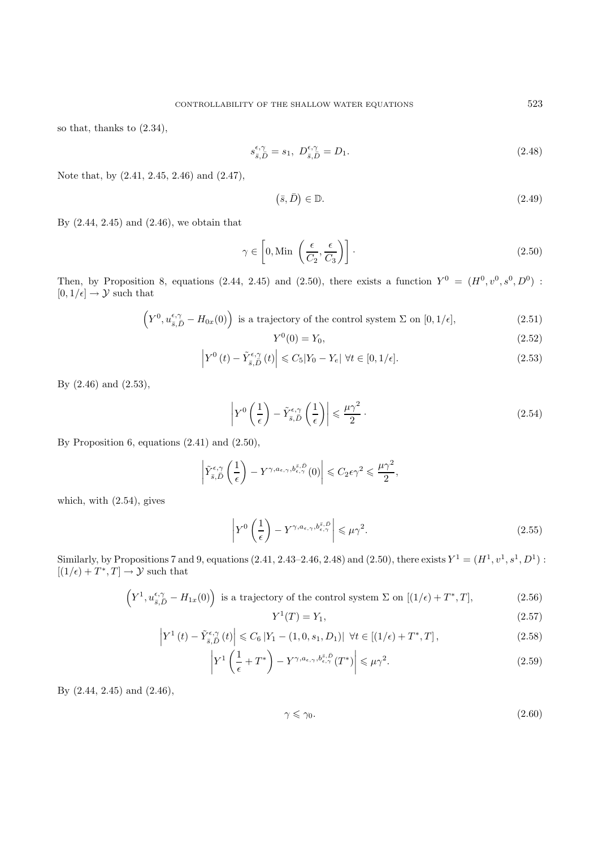so that, thanks to (2.34),

$$
s_{\bar{s},\bar{D}}^{\epsilon,\gamma} = s_1, \ D_{\bar{s},\bar{D}}^{\epsilon,\gamma} = D_1.
$$
 (2.48)

Note that, by (2.41, 2.45, 2.46) and (2.47),

$$
(\bar{s}, \bar{D}) \in \mathbb{D}.\tag{2.49}
$$

By (2.44, 2.45) and (2.46), we obtain that

$$
\gamma \in \left[0, \text{Min}\left(\frac{\epsilon}{C_2}, \frac{\epsilon}{C_3}\right)\right].\tag{2.50}
$$

Then, by Proposition 8, equations (2.44, 2.45) and (2.50), there exists a function  $Y^0 = (H^0, v^0, s^0, D^0)$ :  $[0, 1/\epsilon] \rightarrow \mathcal{Y}$  such that

$$
\left(Y^{0}, u_{\bar{s}, \bar{D}}^{\epsilon, \gamma} - H_{0x}(0)\right) \text{ is a trajectory of the control system } \Sigma \text{ on } [0, 1/\epsilon],\tag{2.51}
$$

$$
Y^0(0) = Y_0,\t\t(2.52)
$$

$$
\left| Y^{0}\left(t\right) - \tilde{Y}_{\bar{s},\bar{D}}^{\epsilon,\gamma}\left(t\right) \right| \leqslant C_{5}|Y_{0} - Y_{\epsilon}| \ \forall t \in [0,1/\epsilon]. \tag{2.53}
$$

By (2.46) and (2.53),

$$
\left| Y^{0} \left( \frac{1}{\epsilon} \right) - \tilde{Y}_{\bar{s}, \bar{D}}^{\epsilon, \gamma} \left( \frac{1}{\epsilon} \right) \right| \leq \frac{\mu \gamma^{2}}{2} . \tag{2.54}
$$

By Proposition 6, equations (2.41) and (2.50),

$$
\left|\tilde Y_{\bar s,\bar D}^{\epsilon,\gamma}\left(\frac{1}{\epsilon}\right)-Y^{\gamma,a_{\epsilon,\gamma},b_{\epsilon,\gamma}^{\bar s,\bar D}}(0)\right|\leqslant C_2\epsilon\gamma^2\leqslant\frac{\mu\gamma^2}{2},
$$

which, with (2.54), gives

$$
\left| Y^{0} \left( \frac{1}{\epsilon} \right) - Y^{\gamma, a_{\epsilon, \gamma}, b_{\epsilon, \gamma}^{s, \bar{D}}} \right| \leqslant \mu \gamma^{2}.
$$
\n(2.55)

Similarly, by Propositions 7 and 9, equations (2.41, 2.43–2.46, 2.48) and (2.50), there exists  $Y^1 = (H^1, v^1, s^1, D^1)$ :  $[(1/\epsilon) + T^*, T] \rightarrow \mathcal{Y}$  such that

$$
\left(Y^{1}, u_{\bar{s}, \bar{D}}^{\epsilon, \gamma} - H_{1x}(0)\right) \text{ is a trajectory of the control system } \Sigma \text{ on } [(1/\epsilon) + T^{*}, T],\tag{2.56}
$$

$$
Y^1(T) = Y_1,\t\t(2.57)
$$

$$
\left| Y^{1}(t) - \tilde{Y}_{\bar{s},\bar{D}}^{\epsilon,\gamma}(t) \right| \leq C_{6} \left| Y_{1} - (1,0,s_{1},D_{1}) \right| \ \forall t \in [(1/\epsilon) + T^{*},T], \tag{2.58}
$$

$$
\left| Y^1 \left( \frac{1}{\epsilon} + T^* \right) - Y^{\gamma, a_{\epsilon, \gamma}, b_{\epsilon, \gamma}^{\bar{s}, \bar{D}}}(T^*) \right| \leqslant \mu \gamma^2. \tag{2.59}
$$

By (2.44, 2.45) and (2.46),

$$
\gamma \leqslant \gamma_0. \tag{2.60}
$$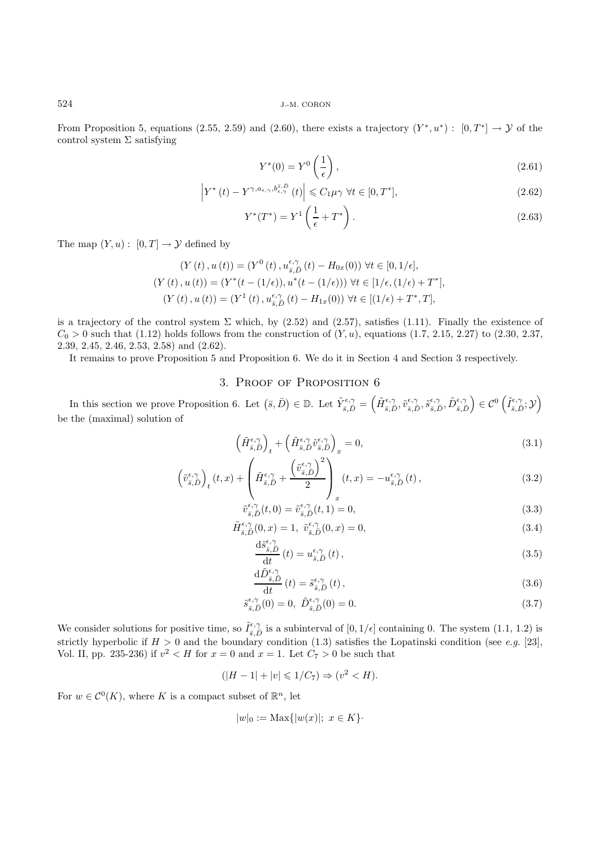From Proposition 5, equations (2.55, 2.59) and (2.60), there exists a trajectory  $(Y^*, u^*)$ :  $[0, T^*] \to \mathcal{Y}$  of the control system  $\Sigma$  satisfying

$$
Y^*(0) = Y^0 \left(\frac{1}{\epsilon}\right),\tag{2.61}
$$

$$
\left| Y^*(t) - Y^{\gamma, a_{\epsilon,\gamma}, b_{\epsilon,\gamma}^{\bar{s}, \bar{D}}}(t) \right| \leqslant C_1 \mu \gamma \ \forall t \in [0, T^*],\tag{2.62}
$$

$$
Y^*(T^*) = Y^1 \left(\frac{1}{\epsilon} + T^*\right). \tag{2.63}
$$

The map  $(Y, u) : [0, T] \to Y$  defined by

$$
(Y(t), u(t)) = (Y^0(t), u^{\epsilon,\gamma}_{\bar{s},\bar{D}}(t) - H_{0x}(0)) \ \forall t \in [0, 1/\epsilon],
$$
  

$$
(Y(t), u(t)) = (Y^*(t - (1/\epsilon)), u^*(t - (1/\epsilon))) \ \forall t \in [1/\epsilon, (1/\epsilon) + T^*],
$$
  

$$
(Y(t), u(t)) = (Y^1(t), u^{\epsilon,\gamma}_{\bar{s},\bar{D}}(t) - H_{1x}(0)) \ \forall t \in [(1/\epsilon) + T^*, T],
$$

is a trajectory of the control system  $\Sigma$  which, by (2.52) and (2.57), satisfies (1.11). Finally the existence of  $C_0 > 0$  such that (1.12) holds follows from the construction of  $(Y, u)$ , equations (1.7, 2.15, 2.27) to (2.30, 2.37, 2.39, 2.45, 2.46, 2.53, 2.58) and (2.62).

It remains to prove Proposition 5 and Proposition 6. We do it in Section 4 and Section 3 respectively.

## 3. Proof of Proposition 6

In this section we prove Proposition 6. Let  $(\bar{s}, \bar{D}) \in \mathbb{D}$ . Let  $\tilde{Y}_{\bar{s}, \bar{D}}^{\epsilon, \gamma} = (\tilde{H}_{\bar{s}, \bar{D}}^{\epsilon, \gamma}, \tilde{v}_{\bar{s}, \bar{D}}^{\epsilon, \gamma}, \tilde{S}_{\bar{s}, \bar{D}}^{\epsilon, \gamma}, \tilde{D}_{\bar{s}, \bar{D}}^{\epsilon, \gamma}) \in \mathcal{C}^0(\tilde{I}_{\bar{s}, \bar{D}}^{\epsilon, \gamma}; \mathcal{Y})$ be the (maximal) solution of

$$
\left(\tilde{H}_{\bar{s},\bar{D}}^{\epsilon,\gamma}\right)_t + \left(\tilde{H}_{\bar{s},\bar{D}}^{\epsilon,\gamma}\tilde{v}_{\bar{s},\bar{D}}^{\epsilon,\gamma}\right)_x = 0,\tag{3.1}
$$

$$
\left(\tilde{v}_{\bar{s},\bar{D}}^{\epsilon,\gamma}\right)_t(t,x) + \left(\tilde{H}_{\bar{s},\bar{D}}^{\epsilon,\gamma} + \frac{\left(\tilde{v}_{\bar{s},\bar{D}}^{\epsilon,\gamma}\right)^2}{2}\right)_{x}(t,x) = -u_{\bar{s},\bar{D}}^{\epsilon,\gamma}(t),\tag{3.2}
$$

$$
\tilde{v}_{\bar{s},\bar{D}}^{\epsilon,\gamma}(t,0) = \tilde{v}_{\bar{s},\bar{D}}^{\epsilon,\gamma}(t,1) = 0,\tag{3.3}
$$

$$
\tilde{H}_{\bar{s},\bar{D}}^{\epsilon,\gamma}(0,x) = 1, \quad \tilde{v}_{\bar{s},\bar{D}}^{\epsilon,\gamma}(0,x) = 0,\tag{3.4}
$$

$$
\frac{\mathrm{d}\tilde{s}_{\bar{s},\bar{D}}^{\epsilon,\gamma}}{\mathrm{d}t}(t) = u_{\bar{s},\bar{D}}^{\epsilon,\gamma}(t),\tag{3.5}
$$

$$
\frac{\mathrm{d}\tilde{D}_{\bar{s},\bar{D}}^{\epsilon,\gamma}}{\mathrm{d}t}(t) = \tilde{s}_{\bar{s},\bar{D}}^{\epsilon,\gamma}(t),\tag{3.6}
$$

$$
\tilde{s}_{\bar{s},\bar{D}}^{\epsilon,\gamma}(0) = 0, \ \tilde{D}_{\bar{s},\bar{D}}^{\epsilon,\gamma}(0) = 0. \tag{3.7}
$$

We consider solutions for positive time, so  $\tilde{I}_{\varepsilon,\tilde{D}}^{\varepsilon,\gamma}$  is a subinterval of  $[0,1/\epsilon]$  containing 0. The system  $(1.1, 1.2)$  is a strictly hypotholic if  $H > 0$  and the boundary condition (1.2) atisfies the L strictly hyperbolic if  $H > 0$  and the boundary condition (1.3) satisfies the Lopatinski condition (see *e.g.* [23], Vol. II, pp. 235-236) if  $v^2 < H$  for  $x = 0$  and  $x = 1$ . Let  $C_7 > 0$  be such that

$$
(|H - 1| + |v| \le 1/C_7) \Rightarrow (v^2 < H).
$$

For  $w \in C^{0}(K)$ , where K is a compact subset of  $\mathbb{R}^{n}$ , let

$$
|w|_0 := \text{Max}\{|w(x)|; x \in K\}.
$$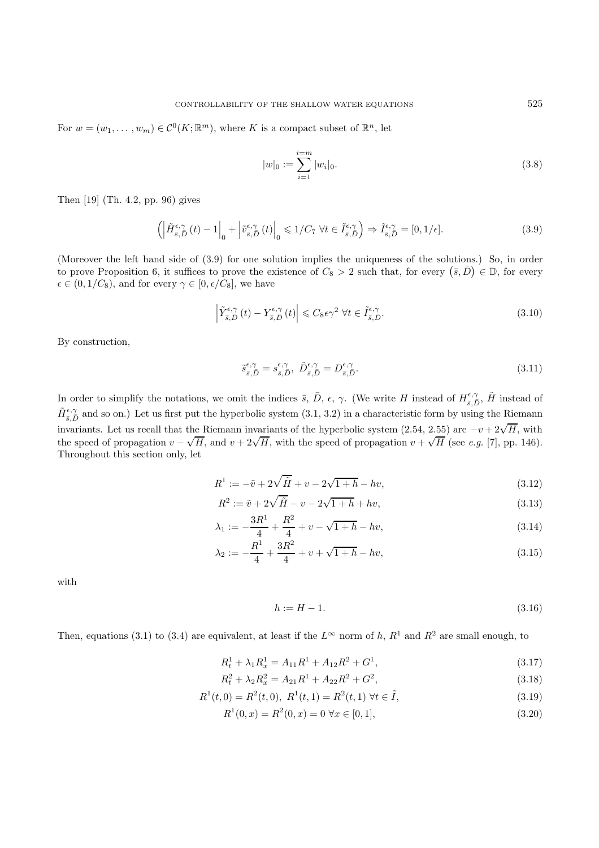For  $w = (w_1, \ldots, w_m) \in C^0(K; \mathbb{R}^m)$ , where K is a compact subset of  $\mathbb{R}^n$ , let

$$
|w|_0 := \sum_{i=1}^{i=m} |w_i|_0.
$$
 (3.8)

Then [19] (Th. 4.2, pp. 96) gives

$$
\left( \left| \tilde{H}_{\bar{s},\bar{D}}^{\epsilon,\gamma}(t) - 1 \right|_0 + \left| \tilde{v}_{\bar{s},\bar{D}}^{\epsilon,\gamma}(t) \right|_0 \leqslant 1/C_7 \ \forall t \in \tilde{I}_{\bar{s},\bar{D}}^{\epsilon,\gamma} \right) \Rightarrow \tilde{I}_{\bar{s},\bar{D}}^{\epsilon,\gamma} = [0,1/\epsilon]. \tag{3.9}
$$

(Moreover the left hand side of (3.9) for one solution implies the uniqueness of the solutions.) So, in order to prove Proposition 6, it suffices to prove the existence of  $C_8 > 2$  such that, for every  $(\bar{s}, \bar{D}) \in \mathbb{D}$ , for every  $\epsilon \in (0, 1/C_8)$ , and for every  $\gamma \in [0, \epsilon/C_8]$ , we have

$$
\left| \tilde{Y}_{\bar{s},\bar{D}}^{\epsilon,\gamma}(t) - Y_{\bar{s},\bar{D}}^{\epsilon,\gamma}(t) \right| \leq C_8 \epsilon \gamma^2 \ \forall t \in \tilde{I}_{\bar{s},\bar{D}}^{\epsilon,\gamma}.
$$
\n(3.10)

By construction,

$$
\tilde{s}_{\bar{s},\bar{D}}^{\epsilon,\gamma} = s_{\bar{s},\bar{D}}^{\epsilon,\gamma}, \ \tilde{D}_{\bar{s},\bar{D}}^{\epsilon,\gamma} = D_{\bar{s},\bar{D}}^{\epsilon,\gamma}.
$$
\n(3.11)

In order to simplify the notations, we omit the indices  $\bar{s}$ ,  $\bar{D}$ ,  $\epsilon$ ,  $\gamma$ . (We write H instead of  $H_{\bar{s},\bar{D}}^{\epsilon,\gamma}$ ,  $\tilde{H}$  instead of  $\tilde{H}_{s,\overline{D}}^{\epsilon,\gamma}$  and so on.) Let us first put the hyperbolic system  $(3.1, 3.2)$  in a characteristic form by using the Riemann  $\sum_{s,D}$  and so only not as mot put the hyperbolic system (3.1, 3.2) in a sharedeement form sy asing the recent minimizarities. Let us recall that the Riemann invariants of the hyperbolic system (2.54, 2.55) are  $-v+2\sqrt{H}$ the speed of propagation  $v - \sqrt{H}$ , and  $v + 2\sqrt{H}$ , with the speed of propagation  $v + \sqrt{H}$  (see *e.g.* [7], pp. 146). Throughout this section only, let

$$
R^{1} := -\tilde{v} + 2\sqrt{\tilde{H}} + v - 2\sqrt{1 + h} - hv,
$$
\n(3.12)

$$
R^2 := \tilde{v} + 2\sqrt{\tilde{H}} - v - 2\sqrt{1 + h} + hv,
$$
\n(3.13)

$$
\lambda_1 := -\frac{3R^1}{4} + \frac{R^2}{4} + v - \sqrt{1+h} - hv,\tag{3.14}
$$

$$
\lambda_2 := -\frac{R^1}{4} + \frac{3R^2}{4} + v + \sqrt{1+h} - hv,\tag{3.15}
$$

with

$$
h := H - 1.\tag{3.16}
$$

Then, equations (3.1) to (3.4) are equivalent, at least if the  $L^{\infty}$  norm of h,  $R^1$  and  $R^2$  are small enough, to

$$
R_t^1 + \lambda_1 R_x^1 = A_{11}R^1 + A_{12}R^2 + G^1,\tag{3.17}
$$

$$
R_t^2 + \lambda_2 R_x^2 = A_{21}R^1 + A_{22}R^2 + G^2,
$$
\n(3.18)

$$
R^{1}(t,0) = R^{2}(t,0), R^{1}(t,1) = R^{2}(t,1) \,\forall t \in \tilde{I},
$$
\n(3.19)

$$
R^{1}(0,x) = R^{2}(0,x) = 0 \,\forall x \in [0,1],
$$
\n(3.20)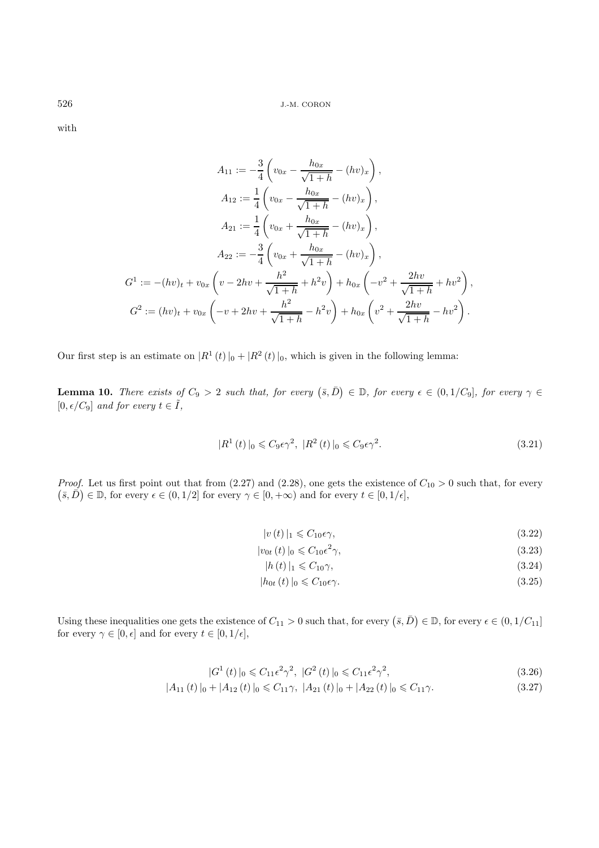with

$$
A_{11} := -\frac{3}{4} \left( v_{0x} - \frac{h_{0x}}{\sqrt{1+h}} - (hv)_x \right),
$$
  
\n
$$
A_{12} := \frac{1}{4} \left( v_{0x} - \frac{h_{0x}}{\sqrt{1+h}} - (hv)_x \right),
$$
  
\n
$$
A_{21} := \frac{1}{4} \left( v_{0x} + \frac{h_{0x}}{\sqrt{1+h}} - (hv)_x \right),
$$
  
\n
$$
A_{22} := -\frac{3}{4} \left( v_{0x} + \frac{h_{0x}}{\sqrt{1+h}} - (hv)_x \right),
$$
  
\n
$$
G^1 := -(hv)_t + v_{0x} \left( v - 2hv + \frac{h^2}{\sqrt{1+h}} + h^2v \right) + h_{0x} \left( -v^2 + \frac{2hv}{\sqrt{1+h}} + hv^2 \right),
$$
  
\n
$$
G^2 := (hv)_t + v_{0x} \left( -v + 2hv + \frac{h^2}{\sqrt{1+h}} - h^2v \right) + h_{0x} \left( v^2 + \frac{2hv}{\sqrt{1+h}} - hv^2 \right).
$$

Our first step is an estimate on  $|R^1(t)|_0 + |R^2(t)|_0$ , which is given in the following lemma:

**Lemma 10.** *There exists of*  $C_9 > 2$  *such that, for every*  $(\bar{s}, \bar{D}) \in \mathbb{D}$ *, for every*  $\epsilon \in (0, 1/C_9]$ *, for every*  $\gamma \in$  $[0, \epsilon/C_9]$  *and for every*  $t \in \tilde{I}$ ,

$$
|R^1(t)|_0 \leqslant C_9 \epsilon \gamma^2, \ |R^2(t)|_0 \leqslant C_9 \epsilon \gamma^2. \tag{3.21}
$$

*Proof.* Let us first point out that from  $(2.27)$  and  $(2.28)$ , one gets the existence of  $C_{10} > 0$  such that, for every  $(\overline{s}, \overline{D}) \in \mathbb{D}$ , for every  $\epsilon \in (0, 1/2]$  for every  $\gamma \in [0, +\infty)$  and for every  $t \in [0, 1/\epsilon]$ ,

$$
|v(t)|_1 \leqslant C_{10}\epsilon\gamma,\tag{3.22}
$$

$$
|v_{0t}(t)|_0 \leqslant C_{10} \epsilon^2 \gamma,
$$
\n(3.23)

$$
|h(t)|_1 \leqslant C_{10}\gamma,\tag{3.24}
$$

$$
|h_{0t}(t)|_0 \leqslant C_{10}\epsilon \gamma. \tag{3.25}
$$

Using these inequalities one gets the existence of  $C_{11} > 0$  such that, for every  $(\bar{s}, \bar{D}) \in \mathbb{D}$ , for every  $\epsilon \in (0, 1/C_{11}]$ for every  $\gamma \in [0, \epsilon]$  and for every  $t \in [0, 1/\epsilon]$ ,

$$
|G^{1}(t)|_{0} \leq C_{11} \epsilon^{2} \gamma^{2}, \ |G^{2}(t)|_{0} \leq C_{11} \epsilon^{2} \gamma^{2}, \tag{3.26}
$$

$$
|A_{11}(t)|_0 + |A_{12}(t)|_0 \le C_{11}\gamma, \ |A_{21}(t)|_0 + |A_{22}(t)|_0 \le C_{11}\gamma.
$$
 (3.27)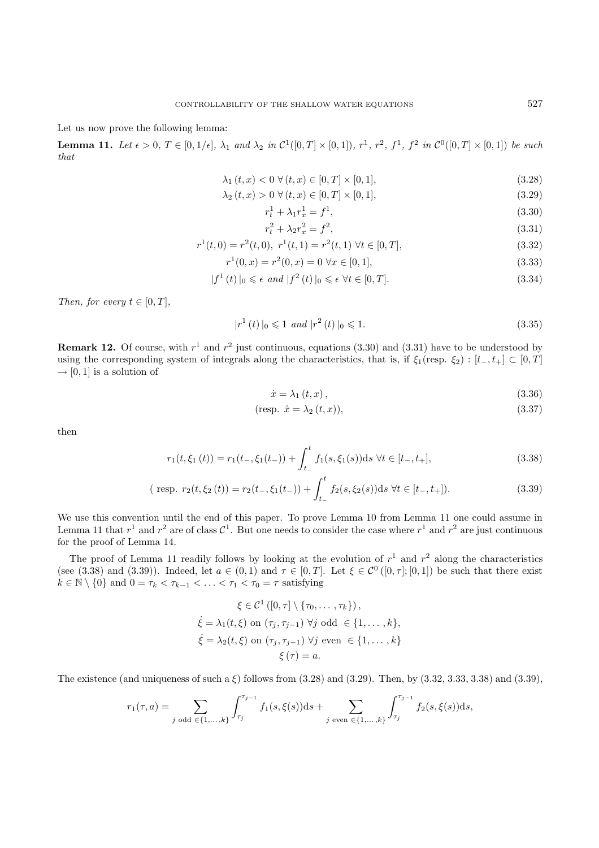Let us now prove the following lemma:

**Lemma 11.** Let  $\epsilon > 0$ ,  $T \in [0, 1/\epsilon]$ ,  $\lambda_1$  and  $\lambda_2$  in  $\mathcal{C}^1([0, T] \times [0, 1])$ ,  $r^1$ ,  $r^2$ ,  $f^1$ ,  $f^2$  in  $\mathcal{C}^0([0, T] \times [0, 1])$  be such *that*

$$
\lambda_1(t, x) < 0 \ \forall \, (t, x) \in [0, T] \times [0, 1],\tag{3.28}
$$

$$
\lambda_2(t, x) > 0 \ \forall (t, x) \in [0, T] \times [0, 1], \tag{3.29}
$$

$$
r_t^1 + \lambda_1 r_x^1 = f^1,\tag{3.30}
$$

$$
r_t^2 + \lambda_2 r_x^2 = f^2,
$$
\n(3.31)  
\n
$$
r^1(t, 0) = r^2(t, 0), \ r^1(t, 1) = r^2(t, 1) \ \forall t \in [0, T],
$$
\n(3.32)

$$
x^2(t,0) = r^2(t,0), \ r^2(t,1) = r^2(t,1) \ \forall t \in [0,1],
$$
\n
$$
r^1(0,x) = r^2(0,x) = 0 \ \forall x \in [0,1].
$$
\n(3.33)

$$
r^{\mu}(0, x) = r^{\mu}(0, x) = 0 \,\forall x \in [0, 1],\tag{3.33}
$$

$$
|f^{1}(t)|_{0} \leqslant \epsilon \ and \ |f^{2}(t)|_{0} \leqslant \epsilon \ \forall t \in [0, T]. \tag{3.34}
$$

*Then, for every*  $t \in [0, T]$ *,* 

$$
|r^1(t)|_0 \leq 1 \text{ and } |r^2(t)|_0 \leq 1. \tag{3.35}
$$

**Remark 12.** Of course, with  $r^1$  and  $r^2$  just continuous, equations (3.30) and (3.31) have to be understood by using the corresponding system of integrals along the characteristics, that is, if  $\xi_1$ (resp.  $\xi_2$ ): [t\_, t<sub>+</sub>] ⊂ [0, T]  $\rightarrow$  [0, 1] is a solution of

$$
\dot{x} = \lambda_1 \left( t, x \right), \tag{3.36}
$$

$$
(\text{resp. } \dot{x} = \lambda_2(t, x)),\tag{3.37}
$$

then

$$
r_1(t,\xi_1(t)) = r_1(t_-, \xi_1(t_-)) + \int_{t_-}^t f_1(s,\xi_1(s))ds \ \forall t \in [t_-, t_+],
$$
\n(3.38)

$$
(\text{ resp. } r_2(t, \xi_2(t)) = r_2(t_-, \xi_1(t_-)) + \int_{t_-}^t f_2(s, \xi_2(s))ds \ \forall t \in [t_-, t_+]).
$$
\n(3.39)

We use this convention until the end of this paper. To prove Lemma 10 from Lemma 11 one could assume in Lemma 11 that  $r^1$  and  $r^2$  are of class  $\mathcal{C}^1$ . But one needs to consider the case where  $r^1$  and  $r^2$  are just continuous for the proof of Lemma 14.

The proof of Lemma 11 readily follows by looking at the evolution of  $r^1$  and  $r^2$  along the characteristics (see (3.38) and (3.39)). Indeed, let  $a \in (0,1)$  and  $\tau \in [0,T]$ . Let  $\xi \in \mathcal{C}^0([0,\tau];[0,1])$  be such that there exist  $k \in \mathbb{N} \setminus \{0\}$  and  $0 = \tau_k < \tau_{k-1} < \ldots < \tau_1 < \tau_0 = \tau$  satisfying

$$
\xi \in C^1([0, \tau] \setminus \{\tau_0, \dots, \tau_k\}),
$$
  
\n
$$
\xi = \lambda_1(t, \xi) \text{ on } (\tau_j, \tau_{j-1}) \ \forall j \text{ odd } \in \{1, \dots, k\},
$$
  
\n
$$
\xi = \lambda_2(t, \xi) \text{ on } (\tau_j, \tau_{j-1}) \ \forall j \text{ even } \in \{1, \dots, k\}
$$
  
\n
$$
\xi(\tau) = a.
$$

The existence (and uniqueness of such a  $\xi$ ) follows from (3.28) and (3.29). Then, by (3.32, 3.33, 3.38) and (3.39),

$$
r_1(\tau, a) = \sum_{j \text{ odd } \in \{1, \dots, k\}} \int_{\tau_j}^{\tau_{j-1}} f_1(s, \xi(s)) ds + \sum_{j \text{ even } \in \{1, \dots, k\}} \int_{\tau_j}^{\tau_{j-1}} f_2(s, \xi(s)) ds,
$$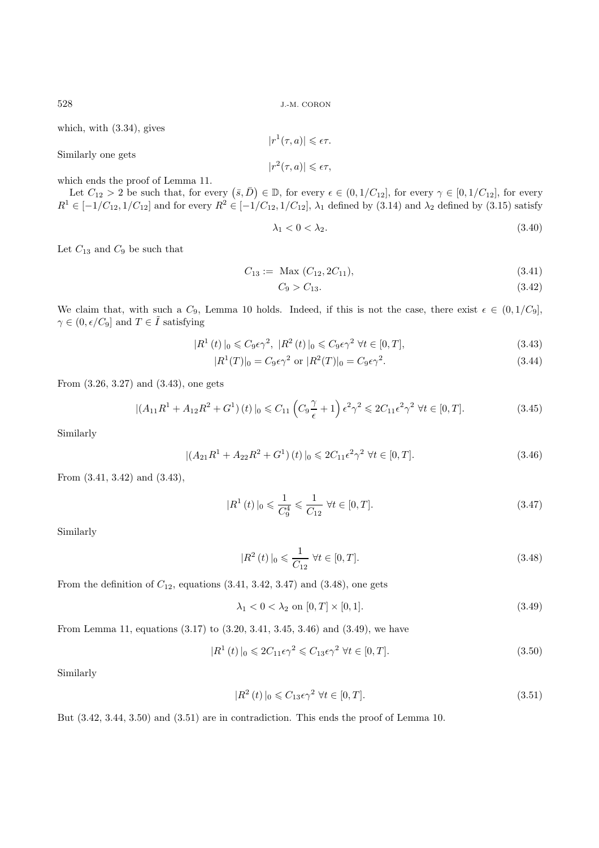which, with (3.34), gives

Similarly one gets

 $|r^2(\tau, a)| \leqslant \epsilon \tau,$ 

 $|r^1(\tau, a)| \leqslant \epsilon \tau.$ 

which ends the proof of Lemma 11.

Let  $C_{12} > 2$  be such that, for every  $(\bar{s}, \bar{D}) \in \mathbb{D}$ , for every  $\epsilon \in (0, 1/C_{12}]$ , for every  $\gamma \in [0, 1/C_{12}]$ , for every  $R^1 \in [-1/C_{12}, 1/C_{12}]$  and for every  $R^2 \in [-1/C_{12}, 1/C_{12}]$ ,  $\lambda_1$  defined by (3.14) and  $\lambda_2$  defined by (3.15) satisfy

$$
\lambda_1 < 0 < \lambda_2. \tag{3.40}
$$

Let  $C_{13}$  and  $C_9$  be such that

$$
C_{13} := \text{Max } (C_{12}, 2C_{11}), \tag{3.41}
$$

$$
C_9 > C_{13}.\tag{3.42}
$$

We claim that, with such a  $C_9$ , Lemma 10 holds. Indeed, if this is not the case, there exist  $\epsilon \in (0, 1/C_9]$ ,  $\gamma \in (0, \epsilon/C_9]$  and  $T \in \tilde{I}$  satisfying

$$
|R^1(t)|_0 \leqslant C_9 \epsilon \gamma^2, \ |R^2(t)|_0 \leqslant C_9 \epsilon \gamma^2 \ \forall t \in [0, T], \tag{3.43}
$$

$$
|R^1(T)|_0 = C_9 \epsilon \gamma^2 \text{ or } |R^2(T)|_0 = C_9 \epsilon \gamma^2. \tag{3.44}
$$

From (3.26, 3.27) and (3.43), one gets

$$
|(A_{11}R^1 + A_{12}R^2 + G^1)(t)|_0 \le C_{11}\left(C_9\frac{\gamma}{\epsilon} + 1\right)\epsilon^2\gamma^2 \le 2C_{11}\epsilon^2\gamma^2 \ \forall t \in [0, T].\tag{3.45}
$$

Similarly

$$
|(A_{21}R^1 + A_{22}R^2 + G^1)(t)|_0 \leq 2C_{11}\epsilon^2\gamma^2 \ \forall t \in [0, T].
$$
\n(3.46)

From (3.41, 3.42) and (3.43),

$$
|R^{1}(t)|_{0} \leq \frac{1}{C_{9}^{4}} \leq \frac{1}{C_{12}} \ \forall t \in [0, T].
$$
\n(3.47)

Similarly

$$
|R^{2}(t)|_{0} \leq \frac{1}{C_{12}} \,\forall t \in [0, T].
$$
\n(3.48)

From the definition of  $C_{12}$ , equations  $(3.41, 3.42, 3.47)$  and  $(3.48)$ , one gets

$$
\lambda_1 < 0 < \lambda_2 \text{ on } [0, T] \times [0, 1].\tag{3.49}
$$

From Lemma 11, equations (3.17) to (3.20, 3.41, 3.45, 3.46) and (3.49), we have

$$
|R^1(t)|_0 \leq 2C_{11}\epsilon\gamma^2 \leq C_{13}\epsilon\gamma^2 \ \forall t \in [0,T].
$$
\n(3.50)

Similarly

$$
|R^2(t)|_0 \leqslant C_{13}\epsilon\gamma^2 \ \forall t \in [0, T].\tag{3.51}
$$

But (3.42, 3.44, 3.50) and (3.51) are in contradiction. This ends the proof of Lemma 10.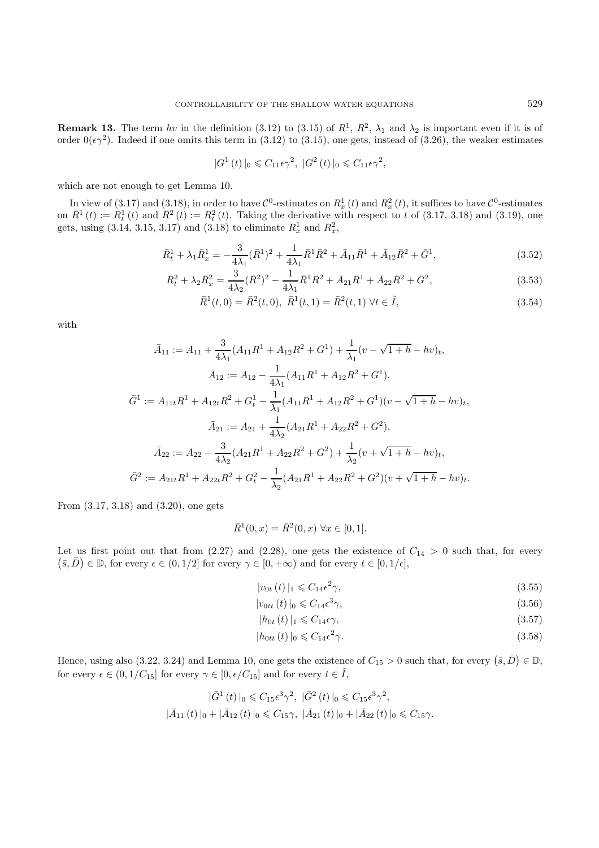**Remark 13.** The term hv in the definition (3.12) to (3.15) of  $R^1$ ,  $R^2$ ,  $\lambda_1$  and  $\lambda_2$  is important even if it is of order  $0(\epsilon \gamma^2)$ . Indeed if one omits this term in (3.12) to (3.15), one gets, instead of (3.26), the weaker estimates

$$
|G^{1}\left(t\right)|_{0} \leqslant C_{11}\epsilon\gamma^{2},\ |G^{2}\left(t\right)|_{0} \leqslant C_{11}\epsilon\gamma^{2},
$$

which are not enough to get Lemma 10.

In view of (3.17) and (3.18), in order to have  $\mathcal{C}^0$ -estimates on  $R_x^1(t)$  and  $R_x^2(t)$ , it suffices to have  $\mathcal{C}^0$ -estimates  $\bar{R}^1(t) \sim R^1(t)$  and  $\bar{R}^2(t) \sim R^2(t)$ . Taking the derivative with respect to t of on  $\bar{R}^1(t) := R_t^1(t)$  and  $\bar{R}^2(t) := R_t^2(t)$ . Taking the derivative with respect to t of (3.17, 3.18) and (3.19), one gets, using  $(3.14, 3.15, 3.17)$  and  $(3.18)$  to eliminate  $R_x^1$  and  $R_x^2$ ,

$$
\bar{R}_t^1 + \lambda_1 \bar{R}_x^1 = -\frac{3}{4\lambda_1} (\bar{R}^1)^2 + \frac{1}{4\lambda_1} \bar{R}^1 \bar{R}^2 + \bar{A}_{11} \bar{R}^1 + \bar{A}_{12} \bar{R}^2 + \bar{G}^1,\tag{3.52}
$$

$$
\bar{R}_t^2 + \lambda_2 \bar{R}_x^2 = \frac{3}{4\lambda_2} (\bar{R}^2)^2 - \frac{1}{4\lambda_1} \bar{R}^1 \bar{R}^2 + \bar{A}_{21} \bar{R}^1 + \bar{A}_{22} \bar{R}^2 + \bar{G}^2, \tag{3.53}
$$

$$
\bar{R}^{1}(t,0) = \bar{R}^{2}(t,0), \ \bar{R}^{1}(t,1) = \bar{R}^{2}(t,1) \ \forall t \in \tilde{I}, \tag{3.54}
$$

with

$$
\bar{A}_{11} := A_{11} + \frac{3}{4\lambda_1}(A_{11}R^1 + A_{12}R^2 + G^1) + \frac{1}{\lambda_1}(v - \sqrt{1+h} - hv)_t,
$$
  

$$
\bar{A}_{12} := A_{12} - \frac{1}{4\lambda_1}(A_{11}R^1 + A_{12}R^2 + G^1),
$$
  

$$
\bar{G}^1 := A_{11t}R^1 + A_{12t}R^2 + G_t^1 - \frac{1}{\lambda_1}(A_{11}R^1 + A_{12}R^2 + G^1)(v - \sqrt{1+h} - hv)_t,
$$
  

$$
\bar{A}_{21} := A_{21} + \frac{1}{4\lambda_2}(A_{21}R^1 + A_{22}R^2 + G^2),
$$
  

$$
\bar{A}_{22} := A_{22} - \frac{3}{4\lambda_2}(A_{21}R^1 + A_{22}R^2 + G^2) + \frac{1}{\lambda_2}(v + \sqrt{1+h} - hv)_t,
$$
  

$$
\bar{G}^2 := A_{21t}R^1 + A_{22t}R^2 + G_t^2 - \frac{1}{\lambda_2}(A_{21}R^1 + A_{22}R^2 + G^2)(v + \sqrt{1+h} - hv)_t.
$$

From (3.17, 3.18) and (3.20), one gets

$$
\bar{R}^1(0, x) = \bar{R}^2(0, x) \,\forall x \in [0, 1].
$$

Let us first point out that from  $(2.27)$  and  $(2.28)$ , one gets the existence of  $C_{14} > 0$  such that, for every  $(\bar{s}, \bar{D}) \in \mathbb{D}$ , for every  $\epsilon \in (0, 1/2]$  for every  $\gamma \in [0, +\infty)$  and for every  $t \in [0, 1/\epsilon]$ ,

$$
|v_{0t}(t)|_1 \leqslant C_{14} \epsilon^2 \gamma,
$$
\n(3.55)

$$
|v_{0tt}(t)|_0 \leqslant C_{14} \epsilon^3 \gamma,\tag{3.56}
$$

$$
|h_{0t}(t)|_1 \leqslant C_{14}\epsilon\gamma,\tag{3.57}
$$

$$
|h_{0tt}(t)|_0 \leqslant C_{14} \epsilon^2 \gamma. \tag{3.58}
$$

Hence, using also  $(3.22, 3.24)$  and Lemma 10, one gets the existence of  $C_{15} > 0$  such that, for every  $(\bar{s}, \bar{D}) \in \mathbb{D}$ , for every  $\epsilon \in (0, 1/C_{15}]$  for every  $\gamma \in [0, \epsilon/C_{15}]$  and for every  $t \in \tilde{I},$ 

$$
|\bar{G}^{1}(t)|_{0} \leq C_{15} \epsilon^{3} \gamma^{2}, \quad |\bar{G}^{2}(t)|_{0} \leq C_{15} \epsilon^{3} \gamma^{2},
$$
  

$$
|\bar{A}_{11}(t)|_{0} + |\bar{A}_{12}(t)|_{0} \leq C_{15} \gamma, \quad |\bar{A}_{21}(t)|_{0} + |\bar{A}_{22}(t)|_{0} \leq C_{15} \gamma.
$$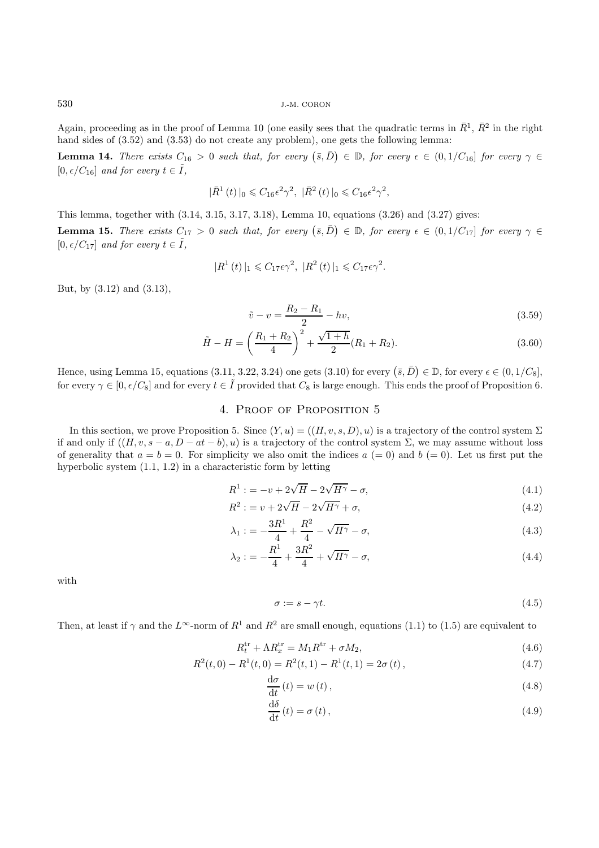Again, proceeding as in the proof of Lemma 10 (one easily sees that the quadratic terms in  $\bar{R}^1$ ,  $\bar{R}^2$  in the right hand sides of  $(3.52)$  and  $(3.53)$  do not create any problem), one gets the following lemma:

**Lemma 14.** *There exists*  $C_{16} > 0$  *such that, for every*  $(\bar{s}, \bar{D}) \in \mathbb{D}$ , *for every*  $\epsilon \in (0, 1/C_{16}]$  *for every*  $\gamma \in$  $[0, \epsilon/C_{16}]$  *and for every*  $t \in \tilde{I}$ ,

$$
|\bar{R}^{1}(t)|_{0} \leq C_{16} \epsilon^{2} \gamma^{2}, \ |\bar{R}^{2}(t)|_{0} \leq C_{16} \epsilon^{2} \gamma^{2},
$$

This lemma, together with (3.14, 3.15, 3.17, 3.18), Lemma 10, equations (3.26) and (3.27) gives: **Lemma 15.** *There exists*  $C_{17} > 0$  *such that, for every*  $(\bar{s}, \bar{D}) \in \mathbb{D}$ , *for every*  $\epsilon \in (0, 1/C_{17}]$  *for every*  $\gamma \in$  $[0, \epsilon/C_{17}]$  *and for every*  $t \in \tilde{I}$ ,

$$
|R^1(t)|_1 \leq C_{17} \epsilon \gamma^2
$$
,  $|R^2(t)|_1 \leq C_{17} \epsilon \gamma^2$ .

But, by (3.12) and (3.13),

$$
\tilde{v} - v = \frac{R_2 - R_1}{2} - hv,\tag{3.59}
$$

$$
\tilde{H} - H = \left(\frac{R_1 + R_2}{4}\right)^2 + \frac{\sqrt{1 + h}}{2} (R_1 + R_2).
$$
\n(3.60)

Hence, using Lemma 15, equations (3.11, 3.22, 3.24) one gets (3.10) for every  $(\bar{s}, \bar{D}) \in \mathbb{D}$ , for every  $\epsilon \in (0, 1/C_8]$ , for every  $\gamma \in [0, \epsilon/C_8]$  and for every  $t \in \tilde{I}$  provided that  $C_8$  is large enough. This ends the proof of Proposition 6.

## 4. Proof of Proposition 5

In this section, we prove Proposition 5. Since  $(Y, u) = ((H, v, s, D), u)$  is a trajectory of the control system  $\Sigma$ if and only if  $((H, v, s - a, D - at - b), u)$  is a trajectory of the control system  $\Sigma$ , we may assume without loss of generality that  $a = b = 0$ . For simplicity we also omit the indices  $a (= 0)$  and  $b (= 0)$ . Let us first put the hyperbolic system (1.1, 1.2) in a characteristic form by letting

$$
R^{1} := -v + 2\sqrt{H} - 2\sqrt{H^{\gamma}} - \sigma,
$$
\n
$$
R^{2} := -v + 2\sqrt{H} - 2\sqrt{H^{\gamma}} - \sigma,
$$
\n
$$
R^{3} := -v + 2\sqrt{H} - 2\sqrt{H^{\gamma}} - \sigma,
$$
\n
$$
R^{4} := -v + 2\sqrt{H} - 2\sqrt{H^{\gamma}} - \sigma,
$$
\n
$$
R^{4} := -v + 2\sqrt{H} - 2\sqrt{H^{\gamma}} - \sigma,
$$
\n
$$
R^{4} := -v + 2\sqrt{H} - 2\sqrt{H^{\gamma}} - \sigma,
$$
\n
$$
R^{4} := -v + 2\sqrt{H} - 2\sqrt{H^{\gamma}} - \sigma,
$$
\n
$$
R^{4} := -v + 2\sqrt{H} - 2\sqrt{H^{\gamma}} - \sigma,
$$
\n
$$
R^{4} := -v + 2\sqrt{H} - 2\sqrt{H^{\gamma}} - \sigma,
$$
\n
$$
R^{4} := -v + 2\sqrt{H} - 2\sqrt{H^{\gamma}} - \sigma,
$$
\n
$$
R^{4} := -v + 2\sqrt{H} - 2\sqrt{H^{\gamma}} - \sigma,
$$
\n
$$
R^{4} := -v + 2\sqrt{H} - 2\sqrt{H^{\gamma}} - \sigma,
$$
\n
$$
R^{4} := -v + 2\sqrt{H} - 2\sqrt{H^{\gamma}} - \sigma,
$$
\n
$$
R^{4} := -v + 2\sqrt{H} - 2\sqrt{H^{\gamma}} - \sigma,
$$
\n
$$
R^{4} := -v + 2\sqrt{H} - 2\sqrt{H^{\gamma}} - \sigma,
$$
\n
$$
R^{4} := -v + 2\sqrt{H} - 2\sqrt{H^{\gamma}} - \sigma,
$$
\n
$$
R^{4} := -v + 2\sqrt{H} - 2\sqrt{H^{\gamma}} - \sigma,
$$
\n
$$
R^{4} := -v + 2\sqrt{H} - 2\sqrt{H^{\gamma}} - \sigma,
$$
\n
$$
R^{4} := -v + 2\sqrt{H} - 2\sqrt{H^{\gamma}} - \sigma,
$$
\n
$$
R^{4} := -v + 2\sqrt{H} - 2
$$

$$
R^2 := v + 2\sqrt{H} - 2\sqrt{H^{\gamma}} + \sigma,\tag{4.2}
$$

$$
\lambda_1 := -\frac{3R^1}{4} + \frac{R^2}{4} - \sqrt{H^{\gamma}} - \sigma,\tag{4.3}
$$

$$
\lambda_2 := -\frac{R^1}{4} + \frac{3R^2}{4} + \sqrt{H^{\gamma}} - \sigma,\tag{4.4}
$$

with

$$
\sigma := s - \gamma t. \tag{4.5}
$$

Then, at least if  $\gamma$  and the  $L^{\infty}$ -norm of  $R^1$  and  $R^2$  are small enough, equations (1.1) to (1.5) are equivalent to

$$
R_t^{\text{tr}} + \Lambda R_x^{\text{tr}} = M_1 R^{\text{tr}} + \sigma M_2, \tag{4.6}
$$

$$
R^{2}(t,0) - R^{1}(t,0) = R^{2}(t,1) - R^{1}(t,1) = 2\sigma(t),
$$
\n(4.7)

$$
\frac{\mathrm{d}\sigma}{\mathrm{d}t}(t) = w(t),\tag{4.8}
$$

$$
\frac{\mathrm{d}\delta}{\mathrm{d}t}(t) = \sigma(t),\tag{4.9}
$$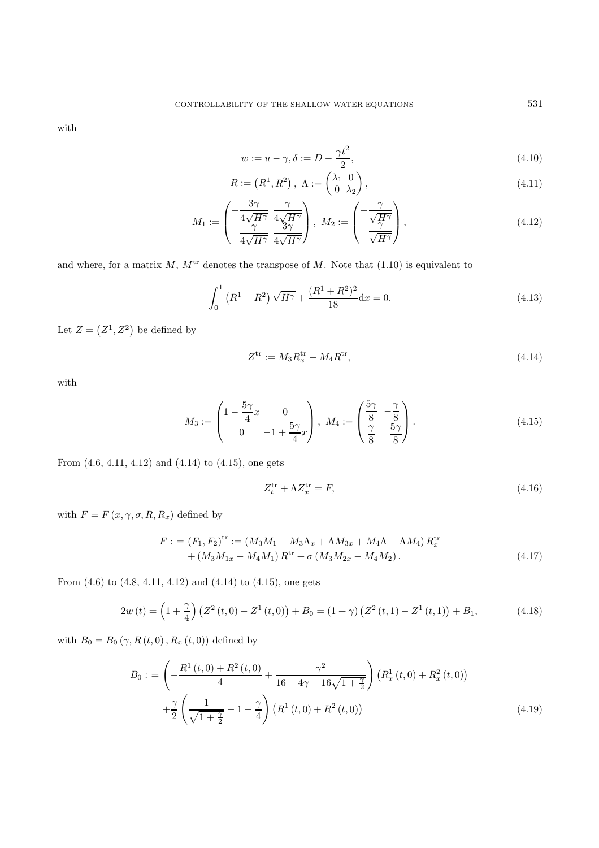with

$$
w := u - \gamma, \delta := D - \frac{\gamma t^2}{2},\tag{4.10}
$$

$$
R := (R^1, R^2), \ \Lambda := \begin{pmatrix} \lambda_1 & 0 \\ 0 & \lambda_2 \end{pmatrix}, \tag{4.11}
$$

$$
M_1 := \begin{pmatrix} -\frac{3\gamma}{4\sqrt{H^{\gamma}}} & \frac{\gamma}{4\sqrt{H^{\gamma}}} \\ -\frac{\gamma}{4\sqrt{H^{\gamma}}} & \frac{3\gamma}{4\sqrt{H^{\gamma}}} \end{pmatrix}, \ M_2 := \begin{pmatrix} -\frac{\gamma}{\sqrt{H^{\gamma}}} \\ -\frac{\gamma}{\sqrt{H^{\gamma}}} \end{pmatrix}, \tag{4.12}
$$

and where, for a matrix  $M, M<sup>tr</sup>$  denotes the transpose of M. Note that (1.10) is equivalent to

$$
\int_0^1 (R^1 + R^2) \sqrt{H^{\gamma}} + \frac{(R^1 + R^2)^2}{18} dx = 0.
$$
 (4.13)

Let  $Z = (Z^1, Z^2)$  be defined by

$$
Z^{\text{tr}} := M_3 R_x^{\text{tr}} - M_4 R^{\text{tr}},\tag{4.14}
$$

with

$$
M_3 := \begin{pmatrix} 1 - \frac{5\gamma}{4}x & 0\\ 0 & -1 + \frac{5\gamma}{4}x \end{pmatrix}, \ M_4 := \begin{pmatrix} \frac{5\gamma}{8} & -\frac{\gamma}{8} \\ \frac{\gamma}{8} & -\frac{5\gamma}{8} \end{pmatrix}.
$$
 (4.15)

From (4.6, 4.11, 4.12) and (4.14) to (4.15), one gets

$$
Z_t^{\text{tr}} + \Lambda Z_x^{\text{tr}} = F,\tag{4.16}
$$

with  $F = F(x, \gamma, \sigma, R, R_x)$  defined by

$$
F := (F_1, F_2)^{\text{tr}} := (M_3 M_1 - M_3 \Lambda_x + \Lambda M_{3x} + M_4 \Lambda - \Lambda M_4) R_x^{\text{tr}} + (M_3 M_{1x} - M_4 M_1) R^{\text{tr}} + \sigma (M_3 M_{2x} - M_4 M_2).
$$
 (4.17)

From (4.6) to (4.8, 4.11, 4.12) and (4.14) to (4.15), one gets

$$
2w(t) = \left(1 + \frac{\gamma}{4}\right) \left(Z^2(t,0) - Z^1(t,0)\right) + B_0 = \left(1 + \gamma\right) \left(Z^2(t,1) - Z^1(t,1)\right) + B_1,\tag{4.18}
$$

with  $B_0 = B_0 (\gamma, R(t, 0), R_x(t, 0))$  defined by

$$
B_0 := \left(-\frac{R^1(t,0) + R^2(t,0)}{4} + \frac{\gamma^2}{16 + 4\gamma + 16\sqrt{1 + \frac{\gamma}{2}}}\right) \left(R_x^1(t,0) + R_x^2(t,0)\right) + \frac{\gamma}{2} \left(\frac{1}{\sqrt{1 + \frac{\gamma}{2}}} - 1 - \frac{\gamma}{4}\right) \left(R^1(t,0) + R^2(t,0)\right)
$$
\n(4.19)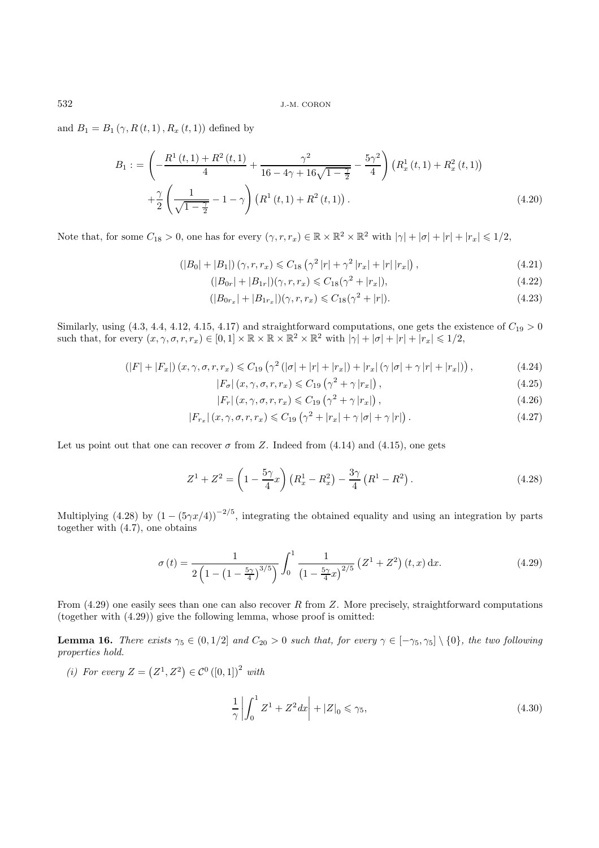and  $B_1 = B_1 (\gamma, R(t, 1), R_x (t, 1))$  defined by

$$
B_1 := \left(-\frac{R^1(t,1) + R^2(t,1)}{4} + \frac{\gamma^2}{16 - 4\gamma + 16\sqrt{1 - \frac{\gamma}{2}}} - \frac{5\gamma^2}{4}\right) \left(R_x^1(t,1) + R_x^2(t,1)\right) + \frac{\gamma}{2} \left(\frac{1}{\sqrt{1 - \frac{\gamma}{2}}} - 1 - \gamma\right) \left(R^1(t,1) + R^2(t,1)\right).
$$
\n(4.20)

Note that, for some  $C_{18} > 0$ , one has for every  $(\gamma, r, r_x) \in \mathbb{R} \times \mathbb{R}^2 \times \mathbb{R}^2$  with  $|\gamma| + |\sigma| + |r_x| \leq 1/2$ ,

$$
(|B_0| + |B_1|) (\gamma, r, r_x) \leq C_{18} (\gamma^2 |r| + \gamma^2 |r_x| + |r| |r_x|), \qquad (4.21)
$$

$$
(|B_{0r}| + |B_{1r}|)(\gamma, r, r_x) \leq C_{18}(\gamma^2 + |r_x|),\tag{4.22}
$$

$$
(|B_{0r_x}| + |B_{1r_x}|)(\gamma, r, r_x) \leq C_{18}(\gamma^2 + |r|). \tag{4.23}
$$

Similarly, using  $(4.3, 4.4, 4.12, 4.15, 4.17)$  and straightforward computations, one gets the existence of  $C_{19} > 0$ such that, for every  $(x, \gamma, \sigma, r, r_x) \in [0, 1] \times \mathbb{R} \times \mathbb{R} \times \mathbb{R}^2 \times \mathbb{R}^2$  with  $|\gamma| + |\sigma| + |r| + |r_x| \leq 1/2$ ,

$$
(|F|+|F_x|)(x,\gamma,\sigma,r,r_x)\leq C_{19}\left(\gamma^2\left(|\sigma|+|r|+|r_x|\right)+|r_x|(\gamma|\sigma|+\gamma|r|+|r_x|)\right),\tag{4.24}
$$

$$
|F_{\sigma}|(x,\gamma,\sigma,r,r_x) \leqslant C_{19} \left(\gamma^2 + \gamma |r_x|\right),\tag{4.25}
$$

$$
|F_r|(x,\gamma,\sigma,r,r_x) \leqslant C_{19} \left(\gamma^2 + \gamma |r_x|\right),\tag{4.26}
$$

$$
|F_{r_x}|(x,\gamma,\sigma,r,r_x) \leq C_{19} \left(\gamma^2 + |r_x| + \gamma |\sigma| + \gamma |r|\right). \tag{4.27}
$$

Let us point out that one can recover  $\sigma$  from Z. Indeed from (4.14) and (4.15), one gets

$$
Z^{1} + Z^{2} = \left(1 - \frac{5\gamma}{4}x\right)\left(R_{x}^{1} - R_{x}^{2}\right) - \frac{3\gamma}{4}\left(R^{1} - R^{2}\right). \tag{4.28}
$$

Multiplying (4.28) by  $(1 - (5\gamma x/4))^{-2/5}$ , integrating the obtained equality and using an integration by parts together with (4.7), one obtains

$$
\sigma(t) = \frac{1}{2\left(1 - \left(1 - \frac{5\gamma}{4}\right)^{3/5}\right)} \int_0^1 \frac{1}{\left(1 - \frac{5\gamma}{4}x\right)^{2/5}} \left(Z^1 + Z^2\right)(t, x) \, \mathrm{d}x. \tag{4.29}
$$

From  $(4.29)$  one easily sees than one can also recover R from Z. More precisely, straightforward computations (together with (4.29)) give the following lemma, whose proof is omitted:

**Lemma 16.** *There exists*  $\gamma_5 \in (0, 1/2]$  *and*  $C_{20} > 0$  *such that, for every*  $\gamma \in [-\gamma_5, \gamma_5] \setminus \{0\}$ *, the two following properties hold.*

*(i)* For every  $Z = (Z^1, Z^2) \in C^0([0, 1])^2$  with

$$
\frac{1}{\gamma} \left| \int_0^1 Z^1 + Z^2 dx \right| + |Z|_0 \le \gamma_5,
$$
\n(4.30)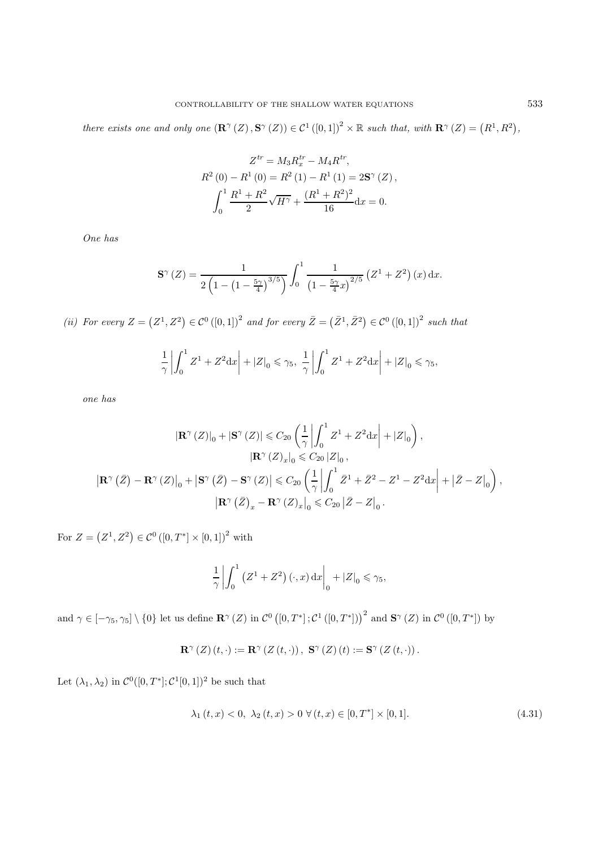*there exists one and only one*  $(\mathbb{R}^{\gamma}(Z), \mathbb{S}^{\gamma}(Z)) \in C^{1}([0,1])^{2} \times \mathbb{R}$  *such that, with*  $\mathbb{R}^{\gamma}(Z) = (R^{1}, R^{2}),$ 

$$
Z^{tr} = M_3 R_x^{tr} - M_4 R^{tr},
$$
  
\n
$$
R^2 (0) - R^1 (0) = R^2 (1) - R^1 (1) = 2\mathbf{S}^\gamma (Z),
$$
  
\n
$$
\int_0^1 \frac{R^1 + R^2}{2} \sqrt{H^\gamma} + \frac{(R^1 + R^2)^2}{16} dx = 0.
$$

*One has*

$$
\mathbf{S}^{\gamma}(Z) = \frac{1}{2\left(1 - \left(1 - \frac{5\gamma}{4}\right)^{3/5}\right)} \int_0^1 \frac{1}{\left(1 - \frac{5\gamma}{4}x\right)^{2/5}} \left(Z^1 + Z^2\right)(x) \, \mathrm{d}x.
$$

(*ii*) For every  $Z = (Z^1, Z^2) \in C^0([0, 1])^2$  and for every  $\overline{Z} = (\overline{Z}^1, \overline{Z}^2) \in C^0([0, 1])^2$  such that

$$
\frac{1}{\gamma} \left| \int_0^1 Z^1 + Z^2 dx \right| + |Z|_0 \le \gamma_5, \ \frac{1}{\gamma} \left| \int_0^1 Z^1 + Z^2 dx \right| + |Z|_0 \le \gamma_5,
$$

*one has*

$$
\begin{split} \left| \mathbf{R}^\gamma \left( Z \right) \right|_0 + \left| \mathbf{S}^\gamma \left( Z \right) \right| &\leqslant C_{20} \left( \frac{1}{\gamma} \left| \int_0^1 Z^1 + Z^2 \mathrm{d}x \right| + \left| Z \right|_0 \right), \\ \left| \mathbf{R}^\gamma \left( Z \right)_{x} \right|_0 &\leqslant C_{20} \left| Z \right|_0, \\ \left| \mathbf{R}^\gamma \left( \bar{Z} \right) - \mathbf{R}^\gamma \left( Z \right) \right|_0 + \left| \mathbf{S}^\gamma \left( \bar{Z} \right) - \mathbf{S}^\gamma \left( Z \right) \right| &\leqslant C_{20} \left( \frac{1}{\gamma} \left| \int_0^1 \bar{Z}^1 + \bar{Z}^2 - Z^1 - Z^2 \mathrm{d}x \right| + \left| \bar{Z} - Z \right|_0 \right), \\ \left| \mathbf{R}^\gamma \left( \bar{Z} \right)_x - \mathbf{R}^\gamma \left( Z \right)_x \right|_0 &\leqslant C_{20} \left| \bar{Z} - Z \right|_0. \end{split}
$$

For  $Z = (Z^1, Z^2) \in C^0([0, T^*] \times [0, 1])^2$  with

$$
\frac{1}{\gamma} \left| \int_0^1 (Z^1 + Z^2) (\cdot, x) dx \right|_0^1 + |Z|_0 \le \gamma_5,
$$

and  $\gamma \in [-\gamma_5, \gamma_5] \setminus \{0\}$  let us define  $\mathbb{R}^\gamma(Z)$  in  $\mathcal{C}^0([0,T^*]; \mathcal{C}^1([0,T^*]))^2$  and  $\mathbb{S}^\gamma(Z)$  in  $\mathcal{C}^0([0,T^*])$  by

$$
\mathbf{R}^{\gamma}\left(Z\right)\left(t,\cdot\right):=\mathbf{R}^{\gamma}\left(Z\left(t,\cdot\right)\right),\ \mathbf{S}^{\gamma}\left(Z\right)\left(t\right):=\mathbf{S}^{\gamma}\left(Z\left(t,\cdot\right)\right).
$$

Let  $(\lambda_1, \lambda_2)$  in  $\mathcal{C}^0([0,T^*]; \mathcal{C}^1[0,1])^2$  be such that

$$
\lambda_1(t, x) < 0, \ \lambda_2(t, x) > 0 \ \forall (t, x) \in [0, T^*] \times [0, 1]. \tag{4.31}
$$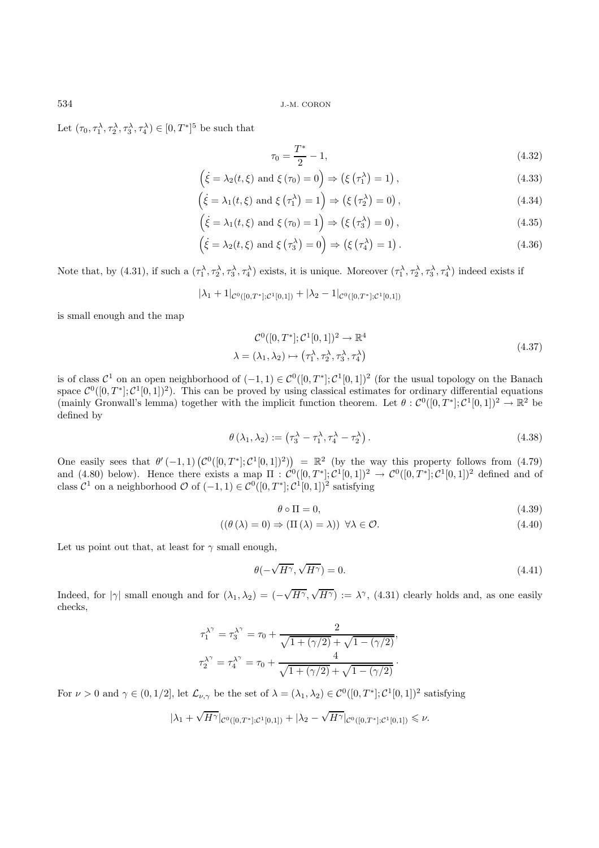Let  $(\tau_0, \tau_1^{\lambda}, \tau_2^{\lambda}, \tau_3^{\lambda}, \tau_4^{\lambda}) \in [0, T^*]^5$  be such that

$$
\tau_0 = \frac{T^*}{2} - 1,\tag{4.32}
$$

$$
\left(\dot{\xi} = \lambda_2(t,\xi) \text{ and } \xi(\tau_0) = 0\right) \Rightarrow \left(\xi\left(\tau_1^{\lambda}\right) = 1\right),\tag{4.33}
$$

$$
\left(\dot{\xi} = \lambda_1(t,\xi) \text{ and } \xi\left(\tau_1^{\lambda}\right) = 1\right) \Rightarrow \left(\xi\left(\tau_2^{\lambda}\right) = 0\right),\tag{4.34}
$$

$$
\left(\dot{\xi} = \lambda_1(t,\xi) \text{ and } \xi(\tau_0) = 1\right) \Rightarrow \left(\xi(\tau_3^{\lambda}) = 0\right),\tag{4.35}
$$

$$
\left(\dot{\xi} = \lambda_2(t,\xi) \text{ and } \xi\left(\tau_3^{\lambda}\right) = 0\right) \Rightarrow \left(\xi\left(\tau_4^{\lambda}\right) = 1\right). \tag{4.36}
$$

Note that, by (4.31), if such a  $(\tau_1^{\lambda}, \tau_2^{\lambda}, \tau_3^{\lambda}, \tau_4^{\lambda})$  exists, it is unique. Moreover  $(\tau_1^{\lambda}, \tau_2^{\lambda}, \tau_3^{\lambda}, \tau_4^{\lambda})$  indeed exists if

$$
|\lambda_1 + 1|_{\mathcal{C}^0([0,T^*];\mathcal{C}^1[0,1])} + |\lambda_2 - 1|_{\mathcal{C}^0([0,T^*];\mathcal{C}^1[0,1])}
$$

is small enough and the map

$$
\mathcal{C}^0([0,T^*];\mathcal{C}^1[0,1])^2 \to \mathbb{R}^4
$$
  

$$
\lambda = (\lambda_1, \lambda_2) \mapsto (\tau_1^{\lambda}, \tau_2^{\lambda}, \tau_3^{\lambda}, \tau_4^{\lambda})
$$
 (4.37)

is of class  $\mathcal{C}^1$  on an open neighborhood of  $(-1,1) \in \mathcal{C}^0([0,T^*];\mathcal{C}^1[0,1])^2$  (for the usual topology on the Banach space  $\mathcal{C}^0([0,T^*];\mathcal{C}^1[0,1])^2$ . This can be proved by using classical estimates for ordinary differential equations (mainly Gronwall's lemma) together with the implicit function theorem. Let  $\theta : C^0([0,T^*]; C^1[0,1])^2 \to \mathbb{R}^2$  be defined by

$$
\theta(\lambda_1, \lambda_2) := (\tau_3^{\lambda} - \tau_1^{\lambda}, \tau_4^{\lambda} - \tau_2^{\lambda}). \tag{4.38}
$$

One easily sees that  $\theta'(-1,1)$   $(\mathcal{C}^0([0,T^*];\mathcal{C}^1[0,1])^2)) = \mathbb{R}^2$  (by the way this property follows from (4.79) and (4.80) below). Hence there exists a map  $\Pi : \mathcal{C}^0([0,T^*]; \mathcal{C}^1[0,1])^2 \to \mathcal{C}^0([0,T^*]; \mathcal{C}^1[0,1])^2$  defined and of class  $\mathcal{C}^1$  on a neighborhood  $\mathcal O$  of  $(-1,1) \in \mathcal{C}^0([0,T^*];\mathcal{C}^1[0,1])^2$  satisfying

$$
\theta \circ \Pi = 0,\tag{4.39}
$$

$$
((\theta(\lambda) = 0) \Rightarrow (\Pi(\lambda) = \lambda)) \forall \lambda \in \mathcal{O}.
$$
\n(4.40)

Let us point out that, at least for  $\gamma$  small enough,

$$
\theta(-\sqrt{H^{\gamma}}, \sqrt{H^{\gamma}}) = 0. \tag{4.41}
$$

Indeed, for  $|\gamma|$  small enough and for  $(\lambda_1, \lambda_2) = (-$ √  $H^{\gamma},$ √  $H^{\gamma}$ ) :=  $\lambda^{\gamma}$ , (4.31) clearly holds and, as one easily checks,

$$
\tau_1^{\lambda^{\gamma}} = \tau_3^{\lambda^{\gamma}} = \tau_0 + \frac{2}{\sqrt{1 + (\gamma/2)} + \sqrt{1 - (\gamma/2)}},
$$
  

$$
\tau_2^{\lambda^{\gamma}} = \tau_4^{\lambda^{\gamma}} = \tau_0 + \frac{4}{\sqrt{1 + (\gamma/2)} + \sqrt{1 - (\gamma/2)}}.
$$

For  $\nu > 0$  and  $\gamma \in (0, 1/2]$ , let  $\mathcal{L}_{\nu, \gamma}$  be the set of  $\lambda = (\lambda_1, \lambda_2) \in C^0([0, T^*]; C^1[0, 1])^2$  satisfying

$$
|\lambda_1 + \sqrt{H^{\gamma}}|_{\mathcal{C}^0([0,T^*];\mathcal{C}^1[0,1])} + |\lambda_2 - \sqrt{H^{\gamma}}|_{\mathcal{C}^0([0,T^*];\mathcal{C}^1[0,1])} \leq \nu.
$$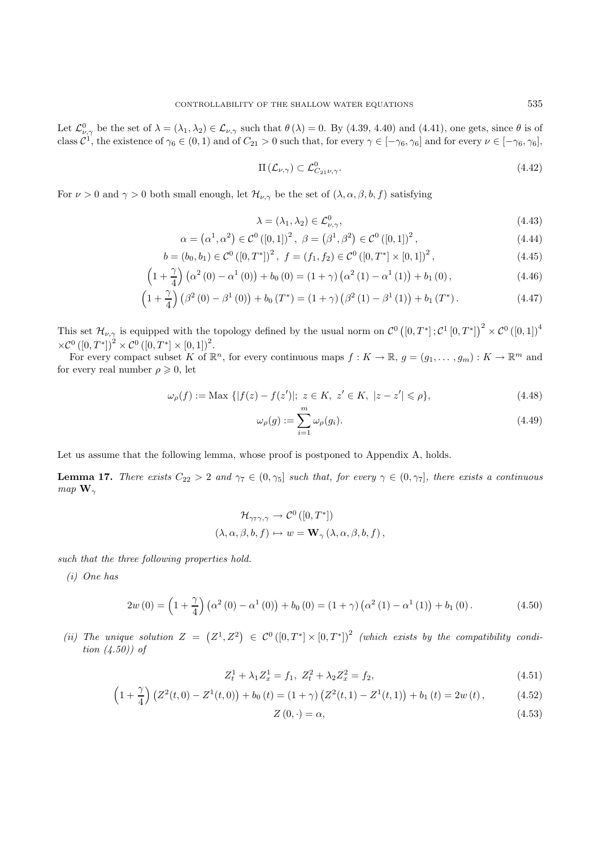Let  $\mathcal{L}^0_{\nu,\gamma}$  be the set of  $\lambda = (\lambda_1, \lambda_2) \in \mathcal{L}_{\nu,\gamma}$  such that  $\theta(\lambda) = 0$ . By (4.39, 4.40) and (4.41), one gets, since  $\theta$  is of class  $\mathcal{C}^1$ , the existence of  $\gamma_6 \in (0,1)$  and of  $C_{21} > 0$  such that, fo

$$
\Pi\left(\mathcal{L}_{\nu,\gamma}\right) \subset \mathcal{L}^0_{C_{21}\nu,\gamma}.\tag{4.42}
$$

For  $\nu > 0$  and  $\gamma > 0$  both small enough, let  $\mathcal{H}_{\nu,\gamma}$  be the set of  $(\lambda, \alpha, \beta, b, f)$  satisfying

$$
\lambda = (\lambda_1, \lambda_2) \in \mathcal{L}^0_{\nu, \gamma},\tag{4.43}
$$

$$
\alpha = (\alpha^1, \alpha^2) \in \mathcal{C}^0([0, 1])^2, \ \beta = (\beta^1, \beta^2) \in \mathcal{C}^0([0, 1])^2,
$$
\n(4.44)

$$
b = (b_0, b_1) \in \mathcal{C}^0([0, T^*])^2, \ f = (f_1, f_2) \in \mathcal{C}^0([0, T^*] \times [0, 1])^2,
$$
\n(4.45)

$$
\left(1+\frac{\gamma}{4}\right)\left(\alpha^2\left(0\right)-\alpha^1\left(0\right)\right)+b_0\left(0\right)=\left(1+\gamma\right)\left(\alpha^2\left(1\right)-\alpha^1\left(1\right)\right)+b_1\left(0\right),\tag{4.46}
$$

$$
\left(1+\frac{\gamma}{4}\right)\left(\beta^2(0)-\beta^1(0)\right)+b_0(T^*)=(1+\gamma)\left(\beta^2(1)-\beta^1(1)\right)+b_1(T^*).
$$
\n(4.47)

This set  $\mathcal{H}_{\nu,\gamma}$  is equipped with the topology defined by the usual norm on  $\mathcal{C}^0([0,T^*];\mathcal{C}^1[0,T^*])^2 \times \mathcal{C}^0([0,1])^4$  $\times \mathcal{C}^0 ([0,T^*])^2 \times \mathcal{C}^0 ([0,T^*] \times [0,1])^2.$ 

For every compact subset K of  $\mathbb{R}^n$ , for every continuous maps  $f: K \to \mathbb{R}$ ,  $g = (g_1, \ldots, g_m) : K \to \mathbb{R}^m$  and for every real number  $\rho \geqslant 0$ , let

$$
\omega_{\rho}(f) := \text{Max } \{|f(z) - f(z')|; \ z \in K, \ z' \in K, \ |z - z'| \leq \rho\},\tag{4.48}
$$

$$
\omega_{\rho}(g) := \sum_{i=1}^{m} \omega_{\rho}(g_i). \tag{4.49}
$$

Let us assume that the following lemma, whose proof is postponed to Appendix A, holds.

**Lemma 17.** *There exists*  $C_{22} > 2$  *and*  $\gamma_7 \in (0, \gamma_5]$  *such that, for every*  $\gamma \in (0, \gamma_7]$ *, there exists a continuous map*  $\mathbf{W}_{\gamma}$ 

$$
\mathcal{H}_{\gamma\tau\gamma,\gamma} \to \mathcal{C}^0([0,T^*])
$$
  

$$
(\lambda,\alpha,\beta,b,f) \mapsto w = \mathbf{W}_{\gamma}(\lambda,\alpha,\beta,b,f),
$$

*such that the three following properties hold.*

*(i) One has*

$$
2w(0) = \left(1 + \frac{\gamma}{4}\right)\left(\alpha^2(0) - \alpha^1(0)\right) + b_0(0) = \left(1 + \gamma\right)\left(\alpha^2(1) - \alpha^1(1)\right) + b_1(0). \tag{4.50}
$$

(*ii*) The unique solution  $Z = (Z^1, Z^2) \in C^0([0, T^*] \times [0, T^*])^2$  (which exists by the compatibility condi*tion (4.50)) of*

$$
Z_t^1 + \lambda_1 Z_x^1 = f_1, \ Z_t^2 + \lambda_2 Z_x^2 = f_2,\tag{4.51}
$$

$$
\left(1+\frac{\gamma}{4}\right)\left(Z^2(t,0)-Z^1(t,0)\right)+b_0\left(t\right)=(1+\gamma)\left(Z^2(t,1)-Z^1(t,1)\right)+b_1\left(t\right)=2w\left(t\right),\tag{4.52}
$$

$$
Z(0,\cdot) = \alpha,\tag{4.53}
$$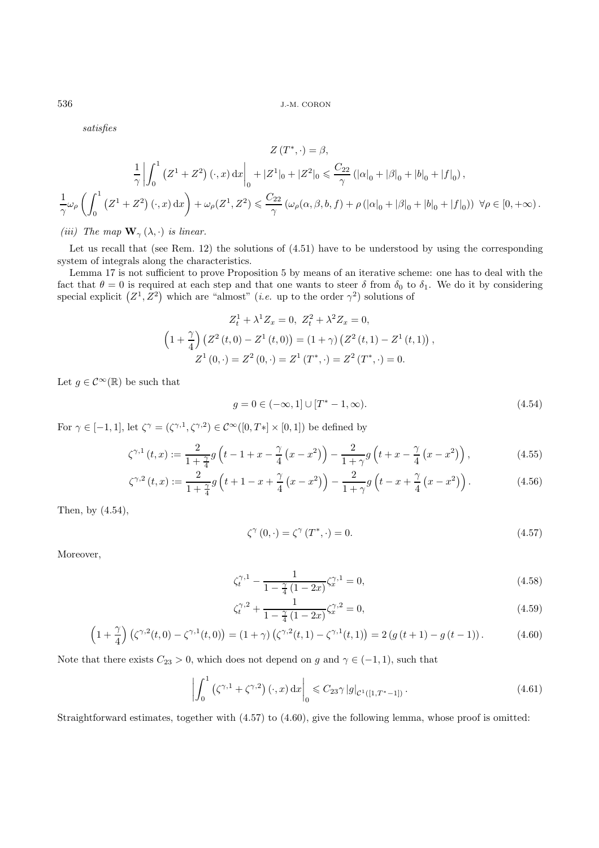*satisfies*

$$
Z(T^*, \cdot) = \beta,
$$
  
\n
$$
\frac{1}{\gamma} \left| \int_0^1 (Z^1 + Z^2) (\cdot, x) dx \right|_0 + |Z^1|_0 + |Z^2|_0 \leq \frac{C_{22}}{\gamma} (|\alpha|_0 + |\beta|_0 + |b|_0 + |f|_0),
$$
  
\n
$$
\frac{1}{\gamma} \omega_\rho \left( \int_0^1 (Z^1 + Z^2) (\cdot, x) dx \right) + \omega_\rho (Z^1, Z^2) \leq \frac{C_{22}}{\gamma} (\omega_\rho(\alpha, \beta, b, f) + \rho (|\alpha|_0 + |\beta|_0 + |b|_0 + |f|_0)) \ \forall \rho \in [0, +\infty).
$$

*(iii)* The map  $\mathbf{W}_{\gamma}(\lambda, \cdot)$  *is linear.* 

Let us recall that (see Rem. 12) the solutions of (4.51) have to be understood by using the corresponding system of integrals along the characteristics.

Lemma 17 is not sufficient to prove Proposition 5 by means of an iterative scheme: one has to deal with the fact that  $\theta = 0$  is required at each step and that one wants to steer  $\delta$  from  $\delta_0$  to  $\delta_1$ . We do it by considering special explicit  $(Z^1, \overline{Z}^2)$  which are "almost" (*i.e.* up to the order  $\gamma^2$ ) solutions of

$$
Z_t^1 + \lambda^1 Z_x = 0, \ Z_t^2 + \lambda^2 Z_x = 0,
$$
  
\n
$$
\left(1 + \frac{\gamma}{4}\right) \left(Z^2(t,0) - Z^1(t,0)\right) = \left(1 + \gamma\right) \left(Z^2(t,1) - Z^1(t,1)\right),
$$
  
\n
$$
Z^1(0,\cdot) = Z^2(0,\cdot) = Z^1(T^*,\cdot) = Z^2(T^*,\cdot) = 0.
$$

Let  $g \in \mathcal{C}^{\infty}(\mathbb{R})$  be such that

$$
g = 0 \in (-\infty, 1] \cup [T^* - 1, \infty). \tag{4.54}
$$

For  $\gamma \in [-1,1],$  let  $\zeta^{\gamma} = (\zeta^{\gamma,1}, \zeta^{\gamma,2}) \in \mathcal{C}^{\infty}([0,T*]\times[0,1])$  be defined by

$$
\zeta^{\gamma,1}(t,x) := \frac{2}{1+\frac{\gamma}{4}} g\left(t - 1 + x - \frac{\gamma}{4}\left(x - x^2\right)\right) - \frac{2}{1+\gamma} g\left(t + x - \frac{\gamma}{4}\left(x - x^2\right)\right),\tag{4.55}
$$

$$
\zeta^{\gamma,2}(t,x) := \frac{2}{1+\frac{\gamma}{4}} g\left(t+1-x+\frac{\gamma}{4}\left(x-x^2\right)\right) - \frac{2}{1+\gamma} g\left(t-x+\frac{\gamma}{4}\left(x-x^2\right)\right). \tag{4.56}
$$

Then, by (4.54),

$$
\zeta^{\gamma}\left(0,\cdot\right)=\zeta^{\gamma}\left(T^{*},\cdot\right)=0.\tag{4.57}
$$

Moreover,

$$
\zeta_t^{\gamma,1} - \frac{1}{1 - \frac{\gamma}{4} (1 - 2x)} \zeta_x^{\gamma,1} = 0,\tag{4.58}
$$

$$
\zeta_t^{\gamma,2} + \frac{1}{1 - \frac{\gamma}{4} (1 - 2x)} \zeta_x^{\gamma,2} = 0,\tag{4.59}
$$

$$
\left(1+\frac{\gamma}{4}\right)\left(\zeta^{\gamma,2}(t,0)-\zeta^{\gamma,1}(t,0)\right)=(1+\gamma)\left(\zeta^{\gamma,2}(t,1)-\zeta^{\gamma,1}(t,1)\right)=2\left(g\left(t+1\right)-g\left(t-1\right)\right).
$$
 (4.60)

Note that there exists  $C_{23} > 0$ , which does not depend on g and  $\gamma \in (-1, 1)$ , such that

$$
\left| \int_0^1 (\zeta^{\gamma,1} + \zeta^{\gamma,2}) (\cdot, x) dx \right|_0 \leq C_{23} \gamma |g|_{\mathcal{C}^1([1,T^*-1])}.
$$
\n(4.61)

Straightforward estimates, together with (4.57) to (4.60), give the following lemma, whose proof is omitted: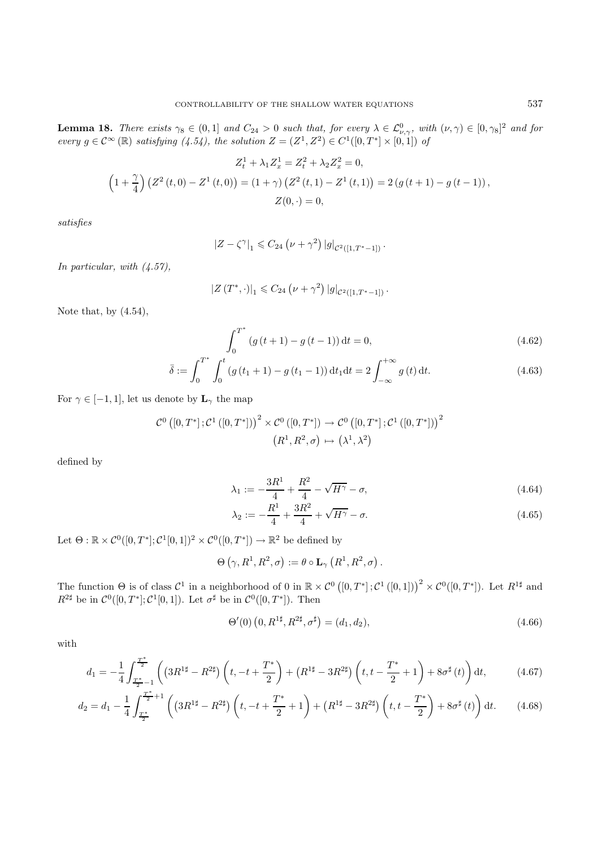**Lemma 18.** *There exists*  $\gamma_8 \in (0,1]$  *and*  $C_{24} > 0$  *such that, for every*  $\lambda \in \mathcal{L}_{\nu,\gamma}^0$ , with  $(\nu,\gamma) \in [0,\gamma_8]^2$  *and for* every  $\lambda \in \mathcal{L}_{\nu,\gamma}^0$ , with  $(\nu,\gamma) \in [0,\gamma_8]^2$  *and for every*  $g \in \mathcal{C}^{\infty}(\mathbb{R})$  *satisfying*  $(4.54)$ *, the solution*  $Z = (Z^1, Z^2) \in C^1([0, T^*] \times [0, 1])$  *of* 

$$
Z_t^1 + \lambda_1 Z_x^1 = Z_t^2 + \lambda_2 Z_x^2 = 0,
$$
  
\n
$$
\left(1 + \frac{\gamma}{4}\right) \left(Z^2(t,0) - Z^1(t,0)\right) = (1+\gamma) \left(Z^2(t,1) - Z^1(t,1)\right) = 2 \left(g\left(t+1\right) - g\left(t-1\right)\right),
$$
  
\n
$$
Z(0,\cdot) = 0,
$$

*satisfies*

$$
|Z-\zeta^{\gamma}|_1 \leq C_{24} (\nu + \gamma^2) |g|_{\mathcal{C}^2([1,T^*-1])}.
$$

*In particular, with (4.57),*

$$
|Z(T^*,\cdot)|_1 \leq C_{24} (\nu + \gamma^2) |g|_{\mathcal{C}^2([1,T^*-1])}.
$$

Note that, by (4.54),

$$
\int_0^{T^*} (g(t+1) - g(t-1)) dt = 0,
$$
\n(4.62)

$$
\bar{\delta} := \int_0^{T^*} \int_0^t \left( g(t_1 + 1) - g(t_1 - 1) \right) dt_1 dt = 2 \int_{-\infty}^{+\infty} g(t) dt.
$$
 (4.63)

For  $\gamma \in [-1, 1]$ , let us denote by  $\mathbf{L}_{\gamma}$  the map

$$
\mathcal{C}^0\left([0,T^*];\mathcal{C}^1\left([0,T^*]\right)\right)^2 \times \mathcal{C}^0\left([0,T^*]\right) \to \mathcal{C}^0\left([0,T^*];\mathcal{C}^1\left([0,T^*]\right)\right)^2
$$

$$
\left(R^1,R^2,\sigma\right) \mapsto \left(\lambda^1,\lambda^2\right)
$$

defined by

$$
\lambda_1 := -\frac{3R^1}{4} + \frac{R^2}{4} - \sqrt{H^{\gamma}} - \sigma,\tag{4.64}
$$

$$
\lambda_2 := -\frac{R^1}{4} + \frac{3R^2}{4} + \sqrt{H^{\gamma}} - \sigma.
$$
\n(4.65)

Let  $\Theta : \mathbb{R} \times C^0([0,T^*]; C^1[0,1])^2 \times C^0([0,T^*]) \to \mathbb{R}^2$  be defined by

$$
\Theta(\gamma, R^1, R^2, \sigma) := \theta \circ \mathbf{L}_{\gamma}\left(R^1, R^2, \sigma\right).
$$

The function  $\Theta$  is of class  $\mathcal{C}^1$  in a neighborhood of 0 in  $\mathbb{R} \times \mathcal{C}^0([0,T^*];\mathcal{C}^1([0,1]))^2 \times \mathcal{C}^0([0,T^*])$ . Let  $R^{1\sharp}$  and  $R^{2\sharp}$  be in  $\mathcal{C}^0([0,T^*];\mathcal{C}^1[0,1])$ . Let  $\sigma^{\sharp}$  be in  $\mathcal{C}^0([0,T^*])$ . Then

$$
\Theta'(0)\left(0, R^{1\sharp}, R^{2\sharp}, \sigma^{\sharp}\right) = (d_1, d_2),\tag{4.66}
$$

with

$$
d_1 = -\frac{1}{4} \int_{\frac{T^*}{2}-1}^{\frac{T^*}{2}} \left( \left( 3R^{1\sharp} - R^{2\sharp} \right) \left( t, -t + \frac{T^*}{2} \right) + \left( R^{1\sharp} - 3R^{2\sharp} \right) \left( t, t - \frac{T^*}{2} + 1 \right) + 8\sigma^{\sharp} \left( t \right) \right) dt, \tag{4.67}
$$

$$
d_2 = d_1 - \frac{1}{4} \int_{\frac{T^*}{2}}^{\frac{T^*}{2}+1} \left( \left( 3R^{1\sharp} - R^{2\sharp} \right) \left( t, -t + \frac{T^*}{2} + 1 \right) + \left( R^{1\sharp} - 3R^{2\sharp} \right) \left( t, t - \frac{T^*}{2} \right) + 8\sigma^{\sharp} \left( t \right) \right) dt. \tag{4.68}
$$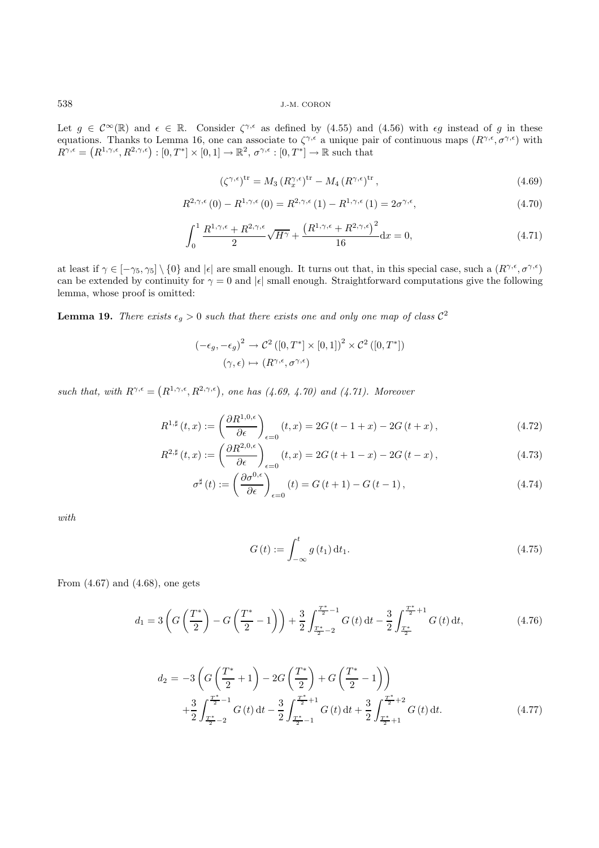Let  $g \in \mathcal{C}^{\infty}(\mathbb{R})$  and  $\epsilon \in \mathbb{R}$ . Consider  $\zeta^{\gamma,\epsilon}$  as defined by (4.55) and (4.56) with  $\epsilon g$  instead of g in these equations. Thanks to Lemma 16, one can associate to  $\zeta^{\gamma,\epsilon}$  a unique pair of continuous maps  $(R^{\gamma,\epsilon}, \sigma^{\gamma,\epsilon})$  with  $R^{\gamma,\epsilon} = (R^{1,\gamma,\epsilon}, R^{2,\gamma,\epsilon}) : [0,T^*] \times [0,1] \to \mathbb{R}^2$ ,  $\sigma^{\gamma,\epsilon} : [0,T^*] \to \mathbb{R}$  such that

$$
\left(\zeta^{\gamma,\epsilon}\right)^{\mathrm{tr}} = M_3 \left(R_x^{\gamma,\epsilon}\right)^{\mathrm{tr}} - M_4 \left(R^{\gamma,\epsilon}\right)^{\mathrm{tr}},\tag{4.69}
$$

$$
R^{2,\gamma,\epsilon}(0) - R^{1,\gamma,\epsilon}(0) = R^{2,\gamma,\epsilon}(1) - R^{1,\gamma,\epsilon}(1) = 2\sigma^{\gamma,\epsilon},\tag{4.70}
$$

$$
\int_0^1 \frac{R^{1,\gamma,\epsilon} + R^{2,\gamma,\epsilon}}{2} \sqrt{H^{\gamma}} + \frac{\left(R^{1,\gamma,\epsilon} + R^{2,\gamma,\epsilon}\right)^2}{16} \mathrm{d}x = 0,\tag{4.71}
$$

at least if  $\gamma \in [-\gamma_5, \gamma_5] \setminus \{0\}$  and  $|\epsilon|$  are small enough. It turns out that, in this special case, such a  $(R^{\gamma,\epsilon}, \sigma^{\gamma,\epsilon})$ can be extended by continuity for  $\gamma = 0$  and  $|\epsilon|$  small enough. Straightforward computations give the following lemma, whose proof is omitted:

**Lemma 19.** *There exists*  $\epsilon_g > 0$  *such that there exists one and only one map of class*  $C^2$ 

$$
(-\epsilon_g, -\epsilon_g)^2 \to \mathcal{C}^2([0, T^*] \times [0, 1])^2 \times \mathcal{C}^2([0, T^*])
$$

$$
(\gamma, \epsilon) \mapsto (R^{\gamma, \epsilon}, \sigma^{\gamma, \epsilon})
$$

such that, with  $R^{\gamma,\epsilon} = (R^{1,\gamma,\epsilon}, R^{2,\gamma,\epsilon})$ , one has  $(4.69, 4.70)$  and  $(4.71)$ . Moreover

$$
R^{1,\sharp}(t,x) := \left(\frac{\partial R^{1,0,\epsilon}}{\partial \epsilon}\right)_{\epsilon=0}(t,x) = 2G(t-1+x) - 2G(t+x),\tag{4.72}
$$

$$
R^{2,\sharp}(t,x) := \left(\frac{\partial R^{2,0,\epsilon}}{\partial \epsilon}\right)_{\epsilon=0}(t,x) = 2G(t+1-x) - 2G(t-x),\tag{4.73}
$$

$$
\sigma^{\sharp}\left(t\right) := \left(\frac{\partial \sigma^{0,\epsilon}}{\partial \epsilon}\right)_{\epsilon=0} \left(t\right) = G\left(t+1\right) - G\left(t-1\right),\tag{4.74}
$$

*with*

$$
G(t) := \int_{-\infty}^{t} g(t_1) dt_1.
$$
 (4.75)

From (4.67) and (4.68), one gets

$$
d_1 = 3\left(G\left(\frac{T^*}{2}\right) - G\left(\frac{T^*}{2} - 1\right)\right) + \frac{3}{2}\int_{\frac{T^*}{2} - 2}^{\frac{T^*}{2} - 1} G\left(t\right) dt - \frac{3}{2}\int_{\frac{T^*}{2}}^{\frac{T^*}{2} + 1} G\left(t\right) dt,\tag{4.76}
$$

$$
d_2 = -3\left(G\left(\frac{T^*}{2} + 1\right) - 2G\left(\frac{T^*}{2}\right) + G\left(\frac{T^*}{2} - 1\right)\right) + \frac{3}{2}\int_{\frac{T^*}{2} - 2}^{\frac{T^*}{2} - 1} G\left(t\right) dt - \frac{3}{2}\int_{\frac{T^*}{2} - 1}^{\frac{T^*}{2} + 1} G\left(t\right) dt + \frac{3}{2}\int_{\frac{T^*}{2} + 1}^{\frac{T^*}{2} + 2} G\left(t\right) dt.
$$
 (4.77)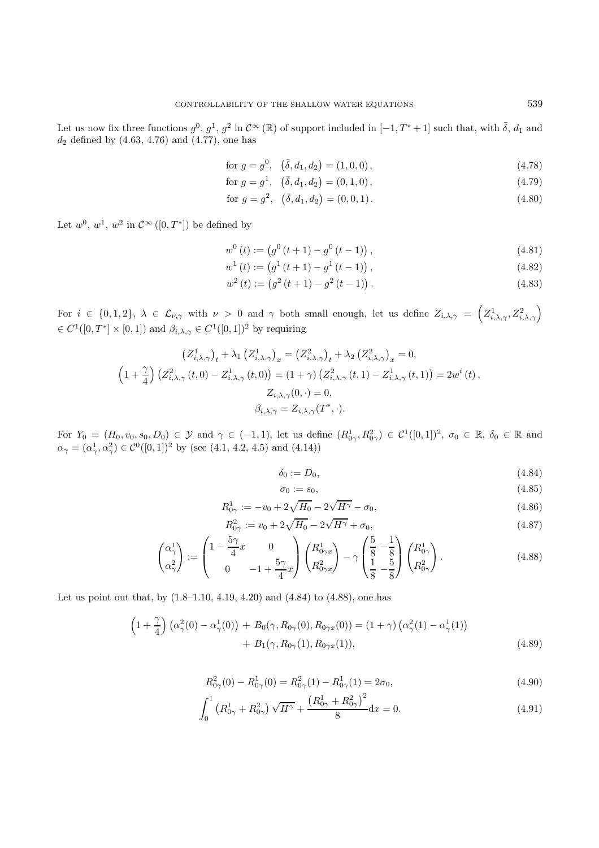Let us now fix three functions  $g^0$ ,  $g^1$ ,  $g^2$  in  $\mathcal{C}^\infty(\mathbb{R})$  of support included in  $[-1, T^* + 1]$  such that, with  $\overline{\delta}$ ,  $d_1$  and  $d_2$  defined by  $(4.63, 4.76)$  and  $(4.77)$ , one has

for 
$$
g = g^0
$$
,  $(\bar{\delta}, d_1, d_2) = (1, 0, 0)$ , 
$$
(4.78)
$$

for 
$$
g = g^1
$$
,  $(\bar{\delta}, d_1, d_2) = (0, 1, 0)$ , 
$$
(4.79)
$$

for 
$$
g = g^2
$$
,  $(\bar{\delta}, d_1, d_2) = (0, 0, 1)$ . (4.80)

Let  $w^0, w^1, w^2$  in  $\mathcal{C}^{\infty}([0,T^*])$  be defined by

$$
w^{0}(t) := (g^{0}(t+1) - g^{0}(t-1)),
$$
\n(4.81)

$$
w^{1}(t) := (g^{1}(t+1) - g^{1}(t-1)),
$$
\n(4.82)

$$
w^{2}(t) := (g^{2}(t+1) - g^{2}(t-1)).
$$
\n(4.83)

For  $i \in \{0, 1, 2\}, \lambda \in \mathcal{L}_{\nu, \gamma}$  with  $\nu > 0$  and  $\gamma$  both small enough, let us define  $Z_{i, \lambda, \gamma} = \left( Z_{i, \lambda, \gamma}^1, Z_{i, \lambda, \gamma}^2 \right)$  $\in C^1([0,T^*] \times [0,1])$  and  $\beta_{i,\lambda,\gamma} \in C^1([0,1])^2$  by requiring

$$
\left(Z_{i,\lambda,\gamma}^{1}\right)_{t} + \lambda_{1} \left(Z_{i,\lambda,\gamma}^{1}\right)_{x} = \left(Z_{i,\lambda,\gamma}^{2}\right)_{t} + \lambda_{2} \left(Z_{i,\lambda,\gamma}^{2}\right)_{x} = 0,
$$
\n
$$
\left(1 + \frac{\gamma}{4}\right) \left(Z_{i,\lambda,\gamma}^{2}\left(t,0\right) - Z_{i,\lambda,\gamma}^{1}\left(t,0\right)\right) = \left(1 + \gamma\right) \left(Z_{i,\lambda,\gamma}^{2}\left(t,1\right) - Z_{i,\lambda,\gamma}^{1}\left(t,1\right)\right) = 2w^{i}\left(t\right),
$$
\n
$$
Z_{i,\lambda,\gamma}(0,\cdot) = 0,
$$
\n
$$
\beta_{i,\lambda,\gamma} = Z_{i,\lambda,\gamma}(T^{*},\cdot).
$$

For  $Y_0 = (H_0, v_0, s_0, D_0) \in \mathcal{Y}$  and  $\gamma \in (-1, 1)$ , let us define  $(R^1_{0\gamma}, R^2_{0\gamma}) \in C^1([0, 1])^2$ ,  $\sigma_0 \in \mathbb{R}$ ,  $\delta_0 \in \mathbb{R}$  and  $\alpha_0 = (\alpha_0^1, \alpha_0^2) \in C^0([0, 1])^2$  $\alpha_{\gamma} = (\alpha_{\gamma}^1, \alpha_{\gamma}^2) \in C^0([0, 1])^2$  by (see (4.1, 4.2, 4.5) and (4.14))

$$
\delta_0 := D_0,\tag{4.84}
$$

$$
\sigma_0 := s_0,\tag{4.85}
$$

$$
R_{0\gamma}^1 := -v_0 + 2\sqrt{H_0} - 2\sqrt{H^{\gamma}} - \sigma_0,
$$
\n(4.86)

$$
R_{0\gamma}^2 := v_0 + 2\sqrt{H_0} - 2\sqrt{H^{\gamma}} + \sigma_0,
$$
\n
$$
\begin{array}{c} 5\gamma \qquad \qquad (4.87) \\ 5\gamma \qquad \qquad (5 \quad 1) \qquad (51 \quad 5 \end{array}
$$

$$
\begin{pmatrix} \alpha_{\gamma}^{1} \\ \alpha_{\gamma}^{2} \end{pmatrix} := \begin{pmatrix} 1 - \frac{5\gamma}{4}x & 0 \\ 0 & -1 + \frac{5\gamma}{4}x \end{pmatrix} \begin{pmatrix} R_{0\gamma x}^{1} \\ R_{0\gamma x}^{2} \end{pmatrix} - \gamma \begin{pmatrix} \frac{5}{8} & -\frac{1}{8} \\ \frac{1}{8} & -\frac{5}{8} \end{pmatrix} \begin{pmatrix} R_{0\gamma}^{1} \\ R_{0\gamma}^{2} \end{pmatrix}.
$$
 (4.88)

Let us point out that, by (1.8–1.10, 4.19, 4.20) and (4.84) to (4.88), one has

$$
\left(1+\frac{\gamma}{4}\right)\left(\alpha_{\gamma}^{2}(0)-\alpha_{\gamma}^{1}(0)\right)+B_{0}(\gamma,R_{0\gamma}(0),R_{0\gamma x}(0))=(1+\gamma)\left(\alpha_{\gamma}^{2}(1)-\alpha_{\gamma}^{1}(1)\right) +B_{1}(\gamma,R_{0\gamma}(1),R_{0\gamma x}(1)),
$$
\n(4.89)

$$
R_{0\gamma}^2(0) - R_{0\gamma}^1(0) = R_{0\gamma}^2(1) - R_{0\gamma}^1(1) = 2\sigma_0,
$$
\n(4.90)

$$
\int_0^1 \left( R_{0\gamma}^1 + R_{0\gamma}^2 \right) \sqrt{H^{\gamma}} + \frac{\left( R_{0\gamma}^1 + R_{0\gamma}^2 \right)^2}{8} dx = 0. \tag{4.91}
$$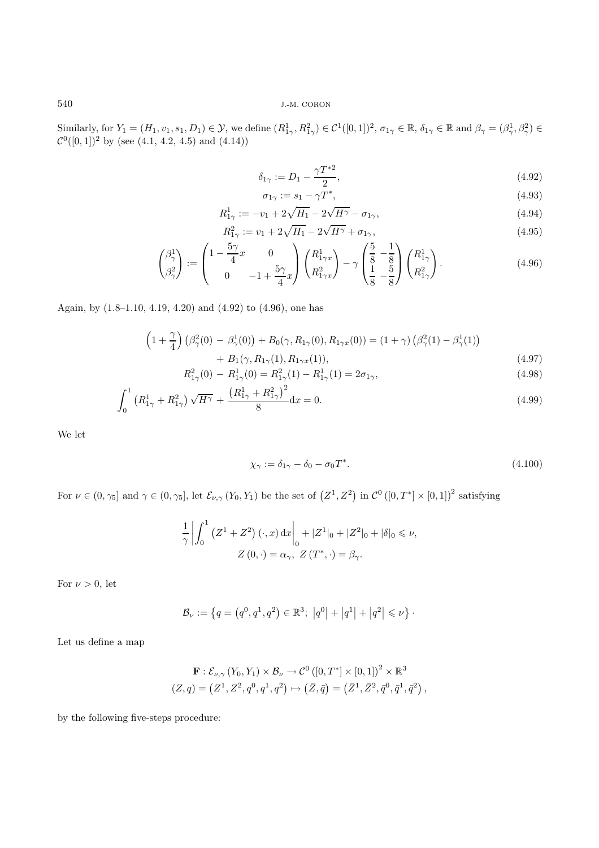Similarly, for  $Y_1 = (H_1, v_1, s_1, D_1) \in \mathcal{Y}$ , we define  $(R_{1\gamma}^1, R_{1\gamma}^2) \in C^1([0, 1])^2$ ,  $\sigma_{1\gamma} \in \mathbb{R}$ ,  $\delta_{1\gamma} \in \mathbb{R}$  and  $\beta_{\gamma} = (\beta_{\gamma}^1, \beta_{\gamma}^2) \in C^0([0, 1])^2$  by (see (4.1, 4.2, 4.5) and (4.14))

$$
\delta_{1\gamma} := D_1 - \frac{\gamma T^{*2}}{2},\tag{4.92}
$$

$$
\sigma_{1\gamma} := s_1 - \gamma T^*,\tag{4.93}
$$

$$
R_{1\gamma}^{1} := -v_1 + 2\sqrt{H_1} - 2\sqrt{H^{\gamma}} - \sigma_{1\gamma},
$$
\n
$$
R_{1\gamma}^{2} := v_1 + 2\sqrt{H_1} - 2\sqrt{H^{\gamma}} + \sigma_{1\gamma},
$$
\n(4.95)

$$
R_{1\gamma}^{2} := v_{1} + 2\sqrt{H_{1}} - 2\sqrt{H^{\gamma}} + \sigma_{1\gamma},
$$
\n
$$
\left(1 - \frac{5\gamma}{4}x - 0\right)\left(R_{1\gamma x}^{1}\right) - \gamma\left(\frac{5}{8} - \frac{1}{8}\right)\left(R_{1\gamma}^{1}\right)
$$
\n(4.95)

$$
\begin{pmatrix} \beta_{\gamma}^{1} \\ \beta_{\gamma}^{2} \end{pmatrix} := \begin{pmatrix} 1 - \frac{\sigma_{\gamma}}{4}x & 0 \\ 0 & -1 + \frac{5\gamma}{4}x \end{pmatrix} \begin{pmatrix} R_{1\gamma x}^{1} \\ R_{1\gamma x}^{2} \end{pmatrix} - \gamma \begin{pmatrix} \frac{\sigma}{8} - \frac{1}{8} \\ \frac{1}{8} - \frac{5}{8} \end{pmatrix} \begin{pmatrix} R_{1\gamma}^{1} \\ R_{1\gamma}^{2} \end{pmatrix}.
$$
 (4.96)

Again, by (1.8–1.10, 4.19, 4.20) and (4.92) to (4.96), one has

$$
\left(1+\frac{\gamma}{4}\right)\left(\beta_{\gamma}^{2}(0)-\beta_{\gamma}^{1}(0)\right)+B_{0}(\gamma,R_{1\gamma}(0),R_{1\gamma x}(0))=(1+\gamma)\left(\beta_{\gamma}^{2}(1)-\beta_{\gamma}^{1}(1)\right)
$$
\n
$$
B_{0}(\gamma,R_{1\gamma}(0),R_{1\gamma x}(0))=(1+\gamma)\left(\beta_{\gamma}^{2}(1)-\beta_{\gamma}^{1}(1)\right)
$$
\n
$$
(4.97)
$$

+ 
$$
B_1(\gamma, R_{1\gamma}(1), R_{1\gamma x}(1)),
$$
 (4.97)  
 $R_{1\gamma}^2(0) - R_{1\gamma}^1(0) = R_{1\gamma}^2(1) - R_{1\gamma}^1(1) = 2\sigma_{1\gamma},$  (4.98)

$$
\int_0^1 (R_{1\gamma}^1 + R_{1\gamma}^2) \sqrt{H^{\gamma}} + \frac{(R_{1\gamma}^1 + R_{1\gamma}^2)^2}{8} dx = 0.
$$
 (4.99)

We let

$$
\chi_{\gamma} := \delta_{1\gamma} - \delta_0 - \sigma_0 T^*.
$$
\n(4.100)

For  $\nu \in (0, \gamma_5]$  and  $\gamma \in (0, \gamma_5]$ , let  $\mathcal{E}_{\nu, \gamma}(Y_0, Y_1)$  be the set of  $(Z^1, Z^2)$  in  $\mathcal{C}^0([0, T^*] \times [0, 1])^2$  satisfying

$$
\frac{1}{\gamma} \left| \int_0^1 (Z^1 + Z^2) (\cdot, x) dx \right|_0^1 + |Z^1|_0 + |Z^2|_0 + |\delta|_0 \le \nu,
$$
  

$$
Z(0, \cdot) = \alpha_\gamma, \ Z(T^*, \cdot) = \beta_\gamma.
$$

For  $\nu > 0$ , let

$$
\mathcal{B}_{\nu} := \left\{ q = \left( q^{0}, q^{1}, q^{2} \right) \in \mathbb{R}^{3}; \ \left| q^{0} \right| + \left| q^{1} \right| + \left| q^{2} \right| \leq \nu \right\}.
$$

Let us define a map

$$
\mathbf{F}: \mathcal{E}_{\nu,\gamma} (Y_0, Y_1) \times \mathcal{B}_{\nu} \to \mathcal{C}^0 ([0, T^*] \times [0, 1])^2 \times \mathbb{R}^3
$$
  

$$
(Z, q) = (Z^1, Z^2, q^0, q^1, q^2) \mapsto (\bar{Z}, \bar{q}) = (\bar{Z}^1, \bar{Z}^2, \bar{q}^0, \bar{q}^1, \bar{q}^2),
$$

by the following five-steps procedure: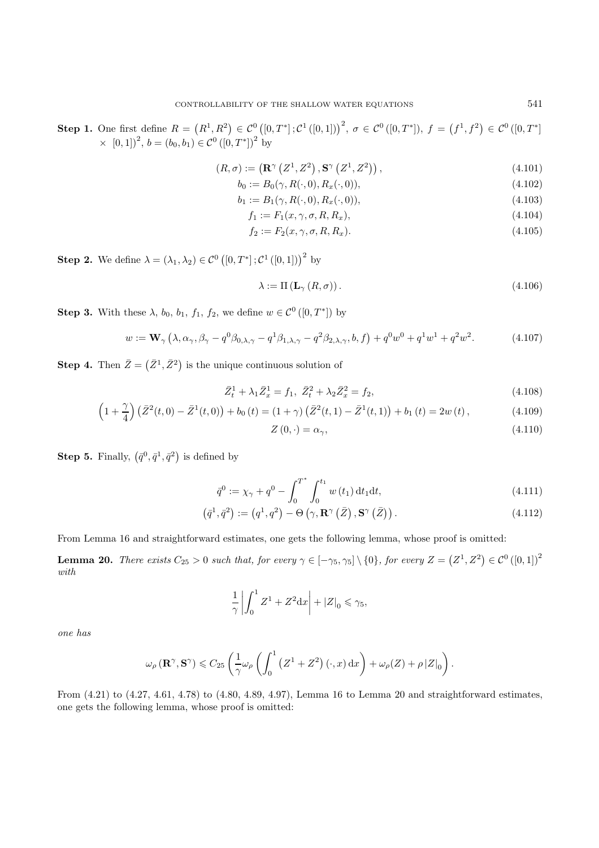**Step 1.** One first define  $R = (R^1, R^2) \in C^0([0, T^*]; C^1([0, 1]))^2$ ,  $\sigma \in C^0([0, T^*])$ ,  $f = (f^1, f^2) \in C^0([0, T^*])$  $\times$  [0, 1])<sup>2</sup>,  $b = (b_0, b_1) \in C^0 ([0, T^*])^2$  by

$$
(R,\sigma) := \left(\mathbf{R}^{\gamma}\left(Z^1,Z^2\right),\mathbf{S}^{\gamma}\left(Z^1,Z^2\right)\right),\tag{4.101}
$$

$$
b_0 := B_0(\gamma, R(\cdot, 0), R_x(\cdot, 0)), \tag{4.102}
$$

$$
b_1 := B_1(\gamma, R(\cdot, 0), R_x(\cdot, 0)), \tag{4.103}
$$

$$
f_1 := F_1(x, \gamma, \sigma, R, R_x), \tag{4.104}
$$

$$
f_2 := F_2(x, \gamma, \sigma, R, R_x).
$$
\n(4.105)

**Step 2.** We define  $\lambda = (\lambda_1, \lambda_2) \in C^0([0, T^*]; C^1([0, 1]))^2$  by

$$
\lambda := \Pi\left(\mathbf{L}_{\gamma}\left(R,\sigma\right)\right). \tag{4.106}
$$

**Step 3.** With these  $\lambda$ ,  $b_0$ ,  $b_1$ ,  $f_1$ ,  $f_2$ , we define  $w \in C^0([0, T^*])$  by

$$
w := \mathbf{W}_{\gamma} \left( \lambda, \alpha_{\gamma}, \beta_{\gamma} - q^{0} \beta_{0, \lambda, \gamma} - q^{1} \beta_{1, \lambda, \gamma} - q^{2} \beta_{2, \lambda, \gamma}, b, f \right) + q^{0} w^{0} + q^{1} w^{1} + q^{2} w^{2}.
$$
 (4.107)

**Step 4.** Then  $\bar{Z} = (\bar{Z}^1, \bar{Z}^2)$  is the unique continuous solution of

$$
\bar{Z}_t^1 + \lambda_1 \bar{Z}_x^1 = f_1, \ \bar{Z}_t^2 + \lambda_2 \bar{Z}_x^2 = f_2,\tag{4.108}
$$

$$
\left(1+\frac{\gamma}{4}\right)\left(\bar{Z}^2(t,0)-\bar{Z}^1(t,0)\right)+b_0\left(t\right)=(1+\gamma)\left(\bar{Z}^2(t,1)-\bar{Z}^1(t,1)\right)+b_1\left(t\right)=2w\left(t\right),\tag{4.109}
$$

$$
Z(0,\cdot) = \alpha_{\gamma},\tag{4.110}
$$

**Step 5.** Finally,  $(\bar{q}^0, \bar{q}^1, \bar{q}^2)$  is defined by

$$
\bar{q}^{0} := \chi_{\gamma} + q^{0} - \int_{0}^{T^{*}} \int_{0}^{t_{1}} w(t_{1}) dt_{1} dt,
$$
\n(4.111)

$$
(\bar{q}^1, \bar{q}^2) := (q^1, q^2) - \Theta\left(\gamma, \mathbf{R}^\gamma\left(\bar{Z}\right), \mathbf{S}^\gamma\left(\bar{Z}\right)\right). \tag{4.112}
$$

From Lemma 16 and straightforward estimates, one gets the following lemma, whose proof is omitted:

**Lemma 20.** *There exists*  $C_{25} > 0$  *such that, for every*  $\gamma \in [-\gamma_5, \gamma_5] \setminus \{0\}$ *, for every*  $Z = (Z^1, Z^2) \in C^0([0, 1])^2$ *with*

$$
\frac{1}{\gamma} \left| \int_0^1 Z^1 + Z^2 dx \right| + |Z|_0 \le \gamma_5,
$$

*one has*

$$
\omega_\rho\left(\mathbf{R}^\gamma, \mathbf{S}^\gamma\right) \leqslant C_{25} \left( \frac{1}{\gamma} \omega_\rho\left( \int_0^1 \left( Z^1 + Z^2 \right) (\cdot, x) \, \mathrm{d}x \right) + \omega_\rho(Z) + \rho \left| Z \right|_0 \right).
$$

From (4.21) to (4.27, 4.61, 4.78) to (4.80, 4.89, 4.97), Lemma 16 to Lemma 20 and straightforward estimates, one gets the following lemma, whose proof is omitted: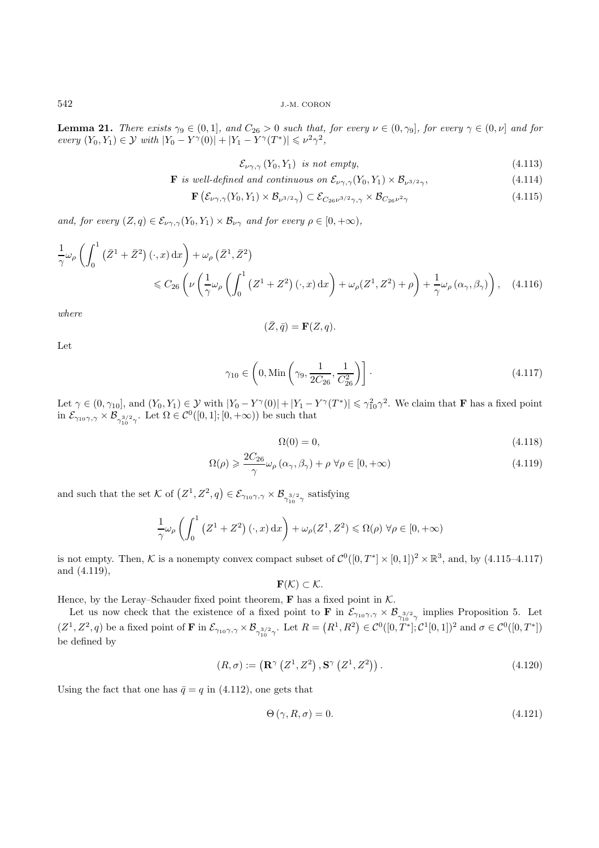**Lemma 21.** *There exists*  $\gamma_9 \in (0,1]$ *, and*  $C_{26} > 0$  *such that, for every*  $\nu \in (0,\gamma_9]$ *, for every*  $\gamma \in (0,\nu]$  *and for*  $every (Y_0, Y_1) \in \mathcal{Y}$  *with*  $|Y_0 - Y^{\gamma}(0)| + |Y_1 - Y^{\gamma}(T^*)| \leq \nu^2 \gamma^2$ ,

$$
\mathcal{E}_{\nu\gamma,\gamma}(Y_0,Y_1) \ \text{is not empty},\tag{4.113}
$$

**F** is well-defined and continuous on 
$$
\mathcal{E}_{\nu\gamma,\gamma}(Y_0,Y_1) \times \mathcal{B}_{\nu^{3/2}\gamma}
$$
, 
$$
(4.114)
$$

$$
\mathbf{F}\left(\mathcal{E}_{\nu\gamma,\gamma}(Y_0,Y_1)\times\mathcal{B}_{\nu^{3/2}\gamma}\right)\subset\mathcal{E}_{C_{26}\nu^{3/2}\gamma,\gamma}\times\mathcal{B}_{C_{26}\nu^{2}\gamma}\tag{4.115}
$$

*and, for every*  $(Z, q) \in \mathcal{E}_{\nu\gamma, \gamma}(Y_0, Y_1) \times \mathcal{B}_{\nu\gamma}$  *and for every*  $\rho \in [0, +\infty)$ *,* 

$$
\frac{1}{\gamma}\omega_{\rho}\left(\int_{0}^{1} \left(\bar{Z}^{1}+\bar{Z}^{2}\right)(\cdot,x) dx\right)+\omega_{\rho}\left(\bar{Z}^{1},\bar{Z}^{2}\right) \n\leq C_{26}\left(\nu\left(\frac{1}{\gamma}\omega_{\rho}\left(\int_{0}^{1} \left(Z^{1}+Z^{2}\right)(\cdot,x) dx\right)+\omega_{\rho}\left(Z^{1},Z^{2}\right)+\rho\right)+\frac{1}{\gamma}\omega_{\rho}\left(\alpha_{\gamma},\beta_{\gamma}\right)\right), \quad (4.116)
$$

*where*

$$
(\bar{Z}, \bar{q}) = \mathbf{F}(Z, q).
$$

Let

$$
\gamma_{10} \in \left(0, \text{Min}\left(\gamma_9, \frac{1}{2C_{26}}, \frac{1}{C_{26}^2}\right)\right].
$$
\n(4.117)

Let  $\gamma \in (0, \gamma_{10}]$ , and  $(Y_0, Y_1) \in \mathcal{Y}$  with  $|Y_0 - Y^{\gamma}(0)| + |Y_1 - Y^{\gamma}(T^*)| \leq \gamma_{10}^2 \gamma^2$ . We claim that **F** has a fixed point in  $\mathcal{E}_{\gamma_{10}\gamma,\gamma}\times\mathcal{B}_{\gamma_{10}^{3/2}\gamma}$ . Let  $\Omega \in C^0([0,1]; [0,+\infty))$  be such that

$$
\Omega(0) = 0,\tag{4.118}
$$

$$
\Omega(\rho) \geqslant \frac{2C_{26}}{\gamma} \omega_{\rho} \left( \alpha_{\gamma}, \beta_{\gamma} \right) + \rho \ \forall \rho \in [0, +\infty)
$$
\n
$$
(4.119)
$$

and such that the set K of  $(Z^1, Z^2, q) \in \mathcal{E}_{\gamma_{10}\gamma,\gamma} \times \mathcal{B}_{\gamma_{10}^{3/2}\gamma}$  satisfying

$$
\frac{1}{\gamma}\omega_{\rho}\left(\int_0^1 (Z^1 + Z^2)(\cdot, x) dx\right) + \omega_{\rho}(Z^1, Z^2) \le \Omega(\rho) \,\forall \rho \in [0, +\infty)
$$

is not empty. Then, K is a nonempty convex compact subset of  $\mathcal{C}^0([0,T^*] \times [0,1])^2 \times \mathbb{R}^3$ , and, by (4.115–4.117) and (4.119),

 $\mathbf{F}(\mathcal{K}) \subset \mathcal{K}.$ 

Hence, by the Leray–Schauder fixed point theorem,  $\bf{F}$  has a fixed point in  $K$ .

Let us now check that the existence of a fixed point to **F** in  $\mathcal{E}_{\gamma_{10}\gamma,\gamma} \times \mathcal{B}_{\gamma_{3/2}\gamma}$  implies Proposition 5. Let  $\mathcal{E}_{\gamma_{10}\gamma}$  $(Z^1, Z^2, q)$  be a fixed point of **F** in  $\mathcal{E}_{\gamma_{10}\gamma,\gamma} \times \mathcal{B}_{\gamma_{10}^{3/2}\gamma}$ . Let  $R = (R^1, R^2) \in C^0([0, T^*]; C^1[0, 1])^2$  and  $\sigma \in C^0([0, T^*])$ be defined by

$$
(R,\sigma) := \left(\mathbf{R}^{\gamma}\left(Z^1,Z^2\right),\mathbf{S}^{\gamma}\left(Z^1,Z^2\right)\right). \tag{4.120}
$$

Using the fact that one has  $\bar{q} = q$  in (4.112), one gets that

$$
\Theta\left(\gamma, R, \sigma\right) = 0.\tag{4.121}
$$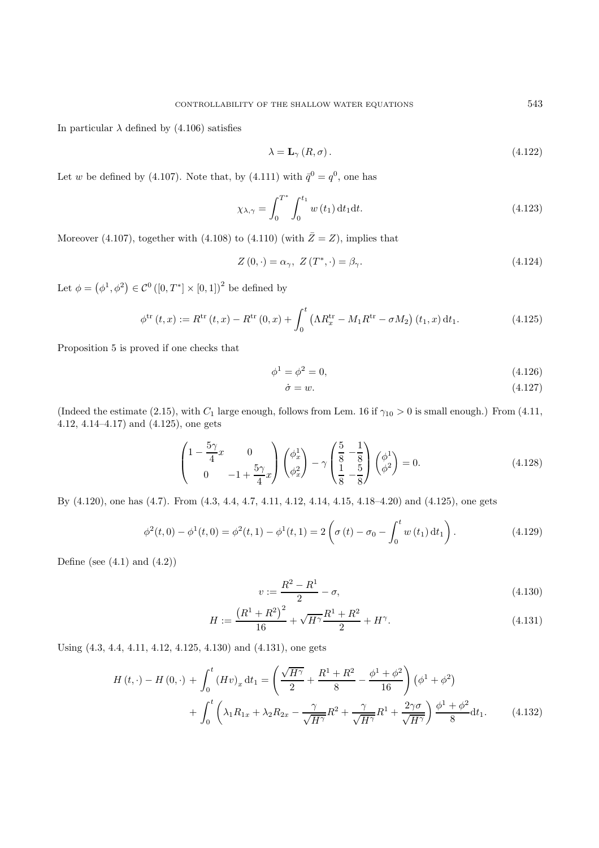In particular  $\lambda$  defined by (4.106) satisfies

$$
\lambda = \mathbf{L}_{\gamma} (R, \sigma). \tag{4.122}
$$

Let w be defined by (4.107). Note that, by (4.111) with  $\bar{q}^0 = q^0$ , one has

$$
\chi_{\lambda,\gamma} = \int_0^{T^*} \int_0^{t_1} w(t_1) dt_1 dt.
$$
\n(4.123)

Moreover (4.107), together with (4.108) to (4.110) (with  $\bar{Z}=Z$ ), implies that

$$
Z(0,\cdot) = \alpha_{\gamma}, \ Z(T^*,\cdot) = \beta_{\gamma}.
$$
\n(4.124)

Let  $\phi = (\phi^1, \phi^2) \in C^0([0, T^*] \times [0, 1])^2$  be defined by

$$
\phi^{\text{tr}}(t,x) := R^{\text{tr}}(t,x) - R^{\text{tr}}(0,x) + \int_0^t \left(\Lambda R_x^{\text{tr}} - M_1 R^{\text{tr}} - \sigma M_2\right)(t_1,x) dt_1.
$$
 (4.125)

Proposition 5 is proved if one checks that

$$
\phi^1 = \phi^2 = 0,\tag{4.126}
$$

$$
\dot{\sigma} = w.\tag{4.127}
$$

(Indeed the estimate (2.15), with  $C_1$  large enough, follows from Lem. 16 if  $\gamma_{10} > 0$  is small enough.) From (4.11, 4.12, 4.14–4.17) and (4.125), one gets

$$
\begin{pmatrix} 1 - \frac{5\gamma}{4}x & 0\\ 0 & -1 + \frac{5\gamma}{4}x \end{pmatrix} \begin{pmatrix} \phi_x^1\\ \phi_x^2 \end{pmatrix} - \gamma \begin{pmatrix} \frac{5}{8} - \frac{1}{8} \\ \frac{1}{8} - \frac{5}{8} \end{pmatrix} \begin{pmatrix} \phi^1\\ \phi^2 \end{pmatrix} = 0.
$$
 (4.128)

By (4.120), one has (4.7). From (4.3, 4.4, 4.7, 4.11, 4.12, 4.14, 4.15, 4.18–4.20) and (4.125), one gets

$$
\phi^{2}(t,0) - \phi^{1}(t,0) = \phi^{2}(t,1) - \phi^{1}(t,1) = 2\left(\sigma(t) - \sigma_{0} - \int_{0}^{t} w(t_{1}) dt_{1}\right).
$$
\n(4.129)

Define (see  $(4.1)$  and  $(4.2)$ )

$$
v := \frac{R^2 - R^1}{2} - \sigma,\tag{4.130}
$$

$$
H := \frac{\left(R^1 + R^2\right)^2}{16} + \sqrt{H^{\gamma}} \frac{R^1 + R^2}{2} + H^{\gamma}.
$$
\n(4.131)

Using (4.3, 4.4, 4.11, 4.12, 4.125, 4.130) and (4.131), one gets

$$
H(t, \cdot) - H(0, \cdot) + \int_0^t (Hv)_x dt_1 = \left(\frac{\sqrt{H^{\gamma}}}{2} + \frac{R^1 + R^2}{8} - \frac{\phi^1 + \phi^2}{16}\right) (\phi^1 + \phi^2) + \int_0^t \left(\lambda_1 R_{1x} + \lambda_2 R_{2x} - \frac{\gamma}{\sqrt{H^{\gamma}}} R^2 + \frac{\gamma}{\sqrt{H^{\gamma}}} R^1 + \frac{2\gamma\sigma}{\sqrt{H^{\gamma}}}\right) \frac{\phi^1 + \phi^2}{8} dt_1.
$$
 (4.132)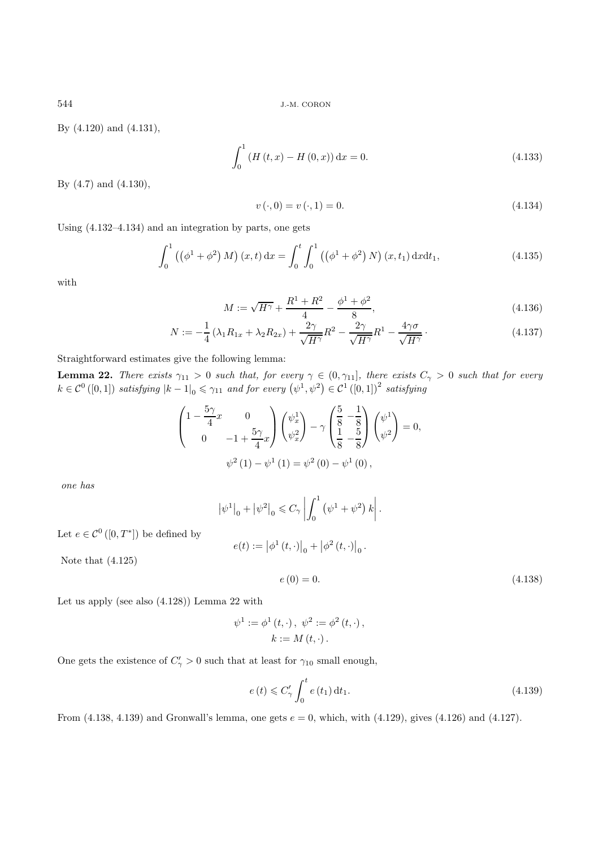By (4.120) and (4.131),

$$
\int_{0}^{1} \left( H\left(t, x\right) - H\left(0, x\right) \right) \mathrm{d}x = 0. \tag{4.133}
$$

By (4.7) and (4.130),

$$
v(\cdot,0) = v(\cdot,1) = 0.\t\t(4.134)
$$

Using (4.132–4.134) and an integration by parts, one gets

$$
\int_0^1 ((\phi^1 + \phi^2) M) (x, t) dx = \int_0^t \int_0^1 ((\phi^1 + \phi^2) N) (x, t_1) dx dt_1,
$$
\n(4.135)

with

$$
M := \sqrt{H^{\gamma}} + \frac{R^1 + R^2}{4} - \frac{\phi^1 + \phi^2}{8}, \tag{4.136}
$$

$$
N := -\frac{1}{4} \left( \lambda_1 R_{1x} + \lambda_2 R_{2x} \right) + \frac{2\gamma}{\sqrt{H^{\gamma}}} R^2 - \frac{2\gamma}{\sqrt{H^{\gamma}}} R^1 - \frac{4\gamma\sigma}{\sqrt{H^{\gamma}}} \,. \tag{4.137}
$$

Straightforward estimates give the following lemma:

**Lemma 22.** There exists  $\gamma_{11} > 0$  such that, for every  $\gamma \in (0, \gamma_{11}]$ , there exists  $C_{\gamma} > 0$  such that for every  $k \in C^0([0,1])$  satisfying  $|k-1|_0 \leq \gamma_{11}$  and for every  $(\psi^1, \psi^2) \in C^1([0,1])^2$  satisfying

$$
\begin{pmatrix} 1 - \frac{5\gamma}{4}x & 0 \\ 0 & -1 + \frac{5\gamma}{4}x \end{pmatrix} \begin{pmatrix} \psi_x^1 \\ \psi_x^2 \end{pmatrix} - \gamma \begin{pmatrix} \frac{5}{8} - \frac{1}{8} \\ \frac{1}{8} - \frac{5}{8} \end{pmatrix} \begin{pmatrix} \psi^1 \\ \psi^2 \end{pmatrix} = 0,
$$
  

$$
\psi^2 (1) - \psi^1 (1) = \psi^2 (0) - \psi^1 (0),
$$

*one has*

$$
|\psi^{1}|_{0} + |\psi^{2}|_{0} \le C_{\gamma} \left| \int_{0}^{1} (\psi^{1} + \psi^{2}) k \right|.
$$

Let  $e \in \mathcal{C}^0([0,T^*])$  be defined by

$$
e(t):=\left|\phi^{1}\left(t,\cdot\right)\right|_{0}+\left|\phi^{2}\left(t,\cdot\right)\right|_{0}.
$$

Note that (4.125)

$$
e(0) = 0.\t\t(4.138)
$$

Let us apply (see also (4.128)) Lemma 22 with

$$
\psi^{1} := \phi^{1}(t, \cdot), \ \psi^{2} := \phi^{2}(t, \cdot), \nk := M(t, \cdot).
$$

One gets the existence of  $C'_{\gamma} > 0$  such that at least for  $\gamma_{10}$  small enough,

$$
e(t) \leq C'_{\gamma} \int_0^t e(t_1) dt_1.
$$
\n(4.139)

From  $(4.138, 4.139)$  and Gronwall's lemma, one gets  $e = 0$ , which, with  $(4.129)$ , gives  $(4.126)$  and  $(4.127)$ .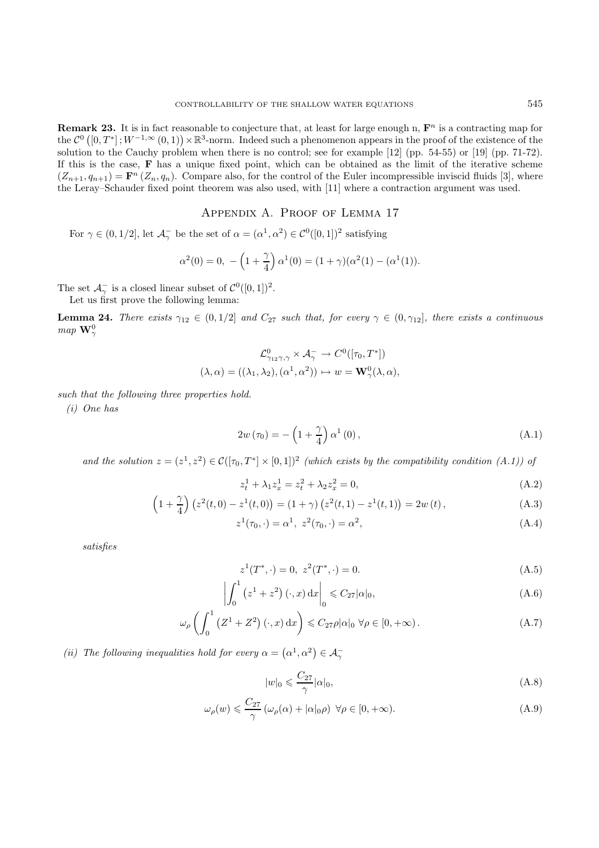**Remark 23.** It is in fact reasonable to conjecture that, at least for large enough n,  $\mathbf{F}^n$  is a contracting map for the  $\mathcal{C}^0([0,T^*];W^{-1,\infty}(0,1))\times\mathbb{R}^3$ -norm. Indeed such a phenomenon appears in the proof of the existence of the solution to the Cauchy problem when there is no control; see for example [12] (pp. 54-55) or [19] (pp. 71-72). If this is the case, **F** has a unique fixed point, which can be obtained as the limit of the iterative scheme  $(Z_{n+1}, q_{n+1}) = \mathbf{F}^n (Z_n, q_n)$ . Compare also, for the control of the Euler incompressible inviscid fluids [3], where the Leray–Schauder fixed point theorem was also used, with [11] where a contraction argument was used.

Appendix A. Proof of Lemma 17

For  $\gamma \in (0, 1/2]$ , let  $\mathcal{A}_{\gamma}^{-}$  be the set of  $\alpha = (\alpha^{1}, \alpha^{2}) \in \mathcal{C}^{0}([0, 1])^{2}$  satisfying

$$
\alpha^{2}(0) = 0, \ -\left(1 + \frac{\gamma}{4}\right)\alpha^{1}(0) = (1 + \gamma)(\alpha^{2}(1) - (\alpha^{1}(1)).
$$

The set  $\mathcal{A}_{\gamma}^-$  is a closed linear subset of  $\mathcal{C}^0([0,1])^2$ .<br>Let us first prove the following lemma:

Let us first prove the following lemma:

**Lemma 24.** *There exists*  $\gamma_{12} \in (0, 1/2]$  *and*  $C_{27}$  *such that, for every*  $\gamma \in (0, \gamma_{12}]$ *, there exists a continuous map*  $\mathbf{W}_{\infty}^0$ γ

$$
\mathcal{L}_{\gamma_{12}\gamma,\gamma}^{0} \times \mathcal{A}_{\gamma}^{-} \to C^{0}([\tau_{0},T^{*}])
$$
  

$$
(\lambda, \alpha) = ((\lambda_{1}, \lambda_{2}), (\alpha^{1}, \alpha^{2})) \mapsto w = \mathbf{W}_{\gamma}^{0}(\lambda, \alpha),
$$

*such that the following three properties hold.*

*(i) One has*

$$
2w\left(\tau_0\right) = -\left(1 + \frac{\gamma}{4}\right)\alpha^1\left(0\right),\tag{A.1}
$$

and the solution  $z = (z^1, z^2) \in C([\tau_0, T^*] \times [0, 1])^2$  *(which exists by the compatibility condition (A.1)) of* 

$$
z_t^1 + \lambda_1 z_x^1 = z_t^2 + \lambda_2 z_x^2 = 0,
$$
\n(A.2)

$$
\left(1+\frac{\gamma}{4}\right)\left(z^2(t,0)-z^1(t,0)\right)=(1+\gamma)\left(z^2(t,1)-z^1(t,1)\right)=2w(t),\tag{A.3}
$$

$$
z^{1}(\tau_{0}, \cdot) = \alpha^{1}, \ z^{2}(\tau_{0}, \cdot) = \alpha^{2}, \tag{A.4}
$$

*satisfies*

$$
z^{1}(T^{*}, \cdot) = 0, \ z^{2}(T^{*}, \cdot) = 0.
$$
\n(A.5)

$$
\left| \int_0^1 \left( z^1 + z^2 \right) (\cdot, x) \, \mathrm{d}x \right|_0 \leqslant C_{27} |\alpha|_0,
$$
\n(A.6)

$$
\omega_{\rho}\left(\int_0^1 \left(Z^1 + Z^2\right)(\cdot, x) \, \mathrm{d}x\right) \leq C_{27}\rho|\alpha|_0 \; \forall \rho \in [0, +\infty). \tag{A.7}
$$

(*ii*) The following inequalities hold for every  $\alpha = (\alpha^1, \alpha^2) \in \mathcal{A}_{\gamma}^$ γ

$$
|w|_0 \leqslant \frac{C_{27}}{\gamma} |\alpha|_0,\tag{A.8}
$$

$$
\omega_{\rho}(w) \leq \frac{C_{27}}{\gamma} \left( \omega_{\rho}(\alpha) + |\alpha|_{0}\rho \right) \ \forall \rho \in [0, +\infty). \tag{A.9}
$$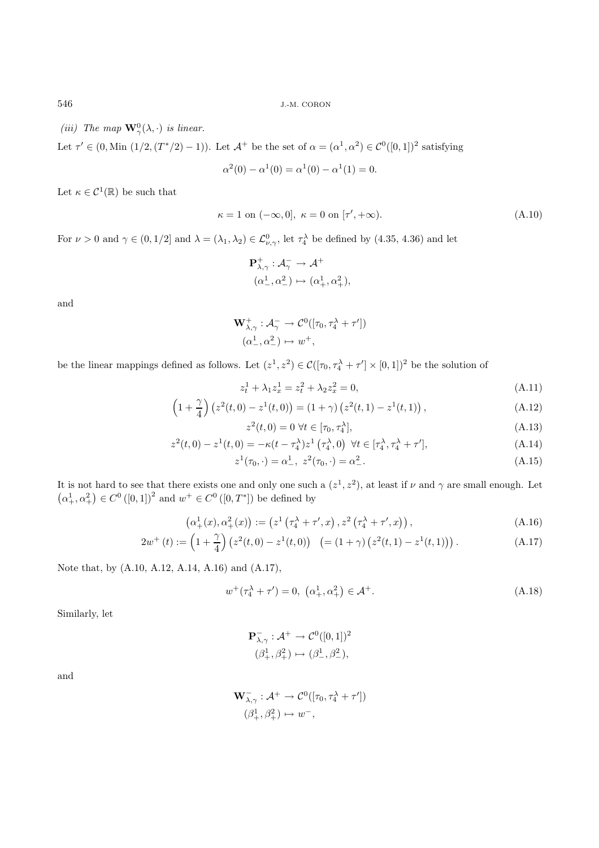*(iii)* The map  $\mathbf{W}_{\gamma}^0(\lambda, \cdot)$  *is linear.* 

Let  $\tau' \in (0, \text{Min } (1/2, (T^*/2) - 1))$ . Let  $\mathcal{A}^+$  be the set of  $\alpha = (\alpha^1, \alpha^2) \in C^0([0, 1])^2$  satisfying

$$
\alpha^{2}(0) - \alpha^{1}(0) = \alpha^{1}(0) - \alpha^{1}(1) = 0.
$$

Let  $\kappa \in C^1(\mathbb{R})$  be such that

$$
\kappa = 1 \text{ on } (-\infty, 0], \ \kappa = 0 \text{ on } [\tau', +\infty). \tag{A.10}
$$

For  $\nu > 0$  and  $\gamma \in (0, 1/2]$  and  $\lambda = (\lambda_1, \lambda_2) \in \mathcal{L}^0_{\nu, \gamma}$ , let  $\tau^{\lambda}_4$  be defined by (4.35, 4.36) and let

$$
\begin{aligned} &\mathbf{P}^+_{\lambda,\gamma}:\mathcal A^-_\gamma\to\mathcal A^+\\ &(\alpha^1_-,\alpha^2_-)\mapsto(\alpha^1_+,\alpha^2_+), \end{aligned}
$$

and

$$
\mathbf{W}^+_{\lambda,\gamma}: \mathcal{A}^-_{\gamma} \to \mathcal{C}^0([\tau_0, \tau_4^{\lambda} + \tau'])
$$

$$
(\alpha_-^1, \alpha_-^2) \mapsto w^+,
$$

be the linear mappings defined as follows. Let  $(z^1, z^2) \in C([\tau_0, \tau_4^{\lambda} + \tau'] \times [0, 1])^2$  be the solution of

$$
z_t^1 + \lambda_1 z_x^1 = z_t^2 + \lambda_2 z_x^2 = 0,
$$
\n(A.11)

$$
\left(1+\frac{\gamma}{4}\right)\left(z^2(t,0)-z^1(t,0)\right)=(1+\gamma)\left(z^2(t,1)-z^1(t,1)\right),\tag{A.12}
$$

$$
z^{2}(t,0) = 0 \,\,\forall t \in [\tau_{0}, \tau_{4}^{\lambda}], \tag{A.13}
$$

$$
z^{2}(t,0) - z^{1}(t,0) = -\kappa(t - \tau_{4}^{\lambda})z^{1}(\tau_{4}^{\lambda},0) \ \forall t \in [\tau_{4}^{\lambda}, \tau_{4}^{\lambda} + \tau'], \tag{A.14}
$$

$$
z^{1}(\tau_{0}, \cdot) = \alpha_{-}^{1}, \ z^{2}(\tau_{0}, \cdot) = \alpha_{-}^{2}.
$$
\n(A.15)

It is not hard to see that there exists one and only one such a  $(z^1, z^2)$ , at least if  $\nu$  and  $\gamma$  are small enough. Let  $(\alpha_{+}^{1}, \alpha_{+}^{2}) \in C^{0}([0, 1])^{2}$  and  $w^{+} \in C^{0}([0, T^{*}])$  be defined by

$$
\left(\alpha_{+}^{1}(x), \alpha_{+}^{2}(x)\right) := \left(z^{1}\left(\tau_{4}^{\lambda} + \tau', x\right), z^{2}\left(\tau_{4}^{\lambda} + \tau', x\right)\right),\tag{A.16}
$$

$$
2w^{+}(t) := \left(1 + \frac{\gamma}{4}\right)\left(z^{2}(t,0) - z^{1}(t,0)\right) \quad \left(=(1+\gamma)\left(z^{2}(t,1) - z^{1}(t,1)\right)\right). \tag{A.17}
$$

Note that, by (A.10, A.12, A.14, A.16) and (A.17),

$$
w^{+}(\tau_4^{\lambda} + \tau') = 0, \ (\alpha_+^1, \alpha_+^2) \in \mathcal{A}^+.
$$
 (A.18)

Similarly, let

$$
\begin{aligned} \mathbf{P}^{-}_{\lambda,\gamma}: \mathcal{A}^{+}\rightarrow \mathcal{C}^{0}([0,1])^{2}\\ (\beta_{+}^{1},\beta_{+}^{2})&\mapsto(\beta_{-}^{1},\beta_{-}^{2}), \end{aligned}
$$

and

$$
\mathbf{W}_{\lambda,\gamma}^- : \mathcal{A}^+ \to \mathcal{C}^0([\tau_0, \tau_4^\lambda + \tau'])
$$
  

$$
(\beta_+^1, \beta_+^2) \mapsto w^-,
$$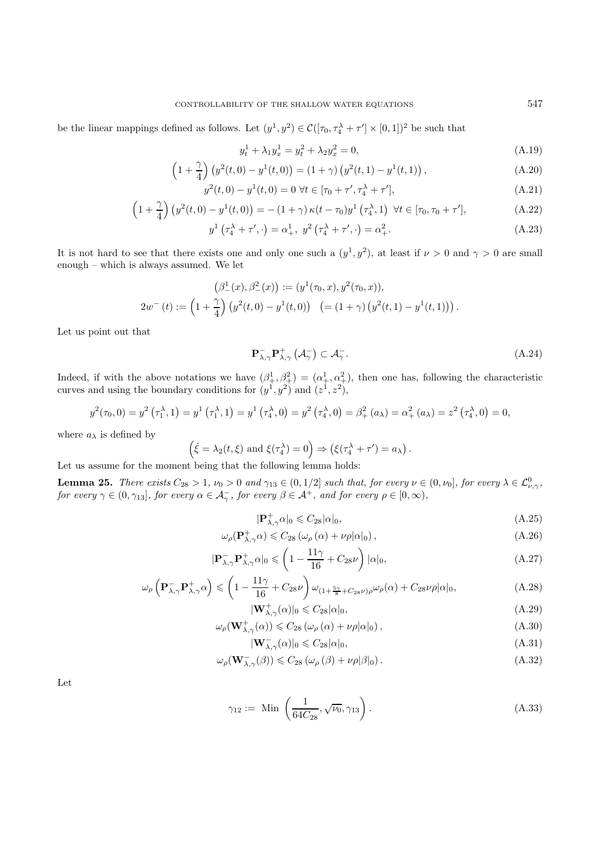be the linear mappings defined as follows. Let  $(y^1, y^2) \in C([\tau_0, \tau_4^{\lambda} + \tau'] \times [0, 1])^2$  be such that

$$
y_t^1 + \lambda_1 y_x^1 = y_t^2 + \lambda_2 y_x^2 = 0,
$$
\n(A.19)

$$
\left(1+\frac{\gamma}{4}\right)\left(y^2(t,0)-y^1(t,0)\right)=(1+\gamma)\left(y^2(t,1)-y^1(t,1)\right),\tag{A.20}
$$

$$
y^{2}(t,0) - y^{1}(t,0) = 0 \,\forall t \in [\tau_{0} + \tau', \tau_{4}^{\lambda} + \tau'], \tag{A.21}
$$

$$
\left(1+\frac{\gamma}{4}\right)\left(y^2(t,0)-y^1(t,0)\right) = -(1+\gamma)\,\kappa(t-\tau_0)y^1\left(\tau_4^{\lambda},1\right)\,\,\forall t\in[\tau_0,\tau_0+\tau'],\tag{A.22}
$$

$$
y^{1}(\tau_{4}^{\lambda} + \tau', \cdot) = \alpha_{+}^{1}, \ y^{2}(\tau_{4}^{\lambda} + \tau', \cdot) = \alpha_{+}^{2}.
$$
 (A.23)

It is not hard to see that there exists one and only one such a  $(y^1, y^2)$ , at least if  $\nu > 0$  and  $\gamma > 0$  are small enough – which is always assumed. We let

$$
\left(\beta^1_-(x),\beta^2_-(x)\right) := (y^1(\tau_0,x),y^2(\tau_0,x)),
$$
  

$$
2w^-(t) := \left(1+\frac{\gamma}{4}\right)\left(y^2(t,0) - y^1(t,0)\right) \ \left(=(1+\gamma)\left(y^2(t,1) - y^1(t,1)\right)\right).
$$

Let us point out that

$$
\mathbf{P}_{\lambda,\gamma}^{-} \mathbf{P}_{\lambda,\gamma}^{+} (\mathcal{A}_{\gamma}^{-}) \subset \mathcal{A}_{\gamma}^{-}.
$$
 (A.24)

Indeed, if with the above notations we have  $(\beta_+^1, \beta_+^2) = (\alpha_+^1, \alpha_+^2)$ , then one has, following the characteristic curves and using the boundary conditions for  $(y^1, y^2)$  and  $(z^1, z^2)$ ,

$$
y^{2}(\tau_{0},0) = y^{2}(\tau_{1}^{\lambda},1) = y^{1}(\tau_{1}^{\lambda},1) = y^{1}(\tau_{4}^{\lambda},0) = y^{2}(\tau_{4}^{\lambda},0) = \beta_{+}^{2}(a_{\lambda}) = \alpha_{+}^{2}(a_{\lambda}) = z^{2}(\tau_{4}^{\lambda},0) = 0,
$$

where  $a_\lambda$  is defined by

$$
(\dot{\xi} = \lambda_2(t,\xi) \text{ and } \xi(\tau_4^{\lambda}) = 0) \Rightarrow (\xi(\tau_4^{\lambda} + \tau') = a_{\lambda}).
$$

Let us assume for the moment being that the following lemma holds:

**Lemma 25.** There exists  $C_{28} > 1$ ,  $\nu_0 > 0$  and  $\gamma_{13} \in (0, 1/2]$  such that, for every  $\nu \in (0, \nu_0]$ , for every  $\lambda \in \mathcal{L}^0_{\nu, \gamma}$ , for every  $\gamma \in (0, \gamma_{13}]$ , for every  $\alpha \in \mathcal{A}^-_{\gamma}$ , for every  $\beta \in \mathcal{A}^+$ ,

$$
|\mathbf{P}_{\lambda,\gamma}^+\alpha|_0 \leqslant C_{28}|\alpha|_0,\tag{A.25}
$$

$$
\omega_{\rho}(\mathbf{P}_{\lambda,\gamma}^{+}\alpha) \leqslant C_{28} \left(\omega_{\rho}\left(\alpha\right) + \nu\rho|\alpha|_{0}\right),\tag{A.26}
$$

$$
|\mathbf{P}_{\lambda,\gamma}^{-}\mathbf{P}_{\lambda,\gamma}^{+}\alpha|_{0} \leqslant \left(1 - \frac{11\gamma}{16} + C_{28}\nu\right)|\alpha|_{0},\tag{A.27}
$$

$$
\omega_{\rho} \left( \mathbf{P}_{\lambda,\gamma}^{-} \mathbf{P}_{\lambda,\gamma}^{+} \alpha \right) \leqslant \left( 1 - \frac{11\gamma}{16} + C_{28} \nu \right) \omega_{\left( 1 + \frac{5\gamma}{8} + C_{28} \nu \right) \rho} \omega_{\rho}(\alpha) + C_{28} \nu \rho |\alpha|_{0},\tag{A.28}
$$

$$
|\mathbf{W}_{\lambda,\gamma}^{+}(\alpha)|_{0} \leqslant C_{28}|\alpha|_{0},\tag{A.29}
$$

$$
\omega_{\rho}(\mathbf{W}^+_{\lambda,\gamma}(\alpha)) \leqslant C_{28} \left( \omega_{\rho}(\alpha) + \nu \rho |\alpha|_0 \right), \tag{A.30}
$$

$$
|\mathbf{W}_{\lambda,\gamma}^{-}(\alpha)|_{0} \leq C_{28}|\alpha|_{0},\tag{A.31}
$$

$$
\omega_{\rho}(\mathbf{W}_{\lambda,\gamma}^{-}(\beta)) \leq C_{28} \left( \omega_{\rho}(\beta) + \nu \rho |\beta|_{0} \right). \tag{A.32}
$$

Let

$$
\gamma_{12} := \text{Min}\left(\frac{1}{64C_{28}}, \sqrt{\nu_0}, \gamma_{13}\right). \tag{A.33}
$$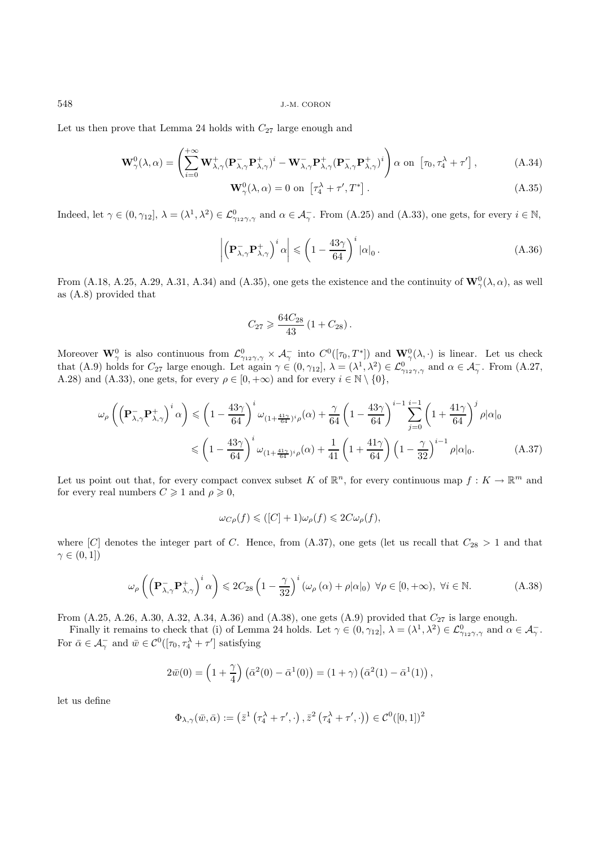Let us then prove that Lemma 24 holds with  $C_{27}$  large enough and

$$
\mathbf{W}_{\gamma}^{0}(\lambda,\alpha) = \left(\sum_{i=0}^{+\infty} \mathbf{W}_{\lambda,\gamma}^{+} (\mathbf{P}_{\lambda,\gamma}^{-} \mathbf{P}_{\lambda,\gamma}^{+})^{i} - \mathbf{W}_{\lambda,\gamma}^{-} \mathbf{P}_{\lambda,\gamma}^{+} (\mathbf{P}_{\lambda,\gamma}^{-} \mathbf{P}_{\lambda,\gamma}^{+})^{i}\right) \alpha \text{ on } [\tau_{0}, \tau_{4}^{\lambda} + \tau'],
$$
\n(A.34)

$$
\mathbf{W}^0_{\gamma}(\lambda,\alpha) = 0 \text{ on } \left[\tau_4^{\lambda} + \tau', T^*\right].\tag{A.35}
$$

Indeed, let  $\gamma \in (0, \gamma_{12}]$ ,  $\lambda = (\lambda^1, \lambda^2) \in \mathcal{L}^0_{\gamma_{12}\gamma, \gamma}$  and  $\alpha \in \mathcal{A}_{\gamma}$ . From (A.25) and (A.33), one gets, for every  $i \in \mathbb{N}$ ,

$$
\left| \left( \mathbf{P}_{\lambda,\gamma}^{-} \mathbf{P}_{\lambda,\gamma}^{+} \right)^{i} \alpha \right| \leqslant \left( 1 - \frac{43\gamma}{64} \right)^{i} |\alpha|_{0} . \tag{A.36}
$$

From (A.18, A.25, A.29, A.31, A.34) and (A.35), one gets the existence and the continuity of  $\mathbf{W}_{\gamma}^{0}(\lambda,\alpha)$ , as well as (A.8) provided that

$$
C_{27} \geqslant \frac{64 C_{28}}{43} \left(1 + C_{28}\right).
$$

Moreover  $\mathbf{W}_{\gamma}^0$  is also continuous from  $\mathcal{L}_{\gamma_{12}\gamma,\gamma}^0 \times \mathcal{A}_{\gamma}^-$  into  $C^0([\tau_0, T^*])$  and  $\mathbf{W}_{\gamma}^0(\lambda, \cdot)$  is linear. Let us check<br>that (A.9) holds for  $C_{27}$  large enough. Let again  $\gamma \in (0, \gamma_{12}], \lambda = (\lambda^$ A.28) and (A.33), one gets, for every  $\rho \in [0, +\infty)$  and for every  $i \in \mathbb{N} \setminus \{0\},$ 

$$
\omega_{\rho}\left(\left(\mathbf{P}_{\lambda,\gamma}^{-}\mathbf{P}_{\lambda,\gamma}^{+}\right)^{i}\alpha\right) \leq \left(1 - \frac{43\gamma}{64}\right)^{i}\omega_{(1+\frac{41\gamma}{64})^{i}\rho}(\alpha) + \frac{\gamma}{64}\left(1 - \frac{43\gamma}{64}\right)^{i-1}\sum_{j=0}^{i-1}\left(1 + \frac{41\gamma}{64}\right)^{j}\rho|\alpha|_{0}
$$

$$
\leq \left(1 - \frac{43\gamma}{64}\right)^{i}\omega_{(1+\frac{41\gamma}{64})^{i}\rho}(\alpha) + \frac{1}{41}\left(1 + \frac{41\gamma}{64}\right)\left(1 - \frac{\gamma}{32}\right)^{i-1}\rho|\alpha|_{0}.\tag{A.37}
$$

Let us point out that, for every compact convex subset K of  $\mathbb{R}^n$ , for every continuous map  $f: K \to \mathbb{R}^m$  and for every real numbers  $C \geq 1$  and  $\rho \geq 0$ ,

$$
\omega_{C\rho}(f) \leq ( [C] + 1) \omega_{\rho}(f) \leq 2C \omega_{\rho}(f),
$$

where [C] denotes the integer part of C. Hence, from (A.37), one gets (let us recall that  $C_{28} > 1$  and that  $\gamma \in (0,1])$ 

$$
\omega_{\rho}\left(\left(\mathbf{P}_{\lambda,\gamma}^{-}\mathbf{P}_{\lambda,\gamma}^{+}\right)^{i}\alpha\right) \leq 2C_{28}\left(1-\frac{\gamma}{32}\right)^{i}\left(\omega_{\rho}\left(\alpha\right)+\rho|\alpha|_{0}\right) \ \forall \rho \in [0,+\infty), \ \forall i \in \mathbb{N}.\tag{A.38}
$$

From  $(A.25, A.26, A.30, A.32, A.34, A.36)$  and  $(A.38)$ , one gets  $(A.9)$  provided that  $C_{27}$  is large enough.

Finally it remains to check that (i) of Lemma 24 holds. Let  $\gamma \in (0, \gamma_{12}]$ ,  $\lambda = (\lambda^1, \lambda^2) \in \mathcal{L}^0_{\gamma_{12}\gamma, \gamma}$  and  $\alpha \in \mathcal{A}_{\gamma}$ .<br>For  $\bar{\alpha} \in \mathcal{A}_{\gamma}$  and  $\bar{w} \in \mathcal{C}^0([\tau_0, \tau_4^{\lambda} + \tau']$  satisfying

$$
2\bar{w}(0) = \left(1 + \frac{\gamma}{4}\right)\left(\bar{\alpha}^2(0) - \bar{\alpha}^1(0)\right) = \left(1 + \gamma\right)\left(\bar{\alpha}^2(1) - \bar{\alpha}^1(1)\right),
$$

let us define

$$
\Phi_{\lambda,\gamma}(\bar w,\bar \alpha):=\left(\bar z^1\left(\tau_4^\lambda+\tau',\cdot\right),\bar z^2\left(\tau_4^\lambda+\tau',\cdot\right)\right)\in \mathcal{C}^0([0,1])^2
$$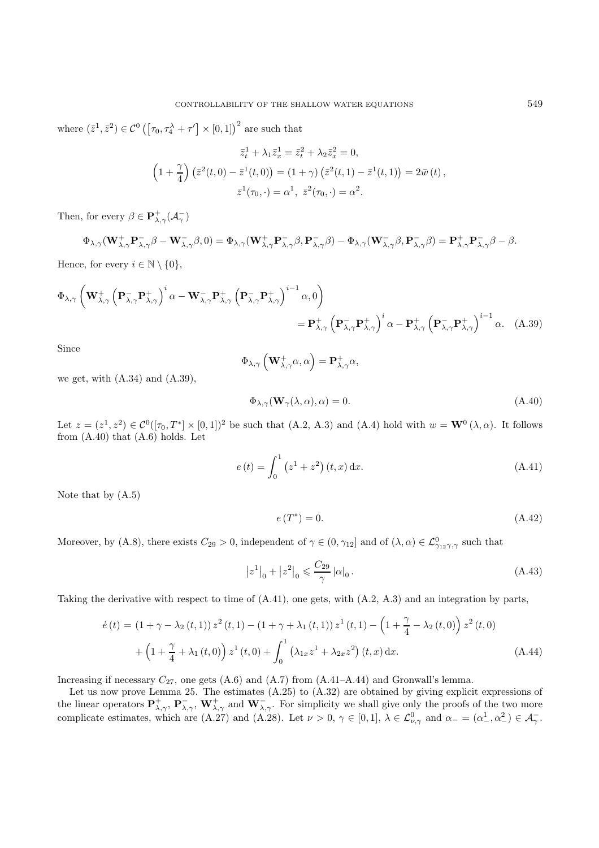where  $(\bar{z}^1, \bar{z}^2) \in C^0 \left( \left[ \tau_0, \tau_4^{\lambda} + \tau' \right] \times [0, 1] \right)^2$  are such that

$$
\bar{z}_t^1 + \lambda_1 \bar{z}_x^1 = \bar{z}_t^2 + \lambda_2 \bar{z}_x^2 = 0,
$$
  
\n
$$
\left(1 + \frac{\gamma}{4}\right) \left(\bar{z}^2(t,0) - \bar{z}^1(t,0)\right) = (1+\gamma) \left(\bar{z}^2(t,1) - \bar{z}^1(t,1)\right) = 2\bar{w}(t),
$$
  
\n
$$
\bar{z}^1(\tau_0, \cdot) = \alpha^1, \ \bar{z}^2(\tau_0, \cdot) = \alpha^2.
$$

Then, for every  $\beta \in \mathbf{P}^+_{\lambda,\gamma}(\mathcal{A}^-_{\gamma})$ 

 $\Phi_{\lambda,\gamma}(\mathbf{W}_{\lambda,\gamma}^+\mathbf{P}_{\lambda,\gamma}^-\beta-\mathbf{W}_{\lambda,\gamma}^-\beta,0) = \Phi_{\lambda,\gamma}(\mathbf{W}_{\lambda,\gamma}^+\mathbf{P}_{\lambda,\gamma}^-\beta,\mathbf{P}_{\lambda,\gamma}^-\beta)-\Phi_{\lambda,\gamma}(\mathbf{W}_{\lambda,\gamma}^-\beta,\mathbf{P}_{\lambda,\gamma}^-\beta)=\mathbf{P}_{\lambda,\gamma}^+\mathbf{P}_{\lambda,\gamma}^-\beta-\beta.$ 

Hence, for every 
$$
i\in\mathbb{N}\setminus\{0\},
$$

$$
\Phi_{\lambda,\gamma} \left( \mathbf{W}_{\lambda,\gamma}^+ \left( \mathbf{P}_{\lambda,\gamma}^- \mathbf{P}_{\lambda,\gamma}^+ \right)^i \alpha - \mathbf{W}_{\lambda,\gamma}^- \mathbf{P}_{\lambda,\gamma}^+ \left( \mathbf{P}_{\lambda,\gamma}^- \mathbf{P}_{\lambda,\gamma}^+ \right)^{i-1} \alpha, 0 \right) \n= \mathbf{P}_{\lambda,\gamma}^+ \left( \mathbf{P}_{\lambda,\gamma}^- \mathbf{P}_{\lambda,\gamma}^+ \right)^i \alpha - \mathbf{P}_{\lambda,\gamma}^+ \left( \mathbf{P}_{\lambda,\gamma}^- \mathbf{P}_{\lambda,\gamma}^+ \right)^{i-1} \alpha. \quad (A.39)
$$

Since

$$
\Phi_{\lambda,\gamma}\left(\mathbf{W}_{\lambda,\gamma}^{\mathbf{+}}\alpha,\alpha\right)=\mathbf{P}_{\lambda,\gamma}^{+}\alpha,
$$

we get, with  $(A.34)$  and  $(A.39)$ ,

$$
\Phi_{\lambda,\gamma}(\mathbf{W}_{\gamma}(\lambda,\alpha),\alpha) = 0.
$$
\n(A.40)

Let  $z = (z^1, z^2) \in C^0([\tau_0, T^*] \times [0, 1])^2$  be such that (A.2, A.3) and (A.4) hold with  $w = \mathbf{W}^0(\lambda, \alpha)$ . It follows from  $(A.40)$  that  $(A.6)$  holds. Let

$$
e(t) = \int_0^1 (z^1 + z^2) (t, x) dx.
$$
 (A.41)

Note that by (A.5)

$$
e(T^*) = 0.\tag{A.42}
$$

Moreover, by (A.8), there exists  $C_{29} > 0$ , independent of  $\gamma \in (0, \gamma_{12}]$  and of  $(\lambda, \alpha) \in \mathcal{L}^0_{\gamma_{12}\gamma, \gamma}$  such that

$$
|z^1|_0 + |z^2|_0 \leqslant \frac{C_{29}}{\gamma} |\alpha|_0.
$$
 (A.43)

Taking the derivative with respect to time of (A.41), one gets, with (A.2, A.3) and an integration by parts,

$$
\dot{e}(t) = (1 + \gamma - \lambda_2(t, 1)) z^2(t, 1) - (1 + \gamma + \lambda_1(t, 1)) z^1(t, 1) - \left(1 + \frac{\gamma}{4} - \lambda_2(t, 0)\right) z^2(t, 0) + \left(1 + \frac{\gamma}{4} + \lambda_1(t, 0)\right) z^1(t, 0) + \int_0^1 \left(\lambda_{1x} z^1 + \lambda_{2x} z^2\right)(t, x) dx.
$$
\n(A.44)

Increasing if necessary  $C_{27}$ , one gets  $(A.6)$  and  $(A.7)$  from  $(A.41-A.44)$  and Gronwall's lemma.

Let us now prove Lemma 25. The estimates (A.25) to (A.32) are obtained by giving explicit expressions of the linear operators  $\mathbf{P}^+_{\lambda,\gamma}$ ,  $\mathbf{P}^-_{\lambda,\gamma}$ ,  $\mathbf{W}^+_{\lambda,\gamma}$  and  $\mathbf{W}^-_{\lambda,\gamma}$ . For simplicity we shall give only the proofs of the two more complicate estimates, which are (A.27) and (A.28). Let  $\nu > 0$ ,  $\$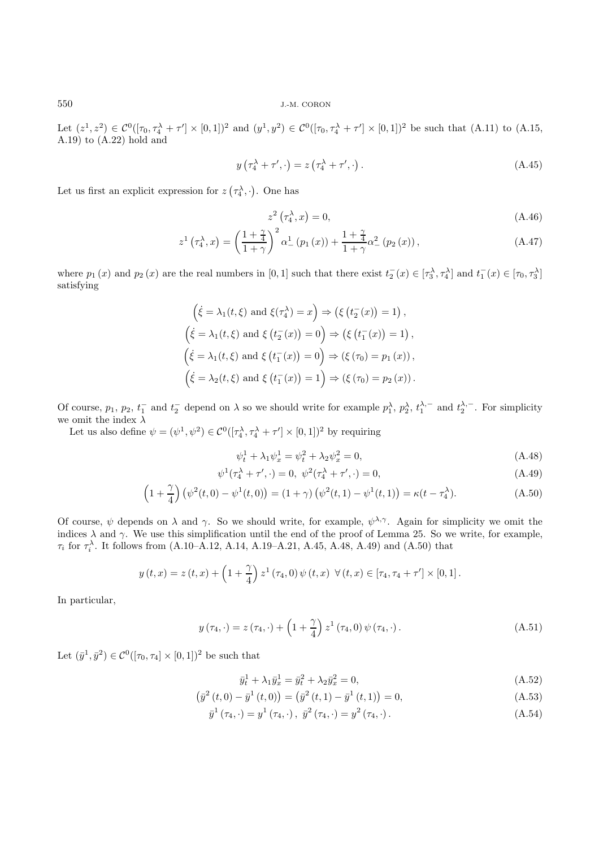Let  $(z^1, z^2) \in C^0([\tau_0, \tau_4^{\lambda} + \tau'] \times [0, 1])^2$  and  $(y^1, y^2) \in C^0([\tau_0, \tau_4^{\lambda} + \tau'] \times [0, 1])^2$  be such that  $(A.11)$  to  $(A.15,$ A.19) to (A.22) hold and

$$
y\left(\tau_4^{\lambda} + \tau', \cdot\right) = z\left(\tau_4^{\lambda} + \tau', \cdot\right). \tag{A.45}
$$

Let us first an explicit expression for  $z(\tau_4^{\lambda}, \cdot)$ . One has

$$
z^2\left(\tau_4^{\lambda},x\right) = 0,\tag{A.46}
$$

$$
z^{1} \left(\tau_{4}^{\lambda}, x\right) = \left(\frac{1+\frac{\gamma}{4}}{1+\gamma}\right)^{2} \alpha_{-}^{1} \left(p_{1} \left(x\right)\right) + \frac{1+\frac{\gamma}{4}}{1+\gamma} \alpha_{-}^{2} \left(p_{2} \left(x\right)\right), \tag{A.47}
$$

where  $p_1(x)$  and  $p_2(x)$  are the real numbers in [0,1] such that there exist  $t_2^-(x) \in [\tau_3^{\lambda}, \tau_4^{\lambda}]$  and  $t_1^-(x) \in [\tau_0, \tau_3^{\lambda}]$ satisfying

$$
\left(\dot{\xi} = \lambda_1(t,\xi) \text{ and } \xi(\tau_4^{\lambda}) = x\right) \Rightarrow \left(\xi(t_2^-(x)) = 1\right),
$$
  

$$
\left(\dot{\xi} = \lambda_1(t,\xi) \text{ and } \xi(t_2^-(x)) = 0\right) \Rightarrow \left(\xi(t_1^-(x)) = 1\right),
$$
  

$$
\left(\dot{\xi} = \lambda_1(t,\xi) \text{ and } \xi(t_1^-(x)) = 0\right) \Rightarrow \left(\xi(\tau_0) = p_1(x)\right),
$$
  

$$
\left(\dot{\xi} = \lambda_2(t,\xi) \text{ and } \xi(t_1^-(x)) = 1\right) \Rightarrow \left(\xi(\tau_0) = p_2(x)\right).
$$

Of course,  $p_1, p_2, t_1^-$  and  $t_2^-$  depend on  $\lambda$  so we should write for example  $p_1^{\lambda}, p_2^{\lambda}, t_1^{\lambda,-}$  and  $t_2^{\lambda,-}$ . For simplicity we omit the index  $\lambda$ 

Let us also define  $\psi = (\psi^1, \psi^2) \in C^0([\tau_4^{\lambda}, \tau_4^{\lambda} + \tau'] \times [0, 1])^2$  by requiring

$$
\psi_t^1 + \lambda_1 \psi_x^1 = \psi_t^2 + \lambda_2 \psi_x^2 = 0,
$$
\n(A.48)

$$
\psi^1(\tau_4^{\lambda} + \tau', \cdot) = 0, \ \psi^2(\tau_4^{\lambda} + \tau', \cdot) = 0,
$$
\n(A.49)

$$
\left(1+\frac{\gamma}{4}\right)\left(\psi^2(t,0)-\psi^1(t,0)\right)=(1+\gamma)\left(\psi^2(t,1)-\psi^1(t,1)\right)=\kappa(t-\tau_4^{\lambda}).
$$
\n(A.50)

Of course,  $\psi$  depends on  $\lambda$  and  $\gamma$ . So we should write, for example,  $\psi^{\lambda,\gamma}$ . Again for simplicity we omit the indices  $\lambda$  and  $\gamma$ . We use this simplification until the end of the proof of Lemma 25. So we write, for example,  $\tau_i$  for  $\tau_i^{\lambda}$ . It follows from (A.10–A.12, A.14, A.19–A.21, A.45, A.48, A.49) and (A.50) that

$$
y(t,x) = z(t,x) + \left(1 + \frac{\gamma}{4}\right) z^{1} (\tau_4, 0) \psi(t,x) \ \forall (t,x) \in [\tau_4, \tau_4 + \tau'] \times [0,1].
$$

In particular,

$$
y(\tau_4, \cdot) = z(\tau_4, \cdot) + \left(1 + \frac{\gamma}{4}\right) z^1(\tau_4, 0) \psi(\tau_4, \cdot).
$$
 (A.51)

Let  $(\bar{y}^1, \bar{y}^2) \in C^0([\tau_0, \tau_4] \times [0, 1])^2$  be such that

$$
\bar{y}_t^1 + \lambda_1 \bar{y}_x^1 = \bar{y}_t^2 + \lambda_2 \bar{y}_x^2 = 0,
$$
\n(A.52)

$$
\left(\bar{y}^{2}\left(t,0\right)-\bar{y}^{1}\left(t,0\right)\right)=\left(\bar{y}^{2}\left(t,1\right)-\bar{y}^{1}\left(t,1\right)\right)=0,
$$
\n(A.53)

$$
\bar{y}^{1}(\tau_{4}, \cdot) = y^{1}(\tau_{4}, \cdot), \ \bar{y}^{2}(\tau_{4}, \cdot) = y^{2}(\tau_{4}, \cdot). \tag{A.54}
$$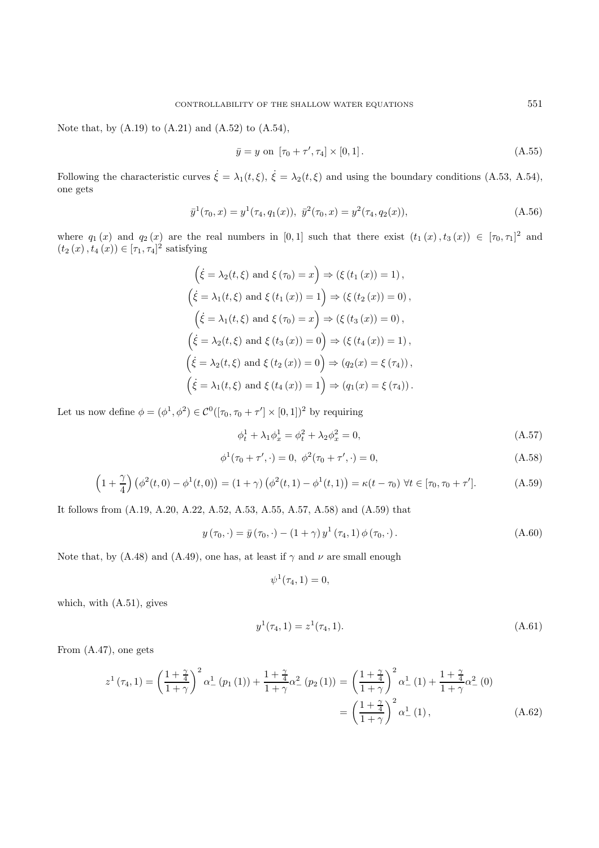Note that, by  $(A.19)$  to  $(A.21)$  and  $(A.52)$  to  $(A.54)$ ,

$$
\bar{y} = y \text{ on } [\tau_0 + \tau', \tau_4] \times [0, 1]. \tag{A.55}
$$

Following the characteristic curves  $\dot{\xi} = \lambda_1(t,\xi), \dot{\xi} = \lambda_2(t,\xi)$  and using the boundary conditions (A.53, A.54), one gets

$$
\bar{y}^{1}(\tau_{0}, x) = y^{1}(\tau_{4}, q_{1}(x)), \ \bar{y}^{2}(\tau_{0}, x) = y^{2}(\tau_{4}, q_{2}(x)), \tag{A.56}
$$

where  $q_1(x)$  and  $q_2(x)$  are the real numbers in [0,1] such that there exist  $(t_1(x), t_3(x)) \in [\tau_0, \tau_1]^2$  and  $(t_2(x), t_4(x)) \in [\tau_1, \tau_4]^2$  satisfying

$$
\left(\dot{\xi} = \lambda_2(t,\xi) \text{ and } \xi(\tau_0) = x\right) \Rightarrow \left(\xi(t_1(x)) = 1\right),
$$
  

$$
\left(\dot{\xi} = \lambda_1(t,\xi) \text{ and } \xi(t_1(x)) = 1\right) \Rightarrow \left(\xi(t_2(x)) = 0\right),
$$
  

$$
\left(\dot{\xi} = \lambda_1(t,\xi) \text{ and } \xi(\tau_0) = x\right) \Rightarrow \left(\xi(t_3(x)) = 0\right),
$$
  

$$
\left(\dot{\xi} = \lambda_2(t,\xi) \text{ and } \xi(t_3(x)) = 0\right) \Rightarrow \left(\xi(t_4(x)) = 1\right),
$$
  

$$
\left(\dot{\xi} = \lambda_2(t,\xi) \text{ and } \xi(t_2(x)) = 0\right) \Rightarrow \left(q_2(x) = \xi(\tau_4)\right),
$$
  

$$
\left(\dot{\xi} = \lambda_1(t,\xi) \text{ and } \xi(t_4(x)) = 1\right) \Rightarrow \left(q_1(x) = \xi(\tau_4)\right).
$$

Let us now define  $\phi = (\phi^1, \phi^2) \in C^0([\tau_0, \tau_0 + \tau'] \times [0, 1])^2$  by requiring

$$
\phi_t^1 + \lambda_1 \phi_x^1 = \phi_t^2 + \lambda_2 \phi_x^2 = 0,
$$
\n(A.57)

$$
\phi^1(\tau_0 + \tau', \cdot) = 0, \ \phi^2(\tau_0 + \tau', \cdot) = 0,
$$
\n(A.58)

$$
\left(1+\frac{\gamma}{4}\right)\left(\phi^2(t,0)-\phi^1(t,0)\right) = \left(1+\gamma\right)\left(\phi^2(t,1)-\phi^1(t,1)\right) = \kappa(t-\tau_0) \,\,\forall t \in [\tau_0, \tau_0+\tau'].
$$
\n(A.59)

It follows from (A.19, A.20, A.22, A.52, A.53, A.55, A.57, A.58) and (A.59) that

$$
y(\tau_0, \cdot) = \bar{y}(\tau_0, \cdot) - (1 + \gamma) y^1(\tau_4, 1) \phi(\tau_0, \cdot).
$$
 (A.60)

Note that, by (A.48) and (A.49), one has, at least if  $\gamma$  and  $\nu$  are small enough

$$
\psi^1(\tau_4, 1) = 0,
$$

which, with (A.51), gives

$$
y^{1}(\tau_{4}, 1) = z^{1}(\tau_{4}, 1). \tag{A.61}
$$

From (A.47), one gets

$$
z^{1}(\tau_{4}, 1) = \left(\frac{1+\frac{\gamma}{4}}{1+\gamma}\right)^{2} \alpha_{-}^{1} (p_{1}(1)) + \frac{1+\frac{\gamma}{4}}{1+\gamma} \alpha_{-}^{2} (p_{2}(1)) = \left(\frac{1+\frac{\gamma}{4}}{1+\gamma}\right)^{2} \alpha_{-}^{1}(1) + \frac{1+\frac{\gamma}{4}}{1+\gamma} \alpha_{-}^{2}(0)
$$

$$
= \left(\frac{1+\frac{\gamma}{4}}{1+\gamma}\right)^{2} \alpha_{-}^{1}(1), \qquad (A.62)
$$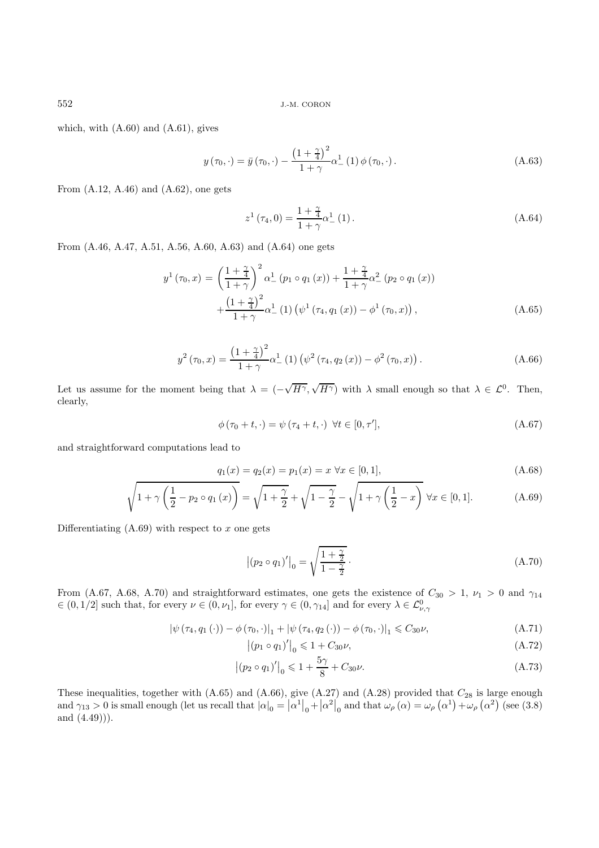which, with  $(A.60)$  and  $(A.61)$ , gives

$$
y(\tau_0, \cdot) = \bar{y}(\tau_0, \cdot) - \frac{\left(1 + \frac{\gamma}{4}\right)^2}{1 + \gamma} \alpha_-^1(1) \phi(\tau_0, \cdot).
$$
 (A.63)

From  $(A.12, A.46)$  and  $(A.62)$ , one gets

$$
z^{1}(\tau_{4},0) = \frac{1+\frac{\gamma}{4}}{1+\gamma}\alpha_{-}^{1}(1).
$$
 (A.64)

From (A.46, A.47, A.51, A.56, A.60, A.63) and (A.64) one gets

$$
y^{1}(\tau_{0}, x) = \left(\frac{1+\frac{\gamma}{4}}{1+\gamma}\right)^{2} \alpha_{-}^{1} (p_{1} \circ q_{1}(x)) + \frac{1+\frac{\gamma}{4}}{1+\gamma} \alpha_{-}^{2} (p_{2} \circ q_{1}(x)) + \frac{\left(1+\frac{\gamma}{4}\right)^{2}}{1+\gamma} \alpha_{-}^{1} (1) \left(\psi^{1} (\tau_{4}, q_{1}(x)) - \phi^{1} (\tau_{0}, x)\right), \tag{A.65}
$$

$$
y^{2}(\tau_{0}, x) = \frac{\left(1 + \frac{\gamma}{4}\right)^{2}}{1 + \gamma} \alpha_{-}^{1}(1) \left(\psi^{2}(\tau_{4}, q_{2}(x)) - \phi^{2}(\tau_{0}, x)\right).
$$
 (A.66)

Let us assume for the moment being that  $\lambda =$  (-√  $H^{\gamma},$  $\sqrt{H^{\gamma}}$ ) with  $\lambda$  small enough so that  $\lambda \in \mathcal{L}^0$ . Then, clearly,

$$
\phi\left(\tau_{0}+t,\cdot\right)=\psi\left(\tau_{4}+t,\cdot\right)\,\,\forall t\in[0,\tau'],\tag{A.67}
$$

and straightforward computations lead to

$$
q_1(x) = q_2(x) = p_1(x) = x \,\forall x \in [0, 1],\tag{A.68}
$$

$$
\sqrt{1+\gamma\left(\frac{1}{2}-p_2\circ q_1\left(x\right)\right)} = \sqrt{1+\frac{\gamma}{2}} + \sqrt{1-\frac{\gamma}{2}} - \sqrt{1+\gamma\left(\frac{1}{2}-x\right)} \,\forall x \in [0,1].\tag{A.69}
$$

Differentiating  $(A.69)$  with respect to x one gets

$$
|(p_2 \circ q_1)'|_0 = \sqrt{\frac{1+\frac{\gamma}{2}}{1-\frac{\gamma}{2}}}.
$$
\n(A.70)

From (A.67, A.68, A.70) and straightforward estimates, one gets the existence of  $C_{30} > 1$ ,  $\nu_1 > 0$  and  $\gamma_{14}$  $\in (0,1/2]$  such that, for every  $\nu \in (0,\nu_1]$ , for every  $\gamma \in (0,\gamma_{14}]$  and for every  $\lambda \in \mathcal{L}^0_{\nu,\gamma}$ 

 $\begin{array}{c} \hline \end{array}$ 

$$
\left|\psi\left(\tau_{4}, q_{1}\left(\cdot\right)\right)-\phi\left(\tau_{0}, \cdot\right)\right|_{1}+\left|\psi\left(\tau_{4}, q_{2}\left(\cdot\right)\right)-\phi\left(\tau_{0}, \cdot\right)\right|_{1} \leq C_{30}\nu, \tag{A.71}
$$

$$
|(p_1 \circ q_1)'|_0 \leq 1 + C_{30}\nu,
$$
\n(A.72)

$$
|(p_2 \circ q_1)'|_0 \leq 1 + \frac{5\gamma}{8} + C_{30}\nu.
$$
 (A.73)

These inequalities, together with  $(A.65)$  and  $(A.66)$ , give  $(A.27)$  and  $(A.28)$  provided that  $C_{28}$  is large enough and  $\gamma_{13} > 0$  is small enough (let us recall that  $|\alpha|_0 = |\alpha^1|_0 + |\alpha^2|_0$  and that  $\omega_\rho(\alpha) = \omega_\rho(\alpha^1) + \omega_\rho(\alpha^2)$  (see (3.8) and (4.49))).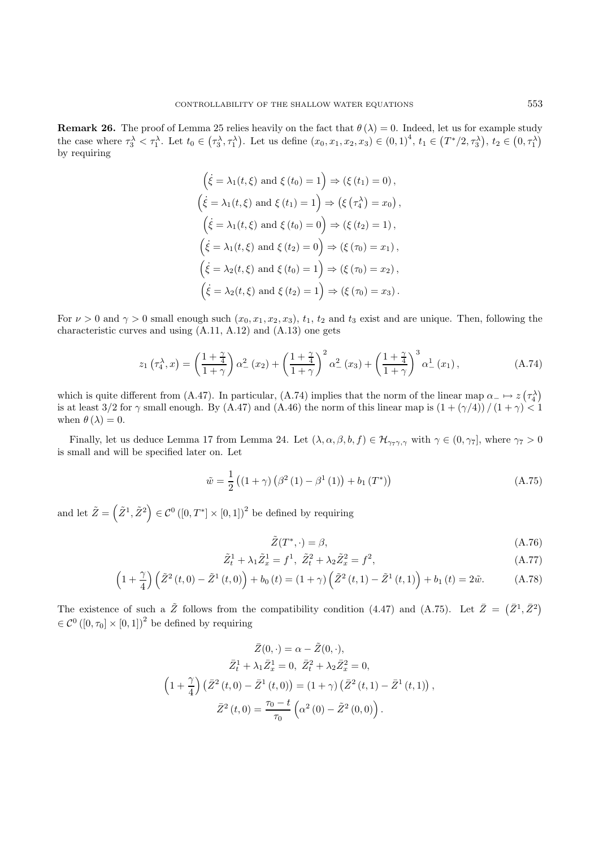**Remark 26.** The proof of Lemma 25 relies heavily on the fact that  $\theta(\lambda) = 0$ . Indeed, let us for example study the case where  $\tau_3^{\lambda} < \tau_1^{\lambda}$ . Let  $t_0 \in (\tau_3^{\lambda}, \tau_1^{\lambda})$ . Let us define  $(x_0, x_1, x_2, x_3) \in (0, 1)^4$ ,  $t_1 \in (T^*/2, \tau_3^{\lambda})$ ,  $t_2 \in (0, \tau_1^{\lambda})$ by requiring

$$
\left(\dot{\xi} = \lambda_1(t,\xi) \text{ and } \xi(t_0) = 1\right) \Rightarrow (\xi(t_1) = 0),
$$
  

$$
\left(\dot{\xi} = \lambda_1(t,\xi) \text{ and } \xi(t_1) = 1\right) \Rightarrow (\xi(\tau_4^{\lambda}) = x_0),
$$
  

$$
\left(\dot{\xi} = \lambda_1(t,\xi) \text{ and } \xi(t_0) = 0\right) \Rightarrow (\xi(t_2) = 1),
$$
  

$$
\left(\dot{\xi} = \lambda_1(t,\xi) \text{ and } \xi(t_2) = 0\right) \Rightarrow (\xi(\tau_0) = x_1),
$$
  

$$
\left(\dot{\xi} = \lambda_2(t,\xi) \text{ and } \xi(t_0) = 1\right) \Rightarrow (\xi(\tau_0) = x_2),
$$
  

$$
\left(\dot{\xi} = \lambda_2(t,\xi) \text{ and } \xi(t_2) = 1\right) \Rightarrow (\xi(\tau_0) = x_3).
$$

For  $\nu > 0$  and  $\gamma > 0$  small enough such  $(x_0, x_1, x_2, x_3)$ ,  $t_1$ ,  $t_2$  and  $t_3$  exist and are unique. Then, following the characteristic curves and using (A.11, A.12) and (A.13) one gets

$$
z_1\left(\tau_4^{\lambda},x\right) = \left(\frac{1+\frac{\gamma}{4}}{1+\gamma}\right)\alpha_{-}^2\left(x_2\right) + \left(\frac{1+\frac{\gamma}{4}}{1+\gamma}\right)^2\alpha_{-}^2\left(x_3\right) + \left(\frac{1+\frac{\gamma}{4}}{1+\gamma}\right)^3\alpha_{-}^1\left(x_1\right),\tag{A.74}
$$

which is quite different from (A.47). In particular, (A.74) implies that the norm of the linear map  $\alpha_-\mapsto z(\tau_4^{\lambda})$ is at least  $3/2$  for  $\gamma$  small enough. By (A.47) and (A.46) the norm of this linear map is  $(1 + (\gamma/4)) / (1 + \gamma) < 1$ when  $\theta(\lambda) = 0$ .

Finally, let us deduce Lemma 17 from Lemma 24. Let  $(\lambda, \alpha, \beta, b, f) \in \mathcal{H}_{\gamma_7, \gamma_7}$  with  $\gamma \in (0, \gamma_7]$ , where  $\gamma_7 > 0$ is small and will be specified later on. Let

$$
\tilde{w} = \frac{1}{2} ((1 + \gamma) (\beta^2 (1) - \beta^1 (1)) + b_1 (T^*))
$$
\n(A.75)

and let  $\tilde{Z} = (\tilde{Z}^1, \tilde{Z}^2) \in \mathcal{C}^0([0, T^*] \times [0, 1])^2$  be defined by requiring

$$
\tilde{Z}(T^*, \cdot) = \beta,\tag{A.76}
$$

$$
\tilde{Z}_t^1 + \lambda_1 \tilde{Z}_x^1 = f^1, \ \tilde{Z}_t^2 + \lambda_2 \tilde{Z}_x^2 = f^2,
$$
\n(A.77)

$$
\left(1+\frac{\gamma}{4}\right)\left(\tilde{Z}^{2}\left(t,0\right)-\tilde{Z}^{1}\left(t,0\right)\right)+b_{0}\left(t\right)=\left(1+\gamma\right)\left(\tilde{Z}^{2}\left(t,1\right)-\tilde{Z}^{1}\left(t,1\right)\right)+b_{1}\left(t\right)=2\tilde{w}.\tag{A.78}
$$

The existence of such a  $\tilde{Z}$  follows from the compatibility condition (4.47) and (A.75). Let  $\bar{Z} = (\bar{Z}^1, \bar{Z}^2)$  $\in \mathcal{C}^0([0,\tau_0] \times [0,1])^2$  be defined by requiring

$$
\bar{Z}(0, \cdot) = \alpha - \tilde{Z}(0, \cdot),
$$

$$
\bar{Z}_t^1 + \lambda_1 \bar{Z}_x^1 = 0, \ \bar{Z}_t^2 + \lambda_2 \bar{Z}_x^2 = 0,
$$

$$
\left(1 + \frac{\gamma}{4}\right) \left(\bar{Z}^2(t, 0) - \bar{Z}^1(t, 0)\right) = \left(1 + \gamma\right) \left(\bar{Z}^2(t, 1) - \bar{Z}^1(t, 1)\right),
$$

$$
\bar{Z}^2(t, 0) = \frac{\tau_0 - t}{\tau_0} \left(\alpha^2(0) - \tilde{Z}^2(0, 0)\right).
$$